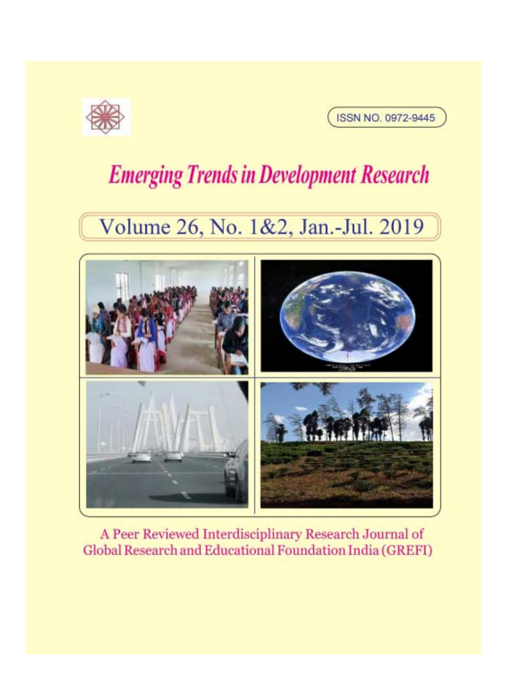



# **Emerging Trends in Development Research**

## Volume 26, No. 1&2, Jan.-Jul. 2019



A Peer Reviewed Interdisciplinary Research Journal of Global Research and Educational Foundation India (GREFI)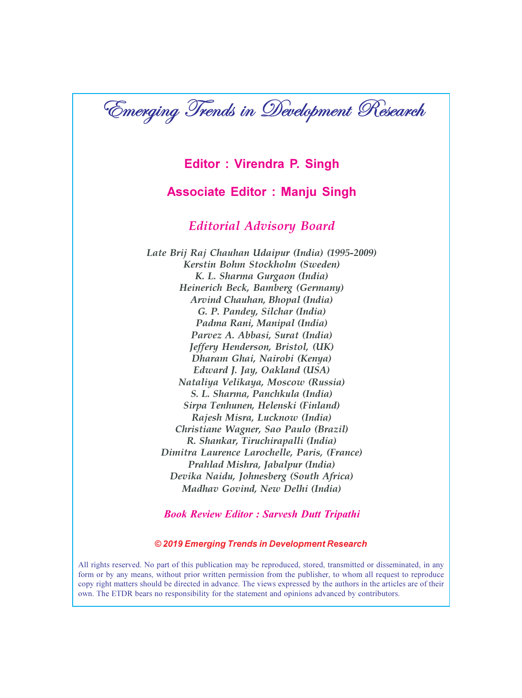

#### Editor : Virendra P. Singh

#### Associate Editor : Manju Singh

#### Editorial Advisory Board

Late Brij Raj Chauhan Udaipur (India) (1995-2009) Kerstin Bohm Stockholm (Sweden) K. L. Sharma Gurgaon (India) Heinerich Beck, Bamberg (Germany) Arvind Chauhan, Bhopal (India) G. P. Pandey, Silchar (India) Padma Rani, Manipal (India) Parvez A. Abbasi, Surat (India) Jeffery Henderson, Bristol, (UK) Dharam Ghai, Nairobi (Kenya) Edward J. Jay, Oakland (USA) Nataliya Velikaya, Moscow (Russia) S. L. Sharma, Panchkula (India) Sirpa Tenhunen, Helenski (Finland) Rajesh Misra, Lucknow (India) Christiane Wagner, Sao Paulo (Brazil) R. Shankar, Tiruchirapalli (India) Dimitra Laurence Larochelle, Paris, (France) Prahlad Mishra, Jabalpur (India) Devika Naidu, Johnesberg (South Africa) Madhav Govind, New Delhi (India)

#### Book Review Editor : Sarvesh Dutt Tripathi

#### © 2019 Emerging Trends in Development Research

All rights reserved. No part of this publication may be reproduced, stored, transmitted or disseminated, in any form or by any means, without prior written permission from the publisher, to whom all request to reproduce copy right matters should be directed in advance. The views expressed by the authors in the articles are of their own. The ETDR bears no responsibility for the statement and opinions advanced by contributors.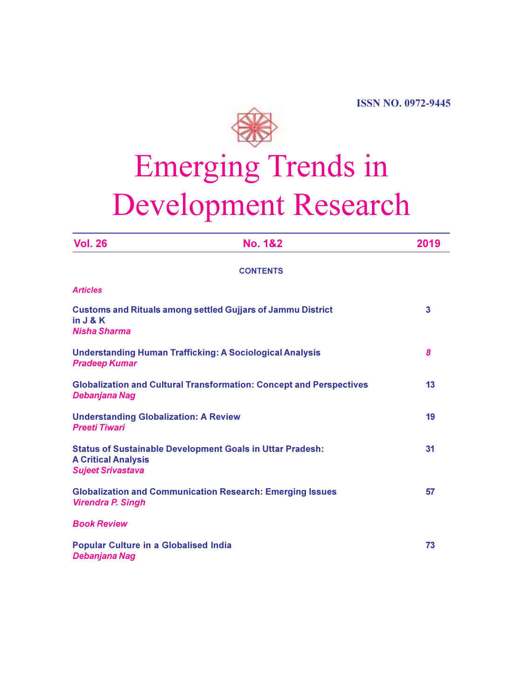

# Emerging Trends in Development Research

| <b>Vol. 26</b>                                                                                                             | <b>No. 1&amp;2</b> | 2019 |
|----------------------------------------------------------------------------------------------------------------------------|--------------------|------|
|                                                                                                                            | <b>CONTENTS</b>    |      |
| <b>Articles</b>                                                                                                            |                    |      |
| <b>Customs and Rituals among settled Gujjars of Jammu District</b><br>in J & K<br><b>Nisha Sharma</b>                      | 3                  |      |
| <b>Understanding Human Trafficking: A Sociological Analysis</b><br><b>Pradeep Kumar</b>                                    | 8                  |      |
| <b>Globalization and Cultural Transformation: Concept and Perspectives</b><br>Debanjana Nag                                | 13                 |      |
| <b>Understanding Globalization: A Review</b><br><b>Preeti Tiwari</b>                                                       |                    | 19   |
| <b>Status of Sustainable Development Goals in Uttar Pradesh:</b><br><b>A Critical Analysis</b><br><b>Sujeet Srivastava</b> |                    | 31   |
| <b>Globalization and Communication Research: Emerging Issues</b><br><b>Virendra P. Singh</b>                               |                    | 57   |
| <b>Book Review</b>                                                                                                         |                    |      |
| <b>Popular Culture in a Globalised India</b><br>Debanjana Nag                                                              | 73                 |      |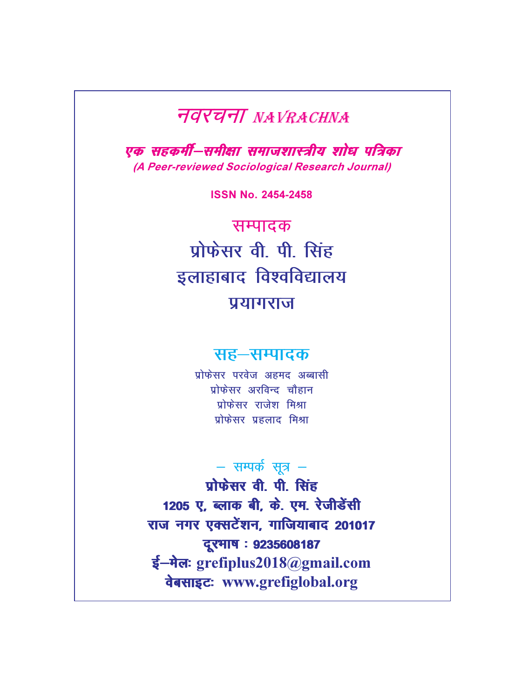### **TOYUTI NAVRACHNA**

एक सहकर्मी–समीक्षा समाजशास्त्रीय शोध पत्रिका (A Peer-reviewed Sociological Research Journal)

ISSN No. 2454-2458

सम्पादक प्रोफेसर वी पी सिंह इलाहाबाद विश्वविद्यालय प्रयागराज

### सह-सम्पादक

प्रोफेसर परवेज अहमद अब्बासी प्रोफेसर अरविन्द चौहान प्रोफेसर राजेश मिश्रा प्रोफेसर प्रहलाद मिश्रा

### $-$  सम्पर्क सूत्र  $-$

 $\n *y*$   $\n *y*$  oh  $\overline{y}$  oh  $\overline{z}$ 1205 ए, ब्लाक बी, के. एम. रेजीडेंसी राज नगर एक्सटेंशन, गाजियाबाद 201017 दूरमाष : 9235608187 ई-मेलः grefiplus2018@gmail.com daसाइटः www.grefiglobal.org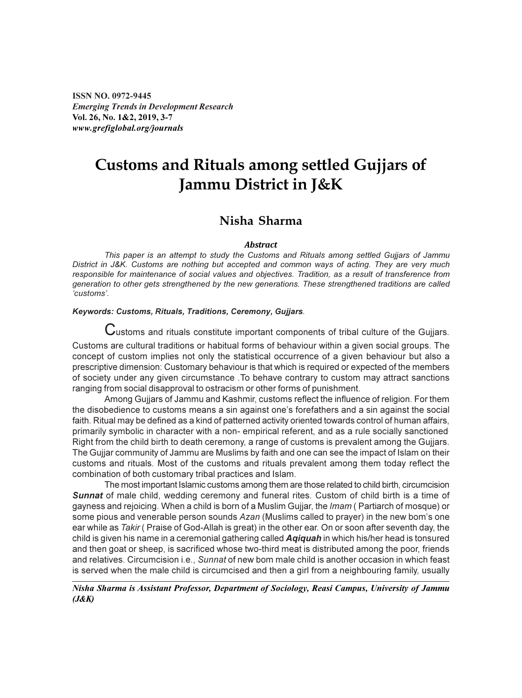ISSN NO. 0972-9445 Emerging Trends in Development Research Vol. 26, No. 1&2, 2019, 3-7 www.grefiglobal.org/journals

### Customs and Rituals among settled Gujjars of Jammu District in J&K

#### Nisha Sharma

#### **Abstract**

This paper is an attempt to study the Customs and Rituals among settled Gujjars of Jammu District in J&K. Customs are nothing but accepted and common ways of acting. They are very much responsible for maintenance of social values and objectives. Tradition, as a result of transference from generation to other gets strengthened by the new generations. These strengthened traditions are called 'customs'.

#### Keywords: Customs, Rituals, Traditions, Ceremony, Gujjars.

Customs and rituals constitute important components of tribal culture of the Gujjars. Customs are cultural traditions or habitual forms of behaviour within a given social groups. The concept of custom implies not only the statistical occurrence of a given behaviour but also a prescriptive dimension: Customary behaviour is that which is required or expected of the members of society under any given circumstance .To behave contrary to custom may attract sanctions ranging from social disapproval to ostracism or other forms of punishment.

Among Gujjars of Jammu and Kashmir, customs reflect the influence of religion. For them the disobedience to customs means a sin against one's forefathers and a sin against the social faith. Ritual may be defined as a kind of patterned activity oriented towards control of human affairs, primarily symbolic in character with a non- empirical referent, and as a rule socially sanctioned. Right from the child birth to death ceremony, a range of customs is prevalent among the Gujjars. The Gujjar community of Jammu are Muslims by faith and one can see the impact of Islam on their customs and rituals. Most of the customs and rituals prevalent among them today reflect the combination of both customary tribal practices and Islam.

The most important Islamic customs among them are those related to child birth, circumcision **Sunnat** of male child, wedding ceremony and funeral rites. Custom of child birth is a time of gayness and rejoicing. When a child is born of a Muslim Gujjar, the Imam ( Partiarch of mosque) or some pious and venerable person sounds Azan (Muslims called to prayer) in the new bom's one ear while as Takir ( Praise of God-Allah is great) in the other ear. On or soon after seventh day, the child is given his name in a ceremonial gathering called **Agiquah** in which his/her head is tonsured and then goat or sheep, is sacrificed whose two-third meat is distributed among the poor, friends and relatives. Circumcision i.e., Sunnat of new bom male child is another occasion in which feast is served when the male child is circumcised and then a girl from a neighbouring family, usually

#### Nisha Sharma is Assistant Professor, Department of Sociology, Reasi Campus, University of Jammu (J&K)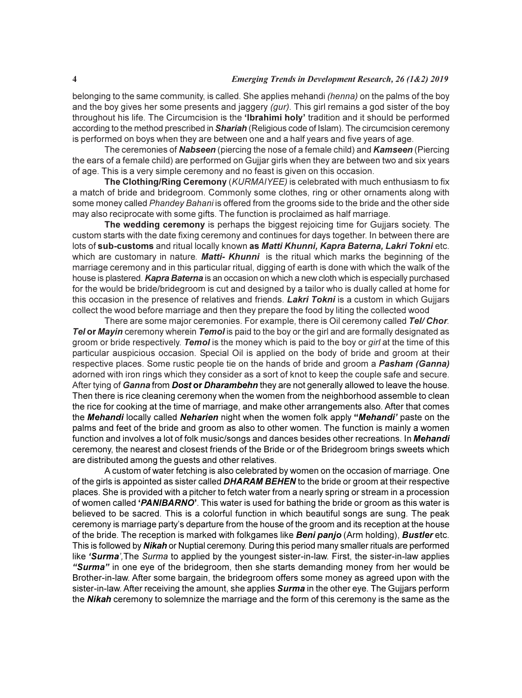belonging to the same community, is called. She applies mehandi (henna) on the palms of the boy and the boy gives her some presents and jaggery (gur). This girl remains a god sister of the boy throughout his life. The Circumcision is the 'Ibrahimi holy' tradition and it should be performed according to the method prescribed in **Shariah** (Religious code of Islam). The circumcision ceremony is performed on boys when they are between one and a half years and five years of age.

The ceremonies of Nabseen (piercing the nose of a female child) and Kamseen (Piercing the ears of a female child) are performed on Gujjar girls when they are between two and six years of age. This is a very simple ceremony and no feast is given on this occasion.

The Clothing/Ring Ceremony (KURMAIYEE) is celebrated with much enthusiasm to fix a match of bride and bridegroom. Commonly some clothes, ring or other ornaments along with some money called Phandey Bahani is offered from the grooms side to the bride and the other side may also reciprocate with some gifts. The function is proclaimed as half marriage.

The wedding ceremony is perhaps the biggest rejoicing time for Gujjars society. The custom starts with the date fixing ceremony and continues for days together. In between there are lots of sub-customs and ritual locally known as Matti Khunni, Kapra Baterna, Lakri Tokni etc. which are customary in nature. **Matti- Khunni** is the ritual which marks the beginning of the marriage ceremony and in this particular ritual, digging of earth is done with which the walk of the house is plastered. Kapra Baterna is an occasion on which a new cloth which is especially purchased for the would be bride/bridegroom is cut and designed by a tailor who is dually called at home for this occasion in the presence of relatives and friends. Lakri Tokni is a custom in which Gujjars collect the wood before marriage and then they prepare the food by liting the collected wood

There are some major ceremonies. For example, there is Oil ceremony called Tel/ Chor. Tel or Mayin ceremony wherein Temol is paid to the boy or the girl and are formally designated as groom or bride respectively. Temol is the money which is paid to the boy or girl at the time of this particular auspicious occasion. Special Oil is applied on the body of bride and groom at their respective places. Some rustic people tie on the hands of bride and groom a Pasham (Ganna) adorned with iron rings which they consider as a sort of knot to keep the couple safe and secure. After tying of Ganna from Dost or Dharambehn they are not generally allowed to leave the house. Then there is rice cleaning ceremony when the women from the neighborhood assemble to clean the rice for cooking at the time of marriage, and make other arrangements also. After that comes the Mehandi locally called Neharien night when the women folk apply "Mehandi' paste on the palms and feet of the bride and groom as also to other women. The function is mainly a women function and involves a lot of folk music/songs and dances besides other recreations. In Mehandi ceremony, the nearest and closest friends of the Bride or of the Bridegroom brings sweets which are distributed among the guests and other relatives.

A custom of water fetching is also celebrated by women on the occasion of marriage. One of the girls is appointed as sister called **DHARAM BEHEN** to the bride or groom at their respective places. She is provided with a pitcher to fetch water from a nearly spring or stream in a procession of women called 'PANIBARNO'. This water is used for bathing the bride or groom as this water is believed to be sacred. This is a colorful function in which beautiful songs are sung. The peak ceremony is marriage party's departure from the house of the groom and its reception at the house of the bride. The reception is marked with folkgames like **Beni panjo** (Arm holding), **Bustler** etc. This is followed by Nikah or Nuptial ceremony. During this period many smaller rituals are performed like 'Surma', The Surma to applied by the youngest sister-in-law. First, the sister-in-law applies "Surma" in one eye of the bridegroom, then she starts demanding money from her would be Brother-in-law. After some bargain, the bridegroom offers some money as agreed upon with the sister-in-law. After receiving the amount, she applies **Surma** in the other eye. The Gujjars perform the Nikah ceremony to solemnize the marriage and the form of this ceremony is the same as the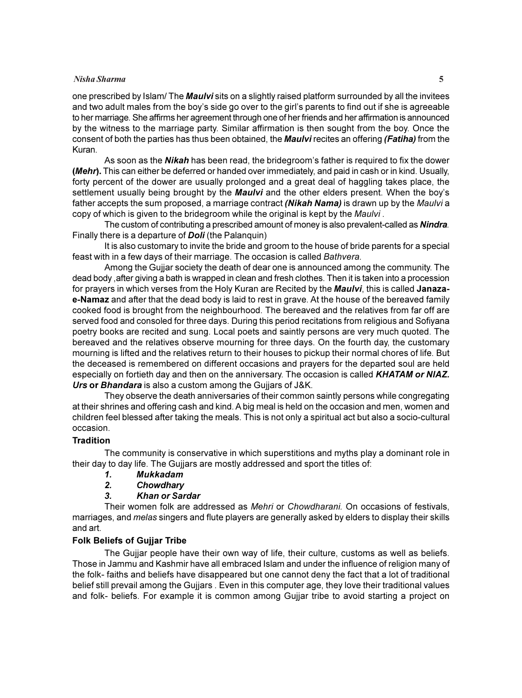#### Nisha Sharma 5

one prescribed by Islam/ The Maulvi sits on a slightly raised platform surrounded by all the invitees and two adult males from the boy's side go over to the girl's parents to find out if she is agreeable to her marriage. She affirms her agreement through one of her friends and her affirmation is announced by the witness to the marriage party. Similar affirmation is then sought from the boy. Once the consent of both the parties has thus been obtained, the **Maulvi** recites an offering (**Fatiha**) from the Kuran.

As soon as the **Nikah** has been read, the bridegroom's father is required to fix the dower (*Mehr*). This can either be deferred or handed over immediately, and paid in cash or in kind. Usually, forty percent of the dower are usually prolonged and a great deal of haggling takes place, the settlement usually being brought by the **Maulvi** and the other elders present. When the boy's father accepts the sum proposed, a marriage contract (Nikah Nama) is drawn up by the Maulvi a copy of which is given to the bridegroom while the original is kept by the Maulvi.

The custom of contributing a prescribed amount of money is also prevalent-called as **Nindra**. Finally there is a departure of **Doli** (the Palanquin)

It is also customary to invite the bride and groom to the house of bride parents for a special feast with in a few days of their marriage. The occasion is called Bathvera.

Among the Gujjar society the death of dear one is announced among the community. The dead body ,after giving a bath is wrapped in clean and fresh clothes. Then it is taken into a procession for prayers in which verses from the Holy Kuran are Recited by the Maulvi, this is called Janazae-Namaz and after that the dead body is laid to rest in grave. At the house of the bereaved family cooked food is brought from the neighbourhood. The bereaved and the relatives from far off are served food and consoled for three days. During this period recitations from religious and Sofiyana poetry books are recited and sung. Local poets and saintly persons are very much quoted. The bereaved and the relatives observe mourning for three days. On the fourth day, the customary mourning is lifted and the relatives return to their houses to pickup their normal chores of life. But the deceased is remembered on different occasions and prayers for the departed soul are held especially on fortieth day and then on the anniversary. The occasion is called KHATAM or NIAZ. Urs or Bhandara is also a custom among the Gujjars of J&K.

They observe the death anniversaries of their common saintly persons while congregating at their shrines and offering cash and kind. A big meal is held on the occasion and men, women and children feel blessed after taking the meals. This is not only a spiritual act but also a socio-cultural occasion.

#### **Tradition**

The community is conservative in which superstitions and myths play a dominant role in their day to day life. The Gujjars are mostly addressed and sport the titles of:

- 1. Mukkadam
- 2. Chowdhary
- 3. Khan or Sardar

Their women folk are addressed as Mehri or Chowdharani. On occasions of festivals, marriages, and *melas* singers and flute players are generally asked by elders to display their skills and art.

#### Folk Beliefs of Gujjar Tribe

The Gujjar people have their own way of life, their culture, customs as well as beliefs. Those in Jammu and Kashmir have all embraced Islam and under the influence of religion many of the folk- faiths and beliefs have disappeared but one cannot deny the fact that a lot of traditional belief still prevail among the Gujjars . Even in this computer age, they love their traditional values and folk- beliefs. For example it is common among Gujjar tribe to avoid starting a project on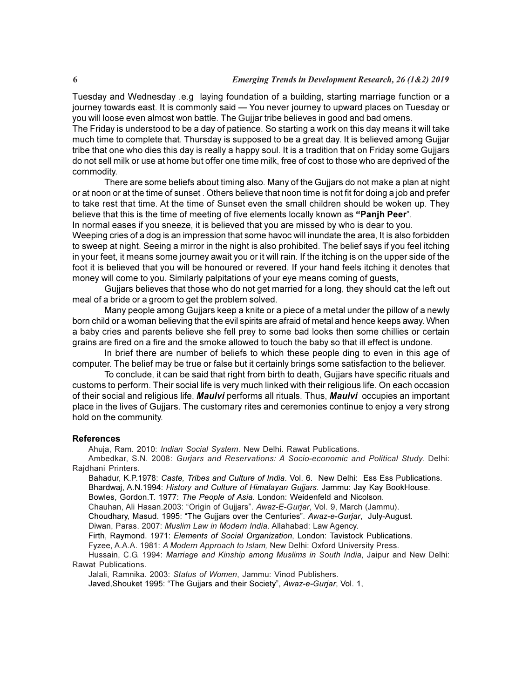Tuesday and Wednesday .e.g laying foundation of a building, starting marriage function or a journey towards east. It is commonly said — You never journey to upward places on Tuesday or you will loose even almost won battle. The Gujjar tribe believes in good and bad omens.

The Friday is understood to be a day of patience. So starting a work on this day means it will take much time to complete that. Thursday is supposed to be a great day. It is believed among Gujjar tribe that one who dies this day is really a happy soul. It is a tradition that on Friday some Gujjars do not sell milk or use at home but offer one time milk, free of cost to those who are deprived of the commodity.

There are some beliefs about timing also. Many of the Gujjars do not make a plan at night or at noon or at the time of sunset . Others believe that noon time is not fit for doing a job and prefer to take rest that time. At the time of Sunset even the small children should be woken up. They believe that this is the time of meeting of five elements locally known as "Panjh Peer".

In normal eases if you sneeze, it is believed that you are missed by who is dear to you.

Weeping cries of a dog is an impression that some havoc will inundate the area, It is also forbidden to sweep at night. Seeing a mirror in the night is also prohibited. The belief says if you feel itching in your feet, it means some journey await you or it will rain. If the itching is on the upper side of the foot it is believed that you will be honoured or revered. If your hand feels itching it denotes that money will come to you. Similarly palpitations of your eye means coming of guests,

Gujjars believes that those who do not get married for a long, they should cat the left out meal of a bride or a groom to get the problem solved.

Many people among Gujjars keep a knite or a piece of a metal under the pillow of a newly born child or a woman believing that the evil spirits are afraid of metal and hence keeps away. When a baby cries and parents believe she fell prey to some bad looks then some chillies or certain grains are fired on a fire and the smoke allowed to touch the baby so that ill effect is undone.

In brief there are number of beliefs to which these people ding to even in this age of computer. The belief may be true or false but it certainly brings some satisfaction to the believer.

To conclude, it can be said that right from birth to death, Gujjars have specific rituals and customs to perform. Their social life is very much linked with their religious life. On each occasion of their social and religious life, Maulvi performs all rituals. Thus, Maulvi occupies an important place in the lives of Gujjars. The customary rites and ceremonies continue to enjoy a very strong hold on the community.

#### References

Ahuja, Ram. 2010: Indian Social System. New Delhi. Rawat Publications.

Ambedkar, S.N. 2008: Gurjars and Reservations: A Socio-economic and Political Study. Delhi: Rajdhani Printers.

Bahadur, K.P.1978: Caste, Tribes and Culture of India. Vol. 6. New Delhi: Ess Ess Publications. Bhardwaj, A.N.1994: History and Culture of Himalayan Gujjars. Jammu: Jay Kay BookHouse. Bowles, Gordon.T. 1977: The People of Asia. London: Weidenfeld and Nicolson.

Chauhan, Ali Hasan.2003: "Origin of Gujjars". Awaz-E-Gurjar, Vol. 9, March (Jammu).

Choudhary, Masud. 1995: "The Gujjars over the Centuries". Awaz-e-Gurjar, July-August.

Diwan, Paras. 2007: Muslim Law in Modern India. Allahabad: Law Agency.

Firth, Raymond. 1971: Elements of Social Organization, London: Tavistock Publications.

Fyzee, A.A.A. 1981: A Modern Approach to Islam, New Delhi: Oxford University Press.

Hussain, C.G. 1994: Marriage and Kinship among Muslims in South India, Jaipur and New Delhi: Rawat Publications.

Jalali, Ramnika. 2003: Status of Women, Jammu: Vinod Publishers.

Javed, Shouket 1995: "The Gujjars and their Society", Awaz-e-Gurjar, Vol. 1,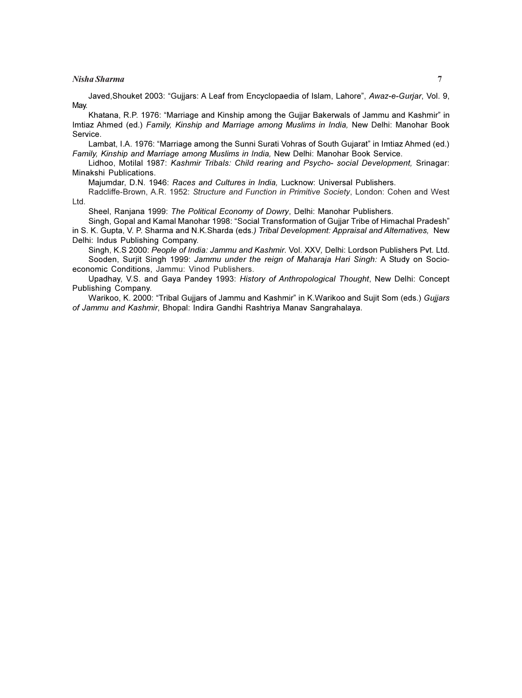#### Nisha Sharma 7

Javed,Shouket 2003: "Gujjars: A Leaf from Encyclopaedia of Islam, Lahore", Awaz-e-Gurjar, Vol. 9, May.

Khatana, R.P. 1976: "Marriage and Kinship among the Gujjar Bakerwals of Jammu and Kashmir" in Imtiaz Ahmed (ed.) Family, Kinship and Marriage among Muslims in India, New Delhi: Manohar Book Service.

Lambat, I.A. 1976: "Marriage among the Sunni Surati Vohras of South Gujarat" in Imtiaz Ahmed (ed.) Family, Kinship and Marriage among Muslims in India, New Delhi: Manohar Book Service.

Lidhoo, Motilal 1987: Kashmir Tribals: Child rearing and Psycho- social Development, Srinagar: Minakshi Publications.

Majumdar, D.N. 1946: Races and Cultures in India, Lucknow: Universal Publishers.

Radcliffe-Brown, A.R. 1952: Structure and Function in Primitive Society, London: Cohen and West Ltd.

Sheel, Ranjana 1999: The Political Economy of Dowry, Delhi: Manohar Publishers.

Singh, Gopal and Kamal Manohar 1998: "Social Transformation of Gujjar Tribe of Himachal Pradesh" in S. K. Gupta, V. P. Sharma and N.K.Sharda (eds.) Tribal Development: Appraisal and Alternatives, New Delhi: Indus Publishing Company.

Singh, K.S 2000: People of India: Jammu and Kashmir. Vol. XXV, Delhi: Lordson Publishers Pvt. Ltd. Sooden, Surjit Singh 1999: Jammu under the reign of Maharaja Hari Singh: A Study on Socioeconomic Conditions, Jammu: Vinod Publishers.

Upadhay, V.S. and Gaya Pandey 1993: History of Anthropological Thought, New Delhi: Concept Publishing Company.

Warikoo, K. 2000: "Tribal Gujjars of Jammu and Kashmir" in K.Warikoo and Sujit Som (eds.) Gujjars of Jammu and Kashmir, Bhopal: Indira Gandhi Rashtriya Manav Sangrahalaya.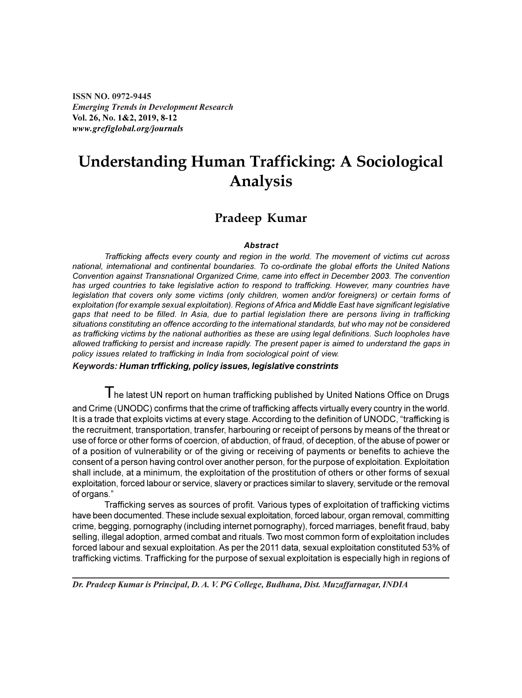ISSN NO. 0972-9445 Emerging Trends in Development Research Vol. 26, No. 1&2, 2019, 8-12 www.grefiglobal.org/journals

of organs."

### Understanding Human Trafficking: A Sociological Analysis

#### Pradeep Kumar

#### **Abstract**

Trafficking affects every county and region in the world. The movement of victims cut across national, international and continental boundaries. To co-ordinate the global efforts the United Nations Convention against Transnational Organized Crime, came into effect in December 2003. The convention has urged countries to take legislative action to respond to trafficking. However, many countries have legislation that covers only some victims (only children, women and/or foreigners) or certain forms of exploitation (for example sexual exploitation). Regions of Africa and Middle East have significant legislative gaps that need to be filled. In Asia, due to partial legislation there are persons living in trafficking situations constituting an offence according to the international standards, but who may not be considered as trafficking victims by the national authorities as these are using legal definitions. Such loopholes have allowed trafficking to persist and increase rapidly. The present paper is aimed to understand the gaps in policy issues related to trafficking in India from sociological point of view.

Keywords: Human trfficking, policy issues, legislative constrints

 $\mathsf T$ he latest UN report on human trafficking published by United Nations Office on Drugs and Crime (UNODC) confirms that the crime of trafficking affects virtually every country in the world. It is a trade that exploits victims at every stage. According to the definition of UNODC, "trafficking is the recruitment, transportation, transfer, harbouring or receipt of persons by means of the threat or use of force or other forms of coercion, of abduction, of fraud, of deception, of the abuse of power or of a position of vulnerability or of the giving or receiving of payments or benefits to achieve the consent of a person having control over another person, for the purpose of exploitation. Exploitation shall include, at a minimum, the exploitation of the prostitution of others or other forms of sexual

Trafficking serves as sources of profit. Various types of exploitation of trafficking victims have been documented. These include sexual exploitation, forced labour, organ removal, committing crime, begging, pornography (including internet pornography), forced marriages, benefit fraud, baby selling, illegal adoption, armed combat and rituals. Two most common form of exploitation includes forced labour and sexual exploitation. As per the 2011 data, sexual exploitation constituted 53% of trafficking victims. Trafficking for the purpose of sexual exploitation is especially high in regions of

exploitation, forced labour or service, slavery or practices similar to slavery, servitude or the removal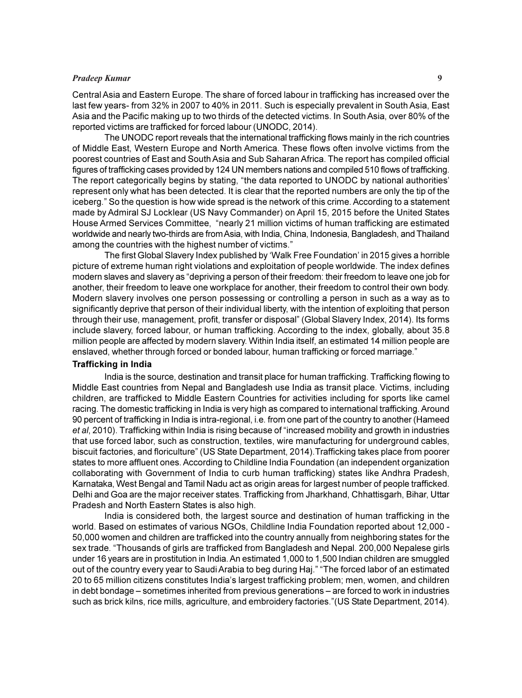#### Pradeep Kumar 9

Central Asia and Eastern Europe. The share of forced labour in trafficking has increased over the last few years- from 32% in 2007 to 40% in 2011. Such is especially prevalent in South Asia, East Asia and the Pacific making up to two thirds of the detected victims. In South Asia, over 80% of the reported victims are trafficked for forced labour (UNODC, 2014).

The UNODC report reveals that the international trafficking flows mainly in the rich countries of Middle East, Western Europe and North America. These flows often involve victims from the poorest countries of East and South Asia and Sub Saharan Africa. The report has compiled official figures of trafficking cases provided by 124 UN members nations and compiled 510 flows of trafficking. The report categorically begins by stating, "the data reported to UNODC by national authorities' represent only what has been detected. It is clear that the reported numbers are only the tip of the iceberg." So the question is how wide spread is the network of this crime. According to a statement made by Admiral SJ Locklear (US Navy Commander) on April 15, 2015 before the United States House Armed Services Committee, "nearly 21 million victims of human trafficking are estimated worldwide and nearly two-thirds are from Asia, with India, China, Indonesia, Bangladesh, and Thailand among the countries with the highest number of victims."

The first Global Slavery Index published by 'Walk Free Foundation' in 2015 gives a horrible picture of extreme human right violations and exploitation of people worldwide. The index defines modern slaves and slavery as "depriving a person of their freedom: their freedom to leave one job for another, their freedom to leave one workplace for another, their freedom to control their own body. Modern slavery involves one person possessing or controlling a person in such as a way as to significantly deprive that person of their individual liberty, with the intention of exploiting that person through their use, management, profit, transfer or disposal" (Global Slavery Index, 2014). Its forms include slavery, forced labour, or human trafficking. According to the index, globally, about 35.8 million people are affected by modern slavery. Within India itself, an estimated 14 million people are enslaved, whether through forced or bonded labour, human trafficking or forced marriage."

#### Trafficking in India

India is the source, destination and transit place for human trafficking. Trafficking flowing to Middle East countries from Nepal and Bangladesh use India as transit place. Victims, including children, are trafficked to Middle Eastern Countries for activities including for sports like camel racing. The domestic trafficking in India is very high as compared to international trafficking. Around 90 percent of trafficking in India is intra-regional, i.e. from one part of the country to another (Hameed et al, 2010). Trafficking within India is rising because of "increased mobility and growth in industries that use forced labor, such as construction, textiles, wire manufacturing for underground cables, biscuit factories, and floriculture" (US State Department, 2014).Trafficking takes place from poorer states to more affluent ones. According to Childline India Foundation (an independent organization collaborating with Government of India to curb human trafficking) states like Andhra Pradesh, Karnataka, West Bengal and Tamil Nadu act as origin areas for largest number of people trafficked. Delhi and Goa are the major receiver states. Trafficking from Jharkhand, Chhattisgarh, Bihar, Uttar Pradesh and North Eastern States is also high.

India is considered both, the largest source and destination of human trafficking in the world. Based on estimates of various NGOs, Childline India Foundation reported about 12,000 - 50,000 women and children are trafficked into the country annually from neighboring states for the sex trade. "Thousands of girls are trafficked from Bangladesh and Nepal. 200,000 Nepalese girls under 16 years are in prostitution in India. An estimated 1,000 to 1,500 Indian children are smuggled out of the country every year to Saudi Arabia to beg during Haj." "The forced labor of an estimated 20 to 65 million citizens constitutes India's largest trafficking problem; men, women, and children in debt bondage – sometimes inherited from previous generations – are forced to work in industries such as brick kilns, rice mills, agriculture, and embroidery factories."(US State Department, 2014).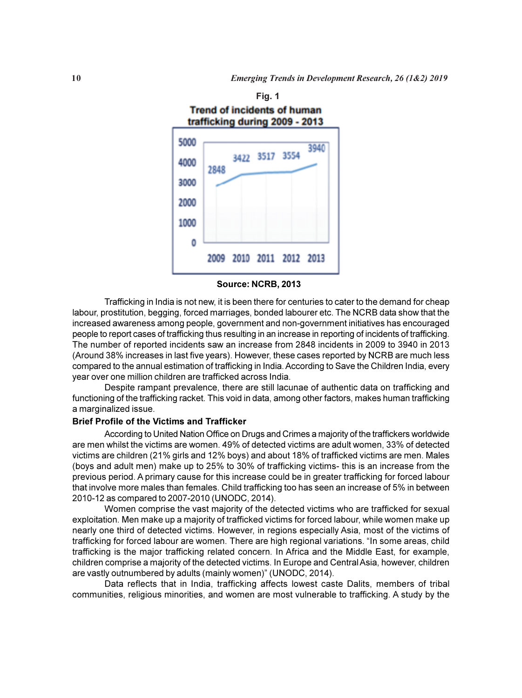

Source: NCRB, 2013

Trafficking in India is not new, it is been there for centuries to cater to the demand for cheap labour, prostitution, begging, forced marriages, bonded labourer etc. The NCRB data show that the increased awareness among people, government and non-government initiatives has encouraged people to report cases of trafficking thus resulting in an increase in reporting of incidents of trafficking. The number of reported incidents saw an increase from 2848 incidents in 2009 to 3940 in 2013 (Around 38% increases in last five years). However, these cases reported by NCRB are much less compared to the annual estimation of trafficking in India. According to Save the Children India, every year over one million children are trafficked across India.

Despite rampant prevalence, there are still lacunae of authentic data on trafficking and functioning of the trafficking racket. This void in data, among other factors, makes human trafficking a marginalized issue.

#### Brief Profile of the Victims and Trafficker

According to United Nation Office on Drugs and Crimes a majority of the traffickers worldwide are men whilst the victims are women. 49% of detected victims are adult women, 33% of detected victims are children (21% girls and 12% boys) and about 18% of trafficked victims are men. Males (boys and adult men) make up to 25% to 30% of trafficking victims- this is an increase from the previous period. A primary cause for this increase could be in greater trafficking for forced labour that involve more males than females. Child trafficking too has seen an increase of 5% in between 2010-12 as compared to 2007-2010 (UNODC, 2014).

Women comprise the vast majority of the detected victims who are trafficked for sexual exploitation. Men make up a majority of trafficked victims for forced labour, while women make up nearly one third of detected victims. However, in regions especially Asia, most of the victims of trafficking for forced labour are women. There are high regional variations. "In some areas, child trafficking is the major trafficking related concern. In Africa and the Middle East, for example, children comprise a majority of the detected victims. In Europe and Central Asia, however, children are vastly outnumbered by adults (mainly women)" (UNODC, 2014).

Data reflects that in India, trafficking affects lowest caste Dalits, members of tribal communities, religious minorities, and women are most vulnerable to trafficking. A study by the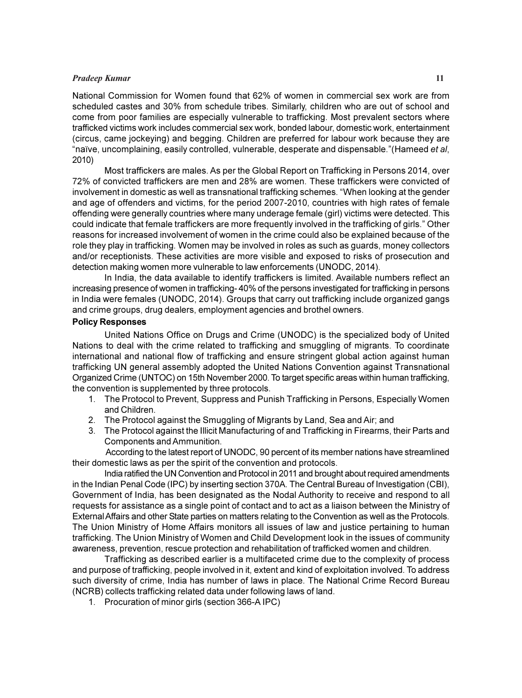#### **Pradeep Kumar** 11

National Commission for Women found that 62% of women in commercial sex work are from scheduled castes and 30% from schedule tribes. Similarly, children who are out of school and come from poor families are especially vulnerable to trafficking. Most prevalent sectors where trafficked victims work includes commercial sex work, bonded labour, domestic work, entertainment (circus, came jockeying) and begging. Children are preferred for labour work because they are "naïve, uncomplaining, easily controlled, vulnerable, desperate and dispensable."(Hameed et al, 2010)

Most traffickers are males. As per the Global Report on Trafficking in Persons 2014, over 72% of convicted traffickers are men and 28% are women. These traffickers were convicted of involvement in domestic as well as transnational trafficking schemes. "When looking at the gender and age of offenders and victims, for the period 2007-2010, countries with high rates of female offending were generally countries where many underage female (girl) victims were detected. This could indicate that female traffickers are more frequently involved in the trafficking of girls." Other reasons for increased involvement of women in the crime could also be explained because of the role they play in trafficking. Women may be involved in roles as such as guards, money collectors and/or receptionists. These activities are more visible and exposed to risks of prosecution and detection making women more vulnerable to law enforcements (UNODC, 2014).

In India, the data available to identify traffickers is limited. Available numbers reflect an increasing presence of women in trafficking- 40% of the persons investigated for trafficking in persons in India were females (UNODC, 2014). Groups that carry out trafficking include organized gangs and crime groups, drug dealers, employment agencies and brothel owners.

#### Policy Responses

United Nations Office on Drugs and Crime (UNODC) is the specialized body of United Nations to deal with the crime related to trafficking and smuggling of migrants. To coordinate international and national flow of trafficking and ensure stringent global action against human trafficking UN general assembly adopted the United Nations Convention against Transnational Organized Crime (UNTOC) on 15th November 2000. To target specific areas within human trafficking, the convention is supplemented by three protocols.

- 1. The Protocol to Prevent, Suppress and Punish Trafficking in Persons, Especially Women and Children.
- 2. The Protocol against the Smuggling of Migrants by Land, Sea and Air; and
- 3. The Protocol against the Illicit Manufacturing of and Trafficking in Firearms, their Parts and Components and Ammunition.

 According to the latest report of UNODC, 90 percent of its member nations have streamlined their domestic laws as per the spirit of the convention and protocols.

India ratified the UN Convention and Protocol in 2011 and brought about required amendments in the Indian Penal Code (IPC) by inserting section 370A. The Central Bureau of Investigation (CBI), Government of India, has been designated as the Nodal Authority to receive and respond to all requests for assistance as a single point of contact and to act as a liaison between the Ministry of External Affairs and other State parties on matters relating to the Convention as well as the Protocols. The Union Ministry of Home Affairs monitors all issues of law and justice pertaining to human trafficking. The Union Ministry of Women and Child Development look in the issues of community awareness, prevention, rescue protection and rehabilitation of trafficked women and children.

Trafficking as described earlier is a multifaceted crime due to the complexity of process and purpose of trafficking, people involved in it, extent and kind of exploitation involved. To address such diversity of crime, India has number of laws in place. The National Crime Record Bureau (NCRB) collects trafficking related data under following laws of land.

1. Procuration of minor girls (section 366-A IPC)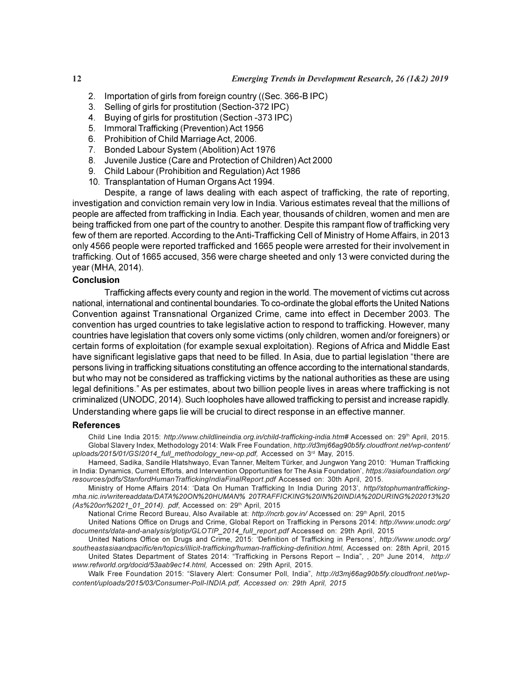- 2. Importation of girls from foreign country ((Sec. 366-B IPC)
- 3. Selling of girls for prostitution (Section-372 IPC)
- 4. Buying of girls for prostitution (Section -373 IPC)
- 5. Immoral Trafficking (Prevention) Act 1956
- 6. Prohibition of Child Marriage Act, 2006.
- 7. Bonded Labour System (Abolition) Act 1976
- 8. Juvenile Justice (Care and Protection of Children) Act 2000
- 9. Child Labour (Prohibition and Regulation) Act 1986
- 10. Transplantation of Human Organs Act 1994.

Despite, a range of laws dealing with each aspect of trafficking, the rate of reporting, investigation and conviction remain very low in India. Various estimates reveal that the millions of people are affected from trafficking in India. Each year, thousands of children, women and men are being trafficked from one part of the country to another. Despite this rampant flow of trafficking very few of them are reported. According to the Anti-Trafficking Cell of Ministry of Home Affairs, in 2013 only 4566 people were reported trafficked and 1665 people were arrested for their involvement in trafficking. Out of 1665 accused, 356 were charge sheeted and only 13 were convicted during the year (MHA, 2014).

#### Conclusion

Trafficking affects every county and region in the world. The movement of victims cut across national, international and continental boundaries. To co-ordinate the global efforts the United Nations Convention against Transnational Organized Crime, came into effect in December 2003. The convention has urged countries to take legislative action to respond to trafficking. However, many countries have legislation that covers only some victims (only children, women and/or foreigners) or certain forms of exploitation (for example sexual exploitation). Regions of Africa and Middle East have significant legislative gaps that need to be filled. In Asia, due to partial legislation "there are persons living in trafficking situations constituting an offence according to the international standards, but who may not be considered as trafficking victims by the national authorities as these are using legal definitions." As per estimates, about two billion people lives in areas where trafficking is not criminalized (UNODC, 2014). Such loopholes have allowed trafficking to persist and increase rapidly. Understanding where gaps lie will be crucial to direct response in an effective manner.

#### References

Child Line India 2015: http://www.childlineindia.org.in/child-trafficking-india.htm# Accessed on: 29<sup>th</sup> April, 2015. Global Slavery Index, Methodology 2014: Walk Free Foundation, http://d3mj66ag90b5fy.cloudfront.net/wp-content/ uploads/2015/01/GSI2014\_full\_methodology\_new-op.pdf, Accessed on 3rd May, 2015.

Hameed, Sadika, Sandile Hlatshwayo, Evan Tanner, Meltem Türker, and Jungwon Yang 2010: 'Human Trafficking in India: Dynamics, Current Efforts, and Intervention Opportunities for The Asia Foundation', https://asiafoundation.org/ resources/pdfs/StanfordHumanTraffickingIndiaFinalReport.pdf Accessed on: 30th April, 2015.

Ministry of Home Affairs 2014: 'Data On Human Trafficking In India During 2013', http//stophumantraffickingmha.nic.in/writereaddata/DATA%20ON%20HUMAN% 20TRAFFICKING%20IN%20INDIA%20DURING%202013%20 (As%20on%2021\_01\_2014). pdf, Accessed on: 29th April, 2015

National Crime Record Bureau, Also Available at: http://ncrb.gov.in/ Accessed on: 29th April, 2015

United Nations Office on Drugs and Crime, Global Report on Trafficking in Persons 2014: http://www.unodc.org/ documents/data-and-analysis/glotip/GLOTIP\_2014\_full\_report.pdf Accessed on: 29th April, 2015

United Nations Office on Drugs and Crime, 2015: 'Definition of Trafficking in Persons', http://www.unodc.org/ southeastasiaandpacific/en/topics/illicit-trafficking/human-trafficking-definition.html, Accessed on: 28th April, 2015 United States Department of States 2014: "Trafficking in Persons Report – India", , 20<sup>th</sup> June 2014, http:// www.refworld.org/docid/53aab9ec14.html, Accessed on: 29th April, 2015.

Walk Free Foundation 2015: "Slavery Alert: Consumer Poll, India", http://d3mj66ag90b5fy.cloudfront.net/wpcontent/uploads/2015/03/Consumer-Poll-INDIA.pdf, Accessed on: 29th April, 2015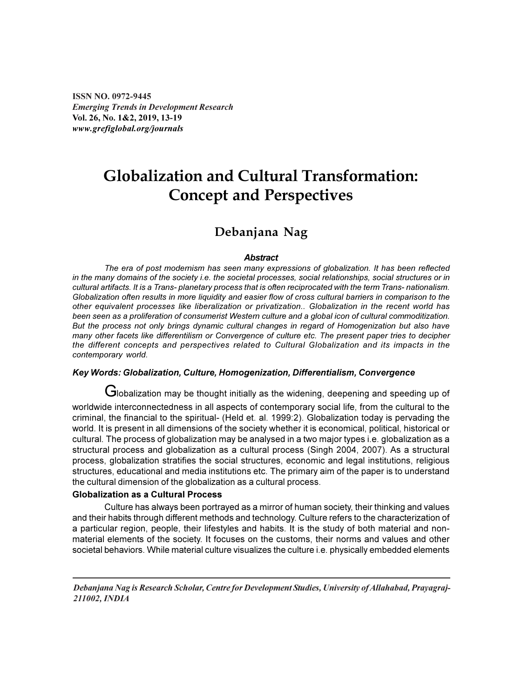ISSN NO. 0972-9445 Emerging Trends in Development Research Vol. 26, No. 1&2, 2019, 13-19 www.grefiglobal.org/journals

### Globalization and Cultural Transformation: Concept and Perspectives

### Debanjana Nag

#### **Abstract**

The era of post modernism has seen many expressions of globalization. It has been reflected in the many domains of the society i.e. the societal processes, social relationships, social structures or in cultural artifacts. It is a Trans- planetary process that is often reciprocated with the term Trans- nationalism. Globalization often results in more liquidity and easier flow of cross cultural barriers in comparison to the other equivalent processes like liberalization or privatization.. Globalization in the recent world has been seen as a proliferation of consumerist Western culture and a global icon of cultural commoditization. But the process not only brings dynamic cultural changes in regard of Homogenization but also have many other facets like differentilism or Convergence of culture etc. The present paper tries to decipher the different concepts and perspectives related to Cultural Globalization and its impacts in the contemporary world.

#### Key Words: Globalization, Culture, Homogenization, Differentialism, Convergence

Globalization may be thought initially as the widening, deepening and speeding up of worldwide interconnectedness in all aspects of contemporary social life, from the cultural to the criminal, the financial to the spiritual- (Held et. al. 1999:2). Globalization today is pervading the world. It is present in all dimensions of the society whether it is economical, political, historical or cultural. The process of globalization may be analysed in a two major types i.e. globalization as a structural process and globalization as a cultural process (Singh 2004, 2007). As a structural process, globalization stratifies the social structures, economic and legal institutions, religious structures, educational and media institutions etc. The primary aim of the paper is to understand the cultural dimension of the globalization as a cultural process.

#### Globalization as a Cultural Process

Culture has always been portrayed as a mirror of human society, their thinking and values and their habits through different methods and technology. Culture refers to the characterization of a particular region, people, their lifestyles and habits. It is the study of both material and nonmaterial elements of the society. It focuses on the customs, their norms and values and other societal behaviors. While material culture visualizes the culture i.e. physically embedded elements

Debanjana Nag is Research Scholar, Centre for Development Studies, University of Allahabad, Prayagraj-211002, INDIA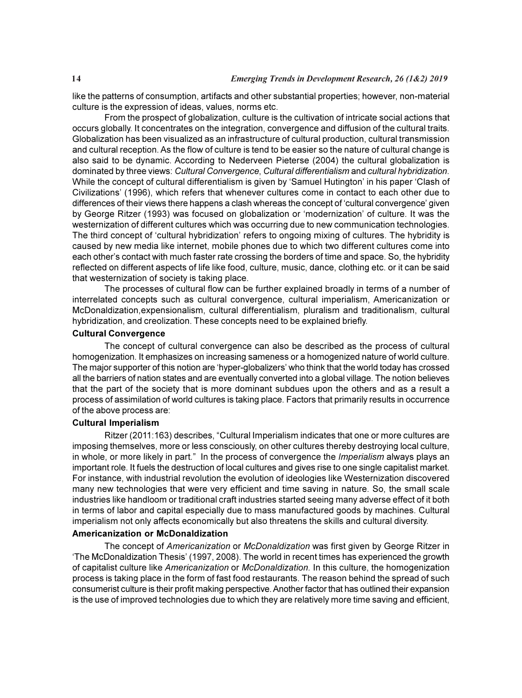like the patterns of consumption, artifacts and other substantial properties; however, non-material culture is the expression of ideas, values, norms etc.

From the prospect of globalization, culture is the cultivation of intricate social actions that occurs globally. It concentrates on the integration, convergence and diffusion of the cultural traits. Globalization has been visualized as an infrastructure of cultural production, cultural transmission and cultural reception. As the flow of culture is tend to be easier so the nature of cultural change is also said to be dynamic. According to Nederveen Pieterse (2004) the cultural globalization is dominated by three views: Cultural Convergence, Cultural differentialism and cultural hybridization. While the concept of cultural differentialism is given by 'Samuel Hutington' in his paper 'Clash of Civilizations' (1996), which refers that whenever cultures come in contact to each other due to differences of their views there happens a clash whereas the concept of 'cultural convergence' given by George Ritzer (1993) was focused on globalization or 'modernization' of culture. It was the westernization of different cultures which was occurring due to new communication technologies. The third concept of 'cultural hybridization' refers to ongoing mixing of cultures. The hybridity is caused by new media like internet, mobile phones due to which two different cultures come into each other's contact with much faster rate crossing the borders of time and space. So, the hybridity reflected on different aspects of life like food, culture, music, dance, clothing etc. or it can be said that westernization of society is taking place.

The processes of cultural flow can be further explained broadly in terms of a number of interrelated concepts such as cultural convergence, cultural imperialism, Americanization or McDonaldization,expensionalism, cultural differentialism, pluralism and traditionalism, cultural hybridization, and creolization. These concepts need to be explained briefly.

#### Cultural Convergence

The concept of cultural convergence can also be described as the process of cultural homogenization. It emphasizes on increasing sameness or a homogenized nature of world culture. The major supporter of this notion are 'hyper-globalizers' who think that the world today has crossed all the barriers of nation states and are eventually converted into a global village. The notion believes that the part of the society that is more dominant subdues upon the others and as a result a process of assimilation of world cultures is taking place. Factors that primarily results in occurrence of the above process are:

#### Cultural Imperialism

Ritzer (2011:163) describes, "Cultural Imperialism indicates that one or more cultures are imposing themselves, more or less consciously, on other cultures thereby destroying local culture, in whole, or more likely in part." In the process of convergence the Imperialism always plays an important role. It fuels the destruction of local cultures and gives rise to one single capitalist market. For instance, with industrial revolution the evolution of ideologies like Westernization discovered many new technologies that were very efficient and time saving in nature. So, the small scale industries like handloom or traditional craft industries started seeing many adverse effect of it both in terms of labor and capital especially due to mass manufactured goods by machines. Cultural imperialism not only affects economically but also threatens the skills and cultural diversity.

#### Americanization or McDonaldization

The concept of Americanization or McDonaldization was first given by George Ritzer in 'The McDonaldization Thesis' (1997, 2008). The world in recent times has experienced the growth of capitalist culture like Americanization or McDonaldization. In this culture, the homogenization process is taking place in the form of fast food restaurants. The reason behind the spread of such consumerist culture is their profit making perspective. Another factor that has outlined their expansion is the use of improved technologies due to which they are relatively more time saving and efficient,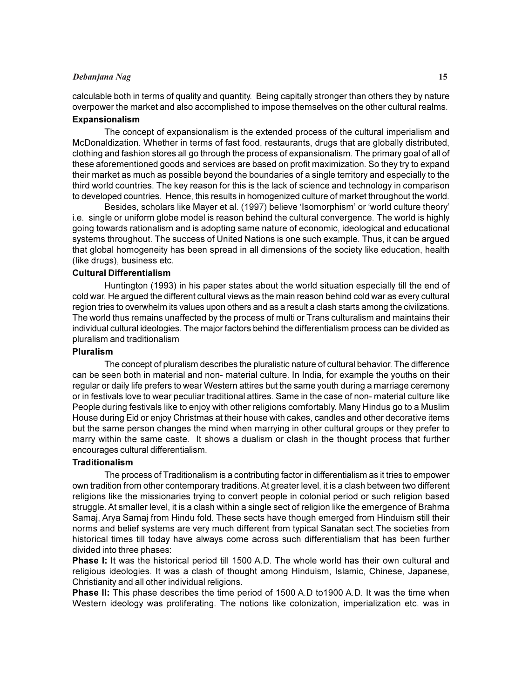#### Debanjana Nag 15

calculable both in terms of quality and quantity. Being capitally stronger than others they by nature overpower the market and also accomplished to impose themselves on the other cultural realms.

#### Expansionalism

The concept of expansionalism is the extended process of the cultural imperialism and McDonaldization. Whether in terms of fast food, restaurants, drugs that are globally distributed, clothing and fashion stores all go through the process of expansionalism. The primary goal of all of these aforementioned goods and services are based on profit maximization. So they try to expand their market as much as possible beyond the boundaries of a single territory and especially to the third world countries. The key reason for this is the lack of science and technology in comparison to developed countries. Hence, this results in homogenized culture of market throughout the world.

Besides, scholars like Mayer et al. (1997) believe 'Isomorphism' or 'world culture theory' i.e. single or uniform globe model is reason behind the cultural convergence. The world is highly going towards rationalism and is adopting same nature of economic, ideological and educational systems throughout. The success of United Nations is one such example. Thus, it can be argued that global homogeneity has been spread in all dimensions of the society like education, health (like drugs), business etc.

#### Cultural Differentialism

Huntington (1993) in his paper states about the world situation especially till the end of cold war. He argued the different cultural views as the main reason behind cold war as every cultural region tries to overwhelm its values upon others and as a result a clash starts among the civilizations. The world thus remains unaffected by the process of multi or Trans culturalism and maintains their individual cultural ideologies. The major factors behind the differentialism process can be divided as pluralism and traditionalism

#### Pluralism

The concept of pluralism describes the pluralistic nature of cultural behavior. The difference can be seen both in material and non- material culture. In India, for example the youths on their regular or daily life prefers to wear Western attires but the same youth during a marriage ceremony or in festivals love to wear peculiar traditional attires. Same in the case of non- material culture like People during festivals like to enjoy with other religions comfortably. Many Hindus go to a Muslim House during Eid or enjoy Christmas at their house with cakes, candles and other decorative items but the same person changes the mind when marrying in other cultural groups or they prefer to marry within the same caste. It shows a dualism or clash in the thought process that further encourages cultural differentialism.

#### Traditionalism

The process of Traditionalism is a contributing factor in differentialism as it tries to empower own tradition from other contemporary traditions. At greater level, it is a clash between two different religions like the missionaries trying to convert people in colonial period or such religion based struggle. At smaller level, it is a clash within a single sect of religion like the emergence of Brahma Samaj, Arya Samaj from Hindu fold. These sects have though emerged from Hinduism still their norms and belief systems are very much different from typical Sanatan sect.The societies from historical times till today have always come across such differentialism that has been further divided into three phases:

Phase I: It was the historical period till 1500 A.D. The whole world has their own cultural and religious ideologies. It was a clash of thought among Hinduism, Islamic, Chinese, Japanese, Christianity and all other individual religions.

**Phase II:** This phase describes the time period of 1500 A.D to 1900 A.D. It was the time when Western ideology was proliferating. The notions like colonization, imperialization etc. was in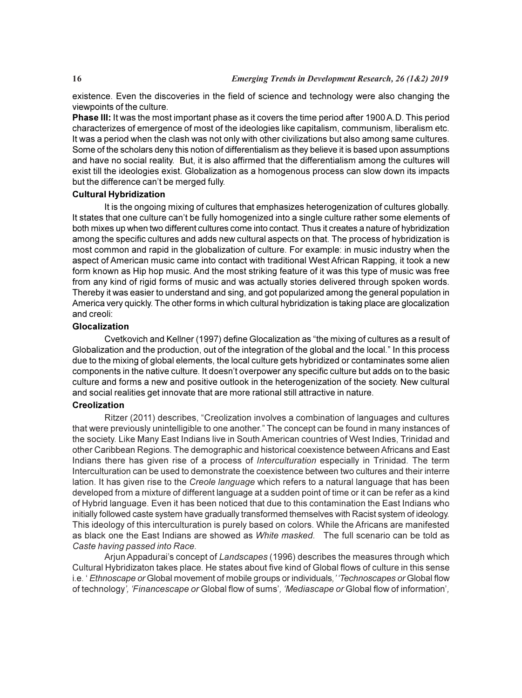existence. Even the discoveries in the field of science and technology were also changing the viewpoints of the culture.

Phase III: It was the most important phase as it covers the time period after 1900 A.D. This period characterizes of emergence of most of the ideologies like capitalism, communism, liberalism etc. It was a period when the clash was not only with other civilizations but also among same cultures. Some of the scholars deny this notion of differentialism as they believe it is based upon assumptions and have no social reality. But, it is also affirmed that the differentialism among the cultures will exist till the ideologies exist. Globalization as a homogenous process can slow down its impacts but the difference can't be merged fully.

#### Cultural Hybridization

It is the ongoing mixing of cultures that emphasizes heterogenization of cultures globally. It states that one culture can't be fully homogenized into a single culture rather some elements of both mixes up when two different cultures come into contact. Thus it creates a nature of hybridization among the specific cultures and adds new cultural aspects on that. The process of hybridization is most common and rapid in the globalization of culture. For example: in music industry when the aspect of American music came into contact with traditional West African Rapping, it took a new form known as Hip hop music. And the most striking feature of it was this type of music was free from any kind of rigid forms of music and was actually stories delivered through spoken words. Thereby it was easier to understand and sing, and got popularized among the general population in America very quickly. The other forms in which cultural hybridization is taking place are glocalization and creoli:

#### Glocalization

Cvetkovich and Kellner (1997) define Glocalization as "the mixing of cultures as a result of Globalization and the production, out of the integration of the global and the local." In this process due to the mixing of global elements, the local culture gets hybridized or contaminates some alien components in the native culture. It doesn't overpower any specific culture but adds on to the basic culture and forms a new and positive outlook in the heterogenization of the society. New cultural and social realities get innovate that are more rational still attractive in nature.

#### Creolization

Ritzer (2011) describes, "Creolization involves a combination of languages and cultures that were previously unintelligible to one another." The concept can be found in many instances of the society. Like Many East Indians live in South American countries of West Indies, Trinidad and other Caribbean Regions. The demographic and historical coexistence between Africans and East Indians there has given rise of a process of Interculturation especially in Trinidad. The term Interculturation can be used to demonstrate the coexistence between two cultures and their interre lation. It has given rise to the Creole language which refers to a natural language that has been developed from a mixture of different language at a sudden point of time or it can be refer as a kind of Hybrid language. Even it has been noticed that due to this contamination the East Indians who initially followed caste system have gradually transformed themselves with Racist system of ideology. This ideology of this interculturation is purely based on colors. While the Africans are manifested as black one the East Indians are showed as White masked. The full scenario can be told as Caste having passed into Race.

Arjun Appadurai's concept of Landscapes (1996) describes the measures through which Cultural Hybridizaton takes place. He states about five kind of Global flows of culture in this sense i.e. ' Ethnoscape or Global movement of mobile groups or individuals, ' 'Technoscapes or Global flow of technology', 'Financescape or Global flow of sums', 'Mediascape or Global flow of information',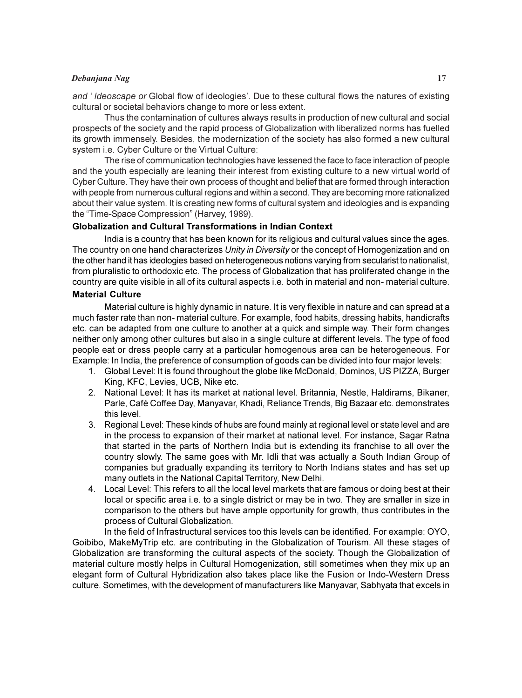#### Debanjana Nag 17

and ' Ideoscape or Global flow of ideologies'. Due to these cultural flows the natures of existing cultural or societal behaviors change to more or less extent.

Thus the contamination of cultures always results in production of new cultural and social prospects of the society and the rapid process of Globalization with liberalized norms has fuelled its growth immensely. Besides, the modernization of the society has also formed a new cultural system i.e. Cyber Culture or the Virtual Culture:

The rise of communication technologies have lessened the face to face interaction of people and the youth especially are leaning their interest from existing culture to a new virtual world of Cyber Culture. They have their own process of thought and belief that are formed through interaction with people from numerous cultural regions and within a second. They are becoming more rationalized about their value system. It is creating new forms of cultural system and ideologies and is expanding the "Time-Space Compression" (Harvey, 1989).

#### Globalization and Cultural Transformations in Indian Context

India is a country that has been known for its religious and cultural values since the ages. The country on one hand characterizes Unity in Diversity or the concept of Homogenization and on the other hand it has ideologies based on heterogeneous notions varying from secularist to nationalist, from pluralistic to orthodoxic etc. The process of Globalization that has proliferated change in the country are quite visible in all of its cultural aspects i.e. both in material and non- material culture.

#### Material Culture

Material culture is highly dynamic in nature. It is very flexible in nature and can spread at a much faster rate than non- material culture. For example, food habits, dressing habits, handicrafts etc. can be adapted from one culture to another at a quick and simple way. Their form changes neither only among other cultures but also in a single culture at different levels. The type of food people eat or dress people carry at a particular homogenous area can be heterogeneous. For Example: In India, the preference of consumption of goods can be divided into four major levels:

- 1. Global Level: It is found throughout the globe like McDonald, Dominos, US PIZZA, Burger King, KFC, Levies, UCB, Nike etc.
- 2. National Level: It has its market at national level. Britannia, Nestle, Haldirams, Bikaner, Parle, Café Coffee Day, Manyavar, Khadi, Reliance Trends, Big Bazaar etc. demonstrates this level.
- 3. Regional Level: These kinds of hubs are found mainly at regional level or state level and are in the process to expansion of their market at national level. For instance, Sagar Ratna that started in the parts of Northern India but is extending its franchise to all over the country slowly. The same goes with Mr. Idli that was actually a South Indian Group of companies but gradually expanding its territory to North Indians states and has set up many outlets in the National Capital Territory, New Delhi.
- 4. Local Level: This refers to all the local level markets that are famous or doing best at their local or specific area i.e. to a single district or may be in two. They are smaller in size in comparison to the others but have ample opportunity for growth, thus contributes in the process of Cultural Globalization.

In the field of Infrastructural services too this levels can be identified. For example: OYO, Goibibo, MakeMyTrip etc. are contributing in the Globalization of Tourism. All these stages of Globalization are transforming the cultural aspects of the society. Though the Globalization of material culture mostly helps in Cultural Homogenization, still sometimes when they mix up an elegant form of Cultural Hybridization also takes place like the Fusion or Indo-Western Dress culture. Sometimes, with the development of manufacturers like Manyavar, Sabhyata that excels in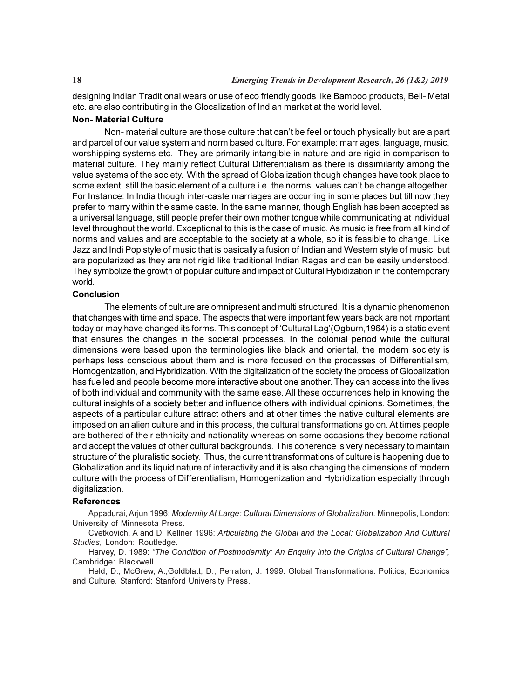designing Indian Traditional wears or use of eco friendly goods like Bamboo products, Bell- Metal etc. are also contributing in the Glocalization of Indian market at the world level.

#### Non- Material Culture

Non- material culture are those culture that can't be feel or touch physically but are a part and parcel of our value system and norm based culture. For example: marriages, language, music, worshipping systems etc. They are primarily intangible in nature and are rigid in comparison to material culture. They mainly reflect Cultural Differentialism as there is dissimilarity among the value systems of the society. With the spread of Globalization though changes have took place to some extent, still the basic element of a culture i.e. the norms, values can't be change altogether. For Instance: In India though inter-caste marriages are occurring in some places but till now they prefer to marry within the same caste. In the same manner, though English has been accepted as a universal language, still people prefer their own mother tongue while communicating at individual level throughout the world. Exceptional to this is the case of music. As music is free from all kind of norms and values and are acceptable to the society at a whole, so it is feasible to change. Like Jazz and Indi Pop style of music that is basically a fusion of Indian and Western style of music, but are popularized as they are not rigid like traditional Indian Ragas and can be easily understood. They symbolize the growth of popular culture and impact of Cultural Hybidization in the contemporary world.

#### Conclusion

The elements of culture are omnipresent and multi structured. It is a dynamic phenomenon that changes with time and space. The aspects that were important few years back are not important today or may have changed its forms. This concept of 'Cultural Lag'(Ogburn,1964) is a static event that ensures the changes in the societal processes. In the colonial period while the cultural dimensions were based upon the terminologies like black and oriental, the modern society is perhaps less conscious about them and is more focused on the processes of Differentialism, Homogenization, and Hybridization. With the digitalization of the society the process of Globalization has fuelled and people become more interactive about one another. They can access into the lives of both individual and community with the same ease. All these occurrences help in knowing the cultural insights of a society better and influence others with individual opinions. Sometimes, the aspects of a particular culture attract others and at other times the native cultural elements are imposed on an alien culture and in this process, the cultural transformations go on. At times people are bothered of their ethnicity and nationality whereas on some occasions they become rational and accept the values of other cultural backgrounds. This coherence is very necessary to maintain structure of the pluralistic society. Thus, the current transformations of culture is happening due to Globalization and its liquid nature of interactivity and it is also changing the dimensions of modern culture with the process of Differentialism, Homogenization and Hybridization especially through digitalization.

#### References

Appadurai, Arjun 1996: Modernity At Large: Cultural Dimensions of Globalization. Minnepolis, London: University of Minnesota Press.

Cvetkovich, A and D. Kellner 1996: Articulating the Global and the Local: Globalization And Cultural Studies, London: Routledge.

Harvey, D. 1989: "The Condition of Postmodernity: An Enquiry into the Origins of Cultural Change", Cambridge: Blackwell.

Held, D., McGrew, A.,Goldblatt, D., Perraton, J. 1999: Global Transformations: Politics, Economics and Culture. Stanford: Stanford University Press.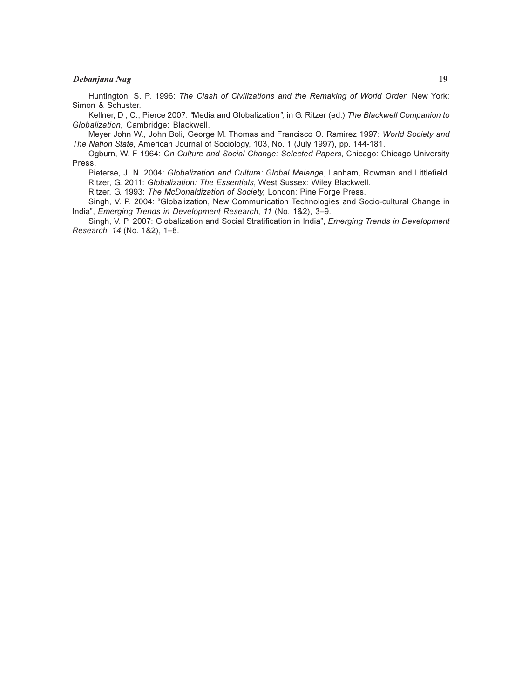#### Debanjana Nag 19

Huntington, S. P. 1996: The Clash of Civilizations and the Remaking of World Order, New York: Simon & Schuster.

Kellner, D , C., Pierce 2007: "Media and Globalization", in G. Ritzer (ed.) The Blackwell Companion to Globalization, Cambridge: Blackwell.

Meyer John W., John Boli, George M. Thomas and Francisco O. Ramirez 1997: World Society and The Nation State, American Journal of Sociology, 103, No. 1 (July 1997), pp. 144-181.

Ogburn, W. F 1964: On Culture and Social Change: Selected Papers, Chicago: Chicago University Press.

Pieterse, J. N. 2004: Globalization and Culture: Global Melange, Lanham, Rowman and Littlefield. Ritzer, G. 2011: Globalization: The Essentials, West Sussex: Wiley Blackwell.

Ritzer, G. 1993: The McDonaldization of Society, London: Pine Forge Press.

Singh, V. P. 2004: "Globalization, New Communication Technologies and Socio-cultural Change in India", Emerging Trends in Development Research, 11 (No. 1&2), 3–9.

Singh, V. P. 2007: Globalization and Social Stratification in India", *Emerging Trends in Development* Research, 14 (No. 1&2), 1–8.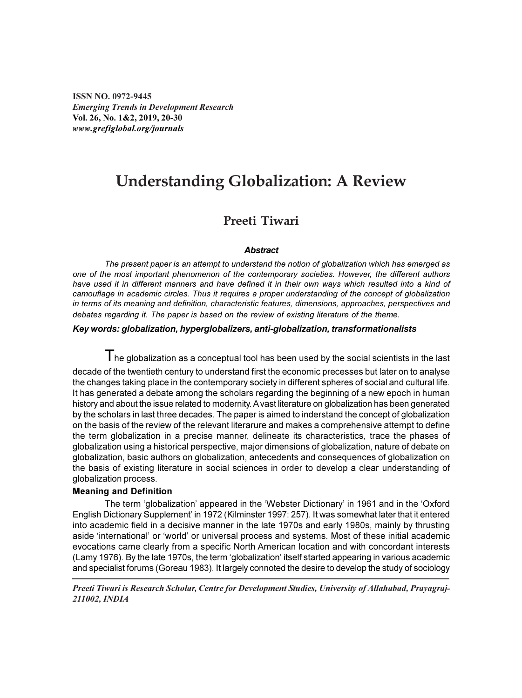ISSN NO. 0972-9445 Emerging Trends in Development Research Vol. 26, No. 1&2, 2019, 20-30 www.grefiglobal.org/journals

### Understanding Globalization: A Review

#### Preeti Tiwari

#### **Abstract**

The present paper is an attempt to understand the notion of globalization which has emerged as one of the most important phenomenon of the contemporary societies. However, the different authors have used it in different manners and have defined it in their own ways which resulted into a kind of camouflage in academic circles. Thus it requires a proper understanding of the concept of globalization in terms of its meaning and definition, characteristic features, dimensions, approaches, perspectives and debates regarding it. The paper is based on the review of existing literature of the theme.

#### Key words: globalization, hyperglobalizers, anti-globalization, transformationalists

 $\mathsf T$ he alobalization as a conceptual tool has been used by the social scientists in the last decade of the twentieth century to understand first the economic precesses but later on to analyse the changes taking place in the contemporary society in different spheres of social and cultural life. It has generated a debate among the scholars regarding the beginning of a new epoch in human history and about the issue related to modernity. A vast literature on globalization has been generated by the scholars in last three decades. The paper is aimed to inderstand the concept of globalization on the basis of the review of the relevant literarure and makes a comprehensive attempt to define the term globalization in a precise manner, delineate its characteristics, trace the phases of globalization using a historical perspective, major dimensions of globalization, nature of debate on globalization, basic authors on globalization, antecedents and consequences of globalization on the basis of existing literature in social sciences in order to develop a clear understanding of globalization process.

#### Meaning and Definition

The term 'globalization' appeared in the 'Webster Dictionary' in 1961 and in the 'Oxford English Dictionary Supplement' in 1972 (Kilminster 1997: 257). It was somewhat later that it entered into academic field in a decisive manner in the late 1970s and early 1980s, mainly by thrusting aside 'international' or 'world' or universal process and systems. Most of these initial academic evocations came clearly from a specific North American location and with concordant interests (Lamy 1976). By the late 1970s, the term 'globalization' itself started appearing in various academic and specialist forums (Goreau 1983). It largely connoted the desire to develop the study of sociology

Preeti Tiwari is Research Scholar, Centre for Development Studies, University of Allahabad, Prayagraj-211002, INDIA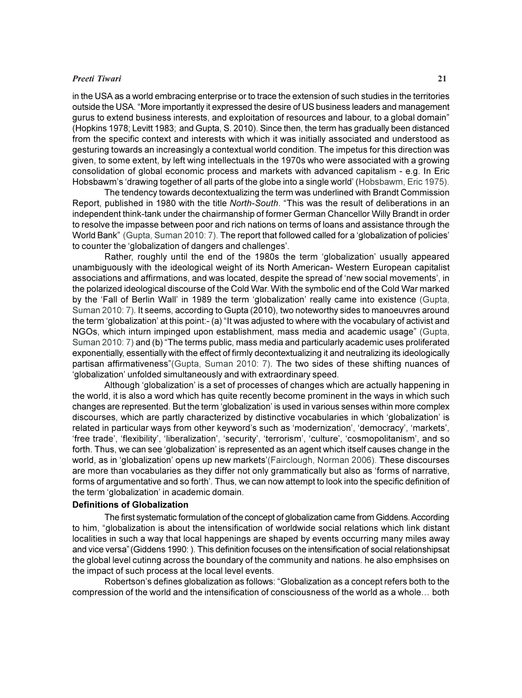#### Preeti Tiwari 21

in the USA as a world embracing enterprise or to trace the extension of such studies in the territories outside the USA. "More importantly it expressed the desire of US business leaders and management gurus to extend business interests, and exploitation of resources and labour, to a global domain" (Hopkins 1978; Levitt 1983; and Gupta, S. 2010). Since then, the term has gradually been distanced from the specific context and interests with which it was initially associated and understood as gesturing towards an increasingly a contextual world condition. The impetus for this direction was given, to some extent, by left wing intellectuals in the 1970s who were associated with a growing consolidation of global economic process and markets with advanced capitalism - e.g. In Eric Hobsbawm's 'drawing together of all parts of the globe into a single world' (Hobsbawm, Eric 1975).

The tendency towards decontextualizing the term was underlined with Brandt Commission Report, published in 1980 with the title North-South. "This was the result of deliberations in an independent think-tank under the chairmanship of former German Chancellor Willy Brandt in order to resolve the impasse between poor and rich nations on terms of loans and assistance through the World Bank" (Gupta, Suman 2010: 7). The report that followed called for a 'globalization of policies' to counter the 'globalization of dangers and challenges'.

Rather, roughly until the end of the 1980s the term 'globalization' usually appeared unambiguously with the ideological weight of its North American- Western European capitalist associations and affirmations, and was located, despite the spread of 'new social movements', in the polarized ideological discourse of the Cold War. With the symbolic end of the Cold War marked by the 'Fall of Berlin Wall' in 1989 the term 'globalization' really came into existence (Gupta, Suman 2010: 7). It seems, according to Gupta (2010), two noteworthy sides to manoeuvres around the term 'globalization' at this point:- (a) "It was adjusted to where with the vocabulary of activist and NGOs, which inturn impinged upon establishment, mass media and academic usage" (Gupta, Suman 2010: 7) and (b) "The terms public, mass media and particularly academic uses proliferated exponentially, essentially with the effect of firmly decontextualizing it and neutralizing its ideologically partisan affirmativeness"(Gupta, Suman 2010: 7). The two sides of these shifting nuances of 'globalization' unfolded simultaneously and with extraordinary speed.

Although 'globalization' is a set of processes of changes which are actually happening in the world, it is also a word which has quite recently become prominent in the ways in which such changes are represented. But the term 'globalization' is used in various senses within more complex discourses, which are partly characterized by distinctive vocabularies in which 'globalization' is related in particular ways from other keyword's such as 'modernization', 'democracy', 'markets', 'free trade', 'flexibility', 'liberalization', 'security', 'terrorism', 'culture', 'cosmopolitanism', and so forth. Thus, we can see 'globalization' is represented as an agent which itself causes change in the world, as in 'globalization' opens up new markets'(Fairclough, Norman 2006). These discourses are more than vocabularies as they differ not only grammatically but also as 'forms of narrative, forms of argumentative and so forth'. Thus, we can now attempt to look into the specific definition of the term 'globalization' in academic domain.

#### Definitions of Globalization

The first systematic formulation of the concept of globalization came from Giddens. According to him, "globalization is about the intensification of worldwide social relations which link distant localities in such a way that local happenings are shaped by events occurring many miles away and vice versa"(Giddens 1990: ). This definition focuses on the intensification of social relationshipsat the global level cutinng across the boundary of the community and nations. he also emphsises on the impact of such process at the local level events.

Robertson's defines globalization as follows: "Globalization as a concept refers both to the compression of the world and the intensification of consciousness of the world as a whole… both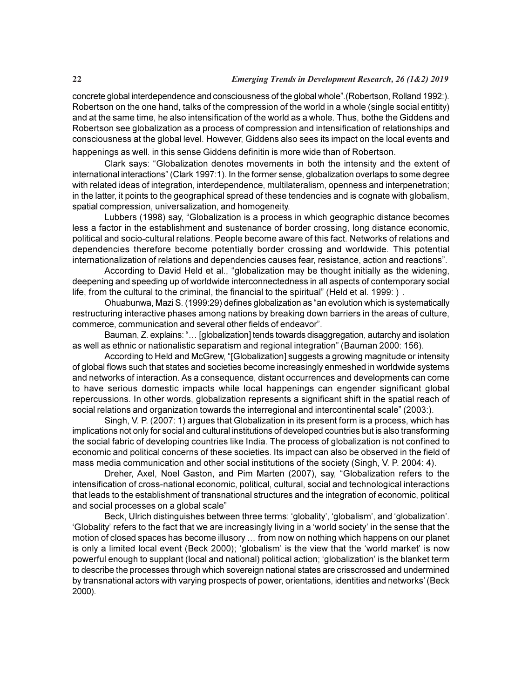concrete global interdependence and consciousness of the global whole".(Robertson, Rolland 1992:). Robertson on the one hand, talks of the compression of the world in a whole (single social entitity) and at the same time, he also intensification of the world as a whole. Thus, bothe the Giddens and Robertson see globalization as a process of compression and intensification of relationships and consciousness at the global level. However, Giddens also sees its impact on the local events and happenings as well. in this sense Giddens definitin is more wide than of Robertson.

Clark says: "Globalization denotes movements in both the intensity and the extent of international interactions" (Clark 1997:1). In the former sense, globalization overlaps to some degree with related ideas of integration, interdependence, multilateralism, openness and interpenetration; in the latter, it points to the geographical spread of these tendencies and is cognate with globalism, spatial compression, universalization, and homogeneity.

Lubbers (1998) say, "Globalization is a process in which geographic distance becomes less a factor in the establishment and sustenance of border crossing, long distance economic, political and socio-cultural relations. People become aware of this fact. Networks of relations and dependencies therefore become potentially border crossing and worldwide. This potential internationalization of relations and dependencies causes fear, resistance, action and reactions".

According to David Held et al., "globalization may be thought initially as the widening, deepening and speeding up of worldwide interconnectedness in all aspects of contemporary social life, from the cultural to the criminal, the financial to the spiritual" (Held et al. 1999:).

Ohuabunwa, Mazi S. (1999:29) defines globalization as "an evolution which is systematically restructuring interactive phases among nations by breaking down barriers in the areas of culture, commerce, communication and several other fields of endeavor".

Bauman, Z. explains: "… [globalization] tends towards disaggregation, autarchy and isolation as well as ethnic or nationalistic separatism and regional integration" (Bauman 2000: 156).

According to Held and McGrew, "[Globalization] suggests a growing magnitude or intensity of global flows such that states and societies become increasingly enmeshed in worldwide systems and networks of interaction. As a consequence, distant occurrences and developments can come to have serious domestic impacts while local happenings can engender significant global repercussions. In other words, globalization represents a significant shift in the spatial reach of social relations and organization towards the interregional and intercontinental scale" (2003:).

Singh, V. P. (2007: 1) argues that Globalization in its present form is a process, which has implications not only for social and cultural institutions of developed countries but is also transforming the social fabric of developing countries like India. The process of globalization is not confined to economic and political concerns of these societies. Its impact can also be observed in the field of mass media communication and other social institutions of the society (Singh, V. P. 2004: 4).

Dreher, Axel, Noel Gaston, and Pim Marten (2007), say, "Globalization refers to the intensification of cross-national economic, political, cultural, social and technological interactions that leads to the establishment of transnational structures and the integration of economic, political and social processes on a global scale"

Beck, Ulrich distinguishes between three terms: 'globality', 'globalism', and 'globalization'. 'Globality' refers to the fact that we are increasingly living in a 'world society' in the sense that the motion of closed spaces has become illusory … from now on nothing which happens on our planet is only a limited local event (Beck 2000); 'globalism' is the view that the 'world market' is now powerful enough to supplant (local and national) political action; 'globalization' is the blanket term to describe the processes through which sovereign national states are crisscrossed and undermined by transnational actors with varying prospects of power, orientations, identities and networks' (Beck 2000).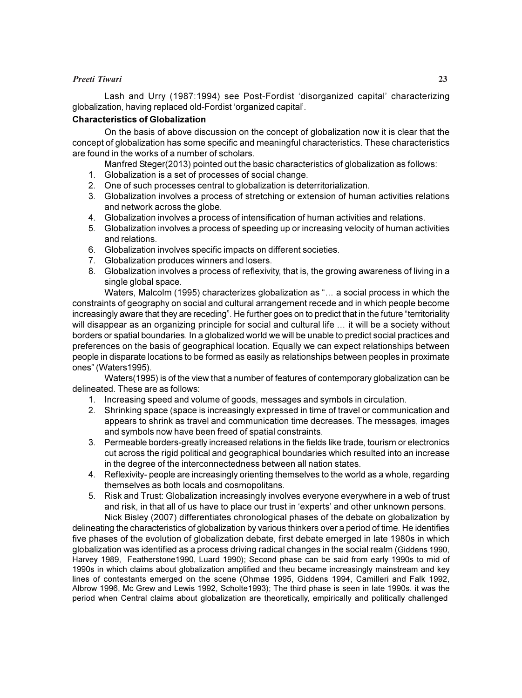#### Preeti Tiwari 23

Lash and Urry (1987:1994) see Post-Fordist 'disorganized capital' characterizing globalization, having replaced old-Fordist 'organized capital'.

#### Characteristics of Globalization

On the basis of above discussion on the concept of globalization now it is clear that the concept of globalization has some specific and meaningful characteristics. These characteristics are found in the works of a number of scholars.

Manfred Steger(2013) pointed out the basic characteristics of globalization as follows:

- 1. Globalization is a set of processes of social change.
- 2. One of such processes central to globalization is deterritorialization.
- 3. Globalization involves a process of stretching or extension of human activities relations and network across the globe.
- 4. Globalization involves a process of intensification of human activities and relations.
- 5. Globalization involves a process of speeding up or increasing velocity of human activities and relations.
- 6. Globalization involves specific impacts on different societies.
- 7. Globalization produces winners and losers.
- 8. Globalization involves a process of reflexivity, that is, the growing awareness of living in a single global space.

Waters, Malcolm (1995) characterizes globalization as "… a social process in which the constraints of geography on social and cultural arrangement recede and in which people become increasingly aware that they are receding". He further goes on to predict that in the future "territoriality will disappear as an organizing principle for social and cultural life … it will be a society without borders or spatial boundaries. In a globalized world we will be unable to predict social practices and preferences on the basis of geographical location. Equally we can expect relationships between people in disparate locations to be formed as easily as relationships between peoples in proximate ones" (Waters1995).

Waters(1995) is of the view that a number of features of contemporary globalization can be delineated. These are as follows:

- 1. Increasing speed and volume of goods, messages and symbols in circulation.
- 2. Shrinking space (space is increasingly expressed in time of travel or communication and appears to shrink as travel and communication time decreases. The messages, images and symbols now have been freed of spatial constraints.
- 3. Permeable borders-greatly increased relations in the fields like trade, tourism or electronics cut across the rigid political and geographical boundaries which resulted into an increase in the degree of the interconnectedness between all nation states.
- 4. Reflexivity- people are increasingly orienting themselves to the world as a whole, regarding themselves as both locals and cosmopolitans.
- 5. Risk and Trust: Globalization increasingly involves everyone everywhere in a web of trust and risk, in that all of us have to place our trust in 'experts' and other unknown persons. Nick Bisley (2007) differentiates chronological phases of the debate on globalization by

delineating the characteristics of globalization by various thinkers over a period of time. He identifies five phases of the evolution of globalization debate, first debate emerged in late 1980s in which globalization was identified as a process driving radical changes in the social realm (Giddens 1990, Harvey 1989, Featherstone1990, Luard 1990); Second phase can be said from early 1990s to mid of 1990s in which claims about globalization amplified and theu became increasingly mainstream and key lines of contestants emerged on the scene (Ohmae 1995, Giddens 1994, Camilleri and Falk 1992, Albrow 1996, Mc Grew and Lewis 1992, Scholte1993); The third phase is seen in late 1990s. it was the period when Central claims about globalization are theoretically, empirically and politically challenged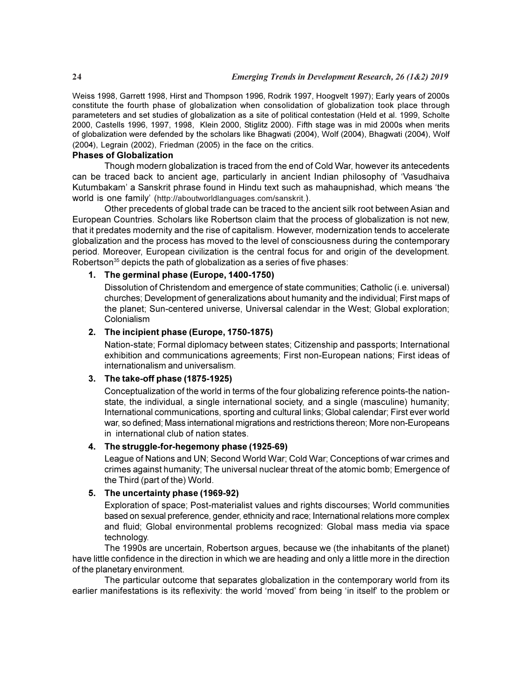Weiss 1998, Garrett 1998, Hirst and Thompson 1996, Rodrik 1997, Hoogvelt 1997); Early years of 2000s constitute the fourth phase of globalization when consolidation of globalization took place through parameteters and set studies of globalization as a site of political contestation (Held et al. 1999, Scholte 2000, Castells 1996, 1997, 1998, Klein 2000, Stiglitz 2000). Fifth stage was in mid 2000s when merits of globalization were defended by the scholars like Bhagwati (2004), Wolf (2004), Bhagwati (2004), Wolf (2004), Legrain (2002), Friedman (2005) in the face on the critics.

#### Phases of Globalization

Though modern globalization is traced from the end of Cold War, however its antecedents can be traced back to ancient age, particularly in ancient Indian philosophy of 'Vasudhaiva Kutumbakam' a Sanskrit phrase found in Hindu text such as mahaupnishad, which means 'the world is one family' (http://aboutworldlanguages.com/sanskrit.).

Other precedents of global trade can be traced to the ancient silk root between Asian and European Countries. Scholars like Robertson claim that the process of globalization is not new, that it predates modernity and the rise of capitalism. However, modernization tends to accelerate globalization and the process has moved to the level of consciousness during the contemporary period. Moreover, European civilization is the central focus for and origin of the development. Robertson $35$  depicts the path of globalization as a series of five phases:

#### 1. The germinal phase (Europe, 1400-1750)

Dissolution of Christendom and emergence of state communities; Catholic (i.e. universal) churches; Development of generalizations about humanity and the individual; First maps of the planet; Sun-centered universe, Universal calendar in the West; Global exploration; Colonialism

#### 2. The incipient phase (Europe, 1750-1875)

Nation-state; Formal diplomacy between states; Citizenship and passports; International exhibition and communications agreements; First non-European nations; First ideas of internationalism and universalism.

#### 3. The take-off phase (1875-1925)

Conceptualization of the world in terms of the four globalizing reference points-the nationstate, the individual, a single international society, and a single (masculine) humanity; International communications, sporting and cultural links; Global calendar; First ever world war, so defined; Mass international migrations and restrictions thereon; More non-Europeans in international club of nation states.

#### 4. The struggle-for-hegemony phase (1925-69)

League of Nations and UN; Second World War; Cold War; Conceptions of war crimes and crimes against humanity; The universal nuclear threat of the atomic bomb; Emergence of the Third (part of the) World.

#### 5. The uncertainty phase (1969-92)

Exploration of space; Post-materialist values and rights discourses; World communities based on sexual preference, gender, ethnicity and race; International relations more complex and fluid; Global environmental problems recognized: Global mass media via space technology.

The 1990s are uncertain, Robertson argues, because we (the inhabitants of the planet) have little confidence in the direction in which we are heading and only a little more in the direction of the planetary environment.

The particular outcome that separates globalization in the contemporary world from its earlier manifestations is its reflexivity: the world 'moved' from being 'in itself' to the problem or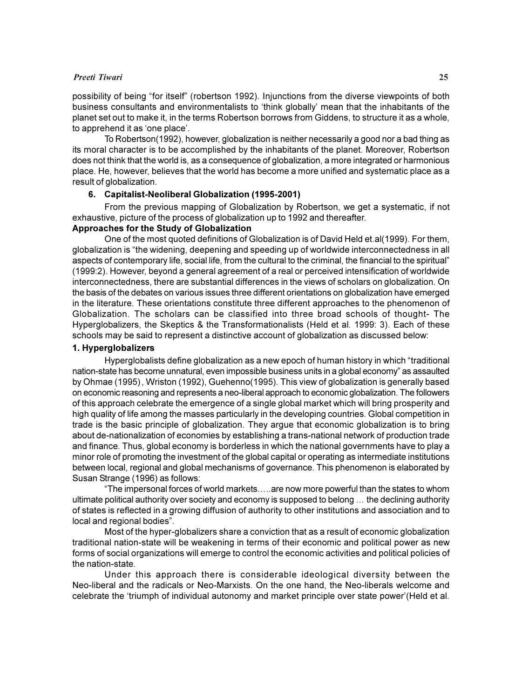#### Preeti Tiwari 25

possibility of being "for itself" (robertson 1992). Injunctions from the diverse viewpoints of both business consultants and environmentalists to 'think globally' mean that the inhabitants of the planet set out to make it, in the terms Robertson borrows from Giddens, to structure it as a whole, to apprehend it as 'one place'.

To Robertson(1992), however, globalization is neither necessarily a good nor a bad thing as its moral character is to be accomplished by the inhabitants of the planet. Moreover, Robertson does not think that the world is, as a consequence of globalization, a more integrated or harmonious place. He, however, believes that the world has become a more unified and systematic place as a result of globalization.

#### 6. Capitalist-Neoliberal Globalization (1995-2001)

From the previous mapping of Globalization by Robertson, we get a systematic, if not exhaustive, picture of the process of globalization up to 1992 and thereafter.

#### Approaches for the Study of Globalization

One of the most quoted definitions of Globalization is of David Held et.al(1999). For them, globalization is "the widening, deepening and speeding up of worldwide interconnectedness in all aspects of contemporary life, social life, from the cultural to the criminal, the financial to the spiritual" (1999:2). However, beyond a general agreement of a real or perceived intensification of worldwide interconnectedness, there are substantial differences in the views of scholars on globalization. On the basis of the debates on various issues three different orientations on globalization have emerged in the literature. These orientations constitute three different approaches to the phenomenon of Globalization. The scholars can be classified into three broad schools of thought- The Hyperglobalizers, the Skeptics & the Transformationalists (Held et al. 1999: 3). Each of these schools may be said to represent a distinctive account of globalization as discussed below:

#### 1. Hyperglobalizers

Hyperglobalists define globalization as a new epoch of human history in which "traditional nation-state has become unnatural, even impossible business units in a global economy" as assaulted by Ohmae (1995), Wriston (1992), Guehenno(1995). This view of globalization is generally based on economic reasoning and represents a neo-liberal approach to economic globalization. The followers of this approach celebrate the emergence of a single global market which will bring prosperity and high quality of life among the masses particularly in the developing countries. Global competition in trade is the basic principle of globalization. They argue that economic globalization is to bring about de-nationalization of economies by establishing a trans-national network of production trade and finance. Thus, global economy is borderless in which the national governments have to play a minor role of promoting the investment of the global capital or operating as intermediate institutions between local, regional and global mechanisms of governance. This phenomenon is elaborated by Susan Strange (1996) as follows:

"The impersonal forces of world markets…..are now more powerful than the states to whom ultimate political authority over society and economy is supposed to belong … the declining authority of states is reflected in a growing diffusion of authority to other institutions and association and to local and regional bodies".

Most of the hyper-globalizers share a conviction that as a result of economic globalization traditional nation-state will be weakening in terms of their economic and political power as new forms of social organizations will emerge to control the economic activities and political policies of the nation-state.

Under this approach there is considerable ideological diversity between the Neo-liberal and the radicals or Neo-Marxists. On the one hand, the Neo-liberals welcome and celebrate the 'triumph of individual autonomy and market principle over state power'(Held et al.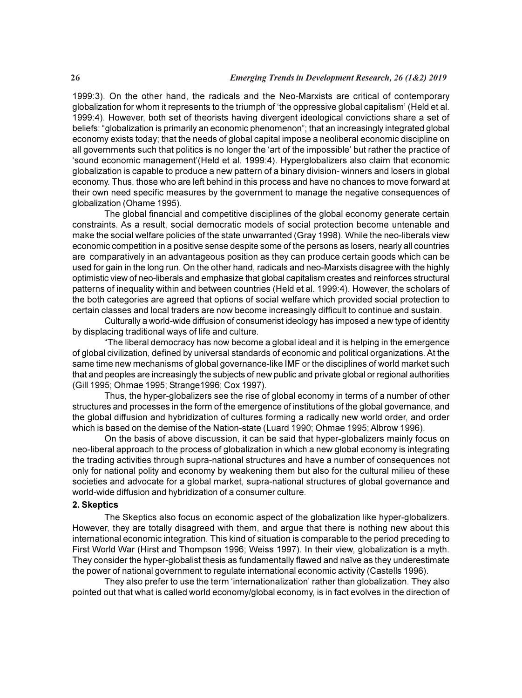1999:3). On the other hand, the radicals and the Neo-Marxists are critical of contemporary globalization for whom it represents to the triumph of 'the oppressive global capitalism' (Held et al. 1999:4). However, both set of theorists having divergent ideological convictions share a set of beliefs: "globalization is primarily an economic phenomenon"; that an increasingly integrated global economy exists today; that the needs of global capital impose a neoliberal economic discipline on all governments such that politics is no longer the 'art of the impossible' but rather the practice of 'sound economic management'(Held et al. 1999:4). Hyperglobalizers also claim that economic globalization is capable to produce a new pattern of a binary division- winners and losers in global economy. Thus, those who are left behind in this process and have no chances to move forward at their own need specific measures by the government to manage the negative consequences of globalization (Ohame 1995).

The global financial and competitive disciplines of the global economy generate certain constraints. As a result, social democratic models of social protection become untenable and make the social welfare policies of the state unwarranted (Gray 1998). While the neo-liberals view economic competition in a positive sense despite some of the persons as losers, nearly all countries are comparatively in an advantageous position as they can produce certain goods which can be used for gain in the long run. On the other hand, radicals and neo-Marxists disagree with the highly optimistic view of neo-liberals and emphasize that global capitalism creates and reinforces structural patterns of inequality within and between countries (Held et al. 1999:4). However, the scholars of the both categories are agreed that options of social welfare which provided social protection to certain classes and local traders are now become increasingly difficult to continue and sustain.

Culturally a world-wide diffusion of consumerist ideology has imposed a new type of identity by displacing traditional ways of life and culture.

"The liberal democracy has now become a global ideal and it is helping in the emergence of global civilization, defined by universal standards of economic and political organizations. At the same time new mechanisms of global governance-like IMF or the disciplines of world market such that and peoples are increasingly the subjects of new public and private global or regional authorities (Gill 1995; Ohmae 1995; Strange1996; Cox 1997).

Thus, the hyper-globalizers see the rise of global economy in terms of a number of other structures and processes in the form of the emergence of institutions of the global governance, and the global diffusion and hybridization of cultures forming a radically new world order, and order which is based on the demise of the Nation-state (Luard 1990; Ohmae 1995; Albrow 1996).

On the basis of above discussion, it can be said that hyper-globalizers mainly focus on neo-liberal approach to the process of globalization in which a new global economy is integrating the trading activities through supra-national structures and have a number of consequences not only for national polity and economy by weakening them but also for the cultural milieu of these societies and advocate for a global market, supra-national structures of global governance and world-wide diffusion and hybridization of a consumer culture.

#### 2. Skeptics

The Skeptics also focus on economic aspect of the globalization like hyper-globalizers. However, they are totally disagreed with them, and argue that there is nothing new about this international economic integration. This kind of situation is comparable to the period preceding to First World War (Hirst and Thompson 1996; Weiss 1997). In their view, globalization is a myth. They consider the hyper-globalist thesis as fundamentally flawed and naïve as they underestimate the power of national government to regulate international economic activity (Castells 1996).

They also prefer to use the term 'internationalization' rather than globalization. They also pointed out that what is called world economy/global economy, is in fact evolves in the direction of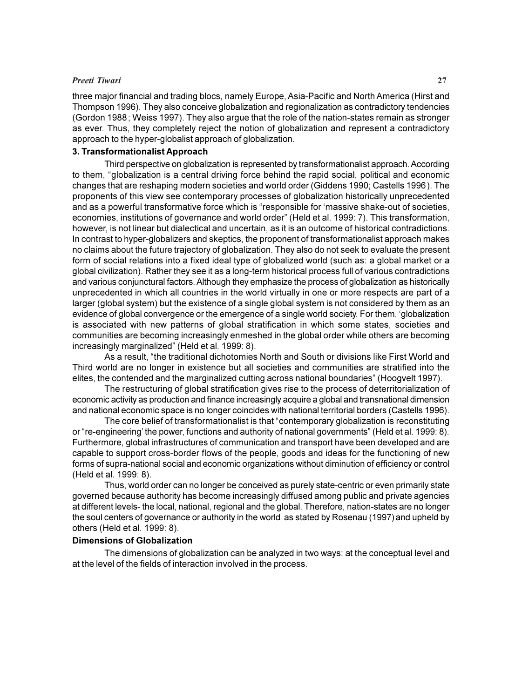#### Preeti Tiwari 27

three major financial and trading blocs, namely Europe, Asia-Pacific and North America (Hirst and Thompson 1996). They also conceive globalization and regionalization as contradictory tendencies (Gordon 1988; Weiss 1997). They also argue that the role of the nation-states remain as stronger as ever. Thus, they completely reject the notion of globalization and represent a contradictory approach to the hyper-globalist approach of globalization.

#### 3. Transformationalist Approach

Third perspective on globalization is represented by transformationalist approach. According to them, "globalization is a central driving force behind the rapid social, political and economic changes that are reshaping modern societies and world order (Giddens 1990; Castells 1996). The proponents of this view see contemporary processes of globalization historically unprecedented and as a powerful transformative force which is "responsible for 'massive shake-out of societies, economies, institutions of governance and world order" (Held et al. 1999: 7). This transformation, however, is not linear but dialectical and uncertain, as it is an outcome of historical contradictions. In contrast to hyper-globalizers and skeptics, the proponent of transformationalist approach makes no claims about the future trajectory of globalization. They also do not seek to evaluate the present form of social relations into a fixed ideal type of globalized world (such as: a global market or a global civilization). Rather they see it as a long-term historical process full of various contradictions and various conjunctural factors. Although they emphasize the process of globalization as historically unprecedented in which all countries in the world virtually in one or more respects are part of a larger (global system) but the existence of a single global system is not considered by them as an evidence of global convergence or the emergence of a single world society. For them, 'globalization is associated with new patterns of global stratification in which some states, societies and communities are becoming increasingly enmeshed in the global order while others are becoming increasingly marginalized" (Held et al. 1999: 8).

As a result, "the traditional dichotomies North and South or divisions like First World and Third world are no longer in existence but all societies and communities are stratified into the elites, the contended and the marginalized cutting across national boundaries" (Hoogvelt 1997).

The restructuring of global stratification gives rise to the process of deterritorialization of economic activity as production and finance increasingly acquire a global and transnational dimension and national economic space is no longer coincides with national territorial borders (Castells 1996).

The core belief of transformationalist is that "contemporary globalization is reconstituting or "re-engineering' the power, functions and authority of national governments" (Held et al. 1999: 8). Furthermore, global infrastructures of communication and transport have been developed and are capable to support cross-border flows of the people, goods and ideas for the functioning of new forms of supra-national social and economic organizations without diminution of efficiency or control (Held et al. 1999: 8).

Thus, world order can no longer be conceived as purely state-centric or even primarily state governed because authority has become increasingly diffused among public and private agencies at different levels- the local, national, regional and the global. Therefore, nation-states are no longer the soul centers of governance or authority in the world as stated by Rosenau (1997) and upheld by others (Held et al. 1999: 8).

#### Dimensions of Globalization

The dimensions of globalization can be analyzed in two ways: at the conceptual level and at the level of the fields of interaction involved in the process.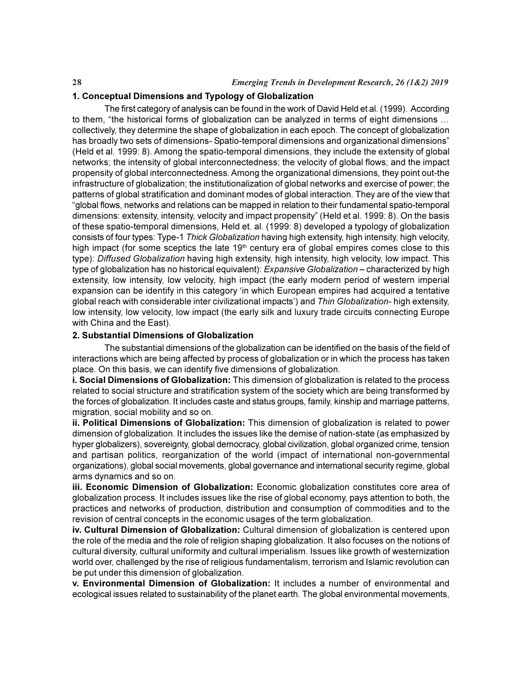#### 1. Conceptual Dimensions and Typology of Globalization

The first category of analysis can be found in the work of David Held et al. (1999). According to them, "the historical forms of globalization can be analyzed in terms of eight dimensions … collectively, they determine the shape of globalization in each epoch. The concept of globalization has broadly two sets of dimensions- Spatio-temporal dimensions and organizational dimensions" (Held et al. 1999: 8). Among the spatio-temporal dimensions, they include the extensity of global networks; the intensity of global interconnectedness; the velocity of global flows; and the impact propensity of global interconnectedness. Among the organizational dimensions, they point out-the infrastructure of globalization; the institutionalization of global networks and exercise of power; the patterns of global stratification and dominant modes of global interaction. They are of the view that "global flows, networks and relations can be mapped in relation to their fundamental spatio-temporal dimensions: extensity, intensity, velocity and impact propensity" (Held et al. 1999: 8). On the basis of these spatio-temporal dimensions, Held et. al. (1999: 8) developed a typology of globalization consists of four types: Type-1 Thick Globalization having high extensity, high intensity, high velocity, high impact (for some sceptics the late  $19<sup>th</sup>$  century era of global empires comes close to this type): Diffused Globalization having high extensity, high intensity, high velocity, low impact. This type of globalization has no historical equivalent): *Expansive Globalization* – characterized by high extensity, low intensity, low velocity, high impact (the early modern period of western imperial expansion can be identify in this category 'in which European empires had acquired a tentative global reach with considerable inter civilizational impacts') and Thin Globalization- high extensity, low intensity, low velocity, low impact (the early silk and luxury trade circuits connecting Europe with China and the East).

#### 2. Substantial Dimensions of Globalization

The substantial dimensions of the globalization can be identified on the basis of the field of interactions which are being affected by process of globalization or in which the process has taken place. On this basis, we can identify five dimensions of globalization.

i. Social Dimensions of Globalization: This dimension of globalization is related to the process related to social structure and stratification system of the society which are being transformed by the forces of globalization. It includes caste and status groups, family, kinship and marriage patterns, migration, social mobility and so on.

ii. Political Dimensions of Globalization: This dimension of globalization is related to power dimension of globalization. It includes the issues like the demise of nation-state (as emphasized by hyper globalizers), sovereignty, global democracy, global civilization, global organized crime, tension and partisan politics, reorganization of the world (impact of international non-governmental organizations), global social movements, global governance and international security regime, global arms dynamics and so on.

iii. Economic Dimension of Globalization: Economic globalization constitutes core area of globalization process. It includes issues like the rise of global economy, pays attention to both, the practices and networks of production, distribution and consumption of commodities and to the revision of central concepts in the economic usages of the term globalization.

iv. Cultural Dimension of Globalization: Cultural dimension of globalization is centered upon the role of the media and the role of religion shaping globalization. It also focuses on the notions of cultural diversity, cultural uniformity and cultural imperialism. Issues like growth of westernization world over, challenged by the rise of religious fundamentalism, terrorism and Islamic revolution can be put under this dimension of globalization.

v. Environmental Dimension of Globalization: It includes a number of environmental and ecological issues related to sustainability of the planet earth. The global environmental movements,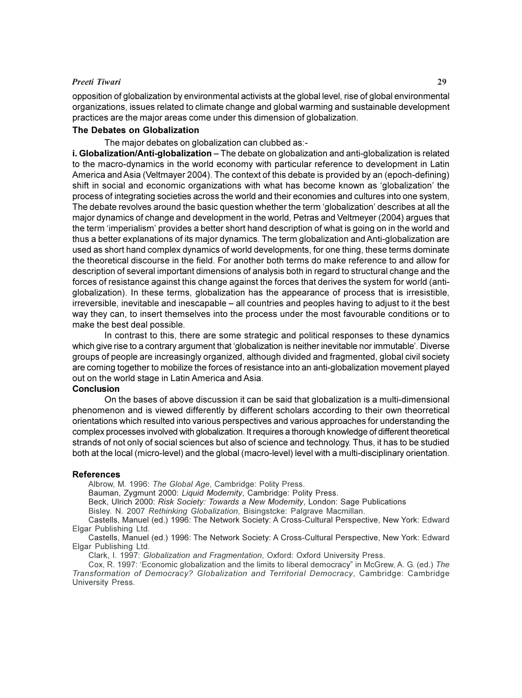#### Preeti Tiwari 29

opposition of globalization by environmental activists at the global level, rise of global environmental organizations, issues related to climate change and global warming and sustainable development practices are the major areas come under this dimension of globalization.

#### The Debates on Globalization

The major debates on globalization can clubbed as:-

i. Globalization/Anti-globalization – The debate on globalization and anti-globalization is related to the macro-dynamics in the world economy with particular reference to development in Latin America and Asia (Veltmayer 2004). The context of this debate is provided by an (epoch-defining) shift in social and economic organizations with what has become known as 'globalization' the process of integrating societies across the world and their economies and cultures into one system, The debate revolves around the basic question whether the term 'globalization' describes at all the major dynamics of change and development in the world, Petras and Veltmeyer (2004) argues that the term 'imperialism' provides a better short hand description of what is going on in the world and thus a better explanations of its major dynamics. The term globalization and Anti-globalization are used as short hand complex dynamics of world developments, for one thing, these terms dominate the theoretical discourse in the field. For another both terms do make reference to and allow for description of several important dimensions of analysis both in regard to structural change and the forces of resistance against this change against the forces that derives the system for world (antiglobalization). In these terms, globalization has the appearance of process that is irresistible, irreversible, inevitable and inescapable – all countries and peoples having to adjust to it the best way they can, to insert themselves into the process under the most favourable conditions or to make the best deal possible.

In contrast to this, there are some strategic and political responses to these dynamics which give rise to a contrary argument that 'globalization is neither inevitable nor immutable'. Diverse groups of people are increasingly organized, although divided and fragmented, global civil society are coming together to mobilize the forces of resistance into an anti-globalization movement played out on the world stage in Latin America and Asia.

#### **Conclusion**

On the bases of above discussion it can be said that globalization is a multi-dimensional phenomenon and is viewed differently by different scholars according to their own theorretical orientations which resulted into various perspectives and various approaches for understanding the complex processes involved with globalization. It requires a thorough knowledge of different theoretical strands of not only of social sciences but also of science and technology. Thus, it has to be studied both at the local (micro-level) and the global (macro-level) level with a multi-disciplinary orientation.

#### References

Albrow, M. 1996: The Global Age, Cambridge: Polity Press.

Bauman, Zygmunt 2000: Liquid Modernity, Cambridge: Polity Press.

Beck, Ulrich 2000: Risk Society: Towards a New Modernity, London: Sage Publications

Bisley. N. 2007 Rethinking Globalization, Bisingstcke: Palgrave Macmillan.

Castells, Manuel (ed.) 1996: The Network Society: A Cross-Cultural Perspective, New York: Edward Elgar Publishing Ltd.

Castells, Manuel (ed.) 1996: The Network Society: A Cross-Cultural Perspective, New York: Edward Elgar Publishing Ltd.

Clark, I. 1997: Globalization and Fragmentation, Oxford: Oxford University Press.

Cox, R. 1997: 'Economic globalization and the limits to liberal democracy" in McGrew, A. G. (ed.) The Transformation of Democracy? Globalization and Territorial Democracy, Cambridge: Cambridge University Press.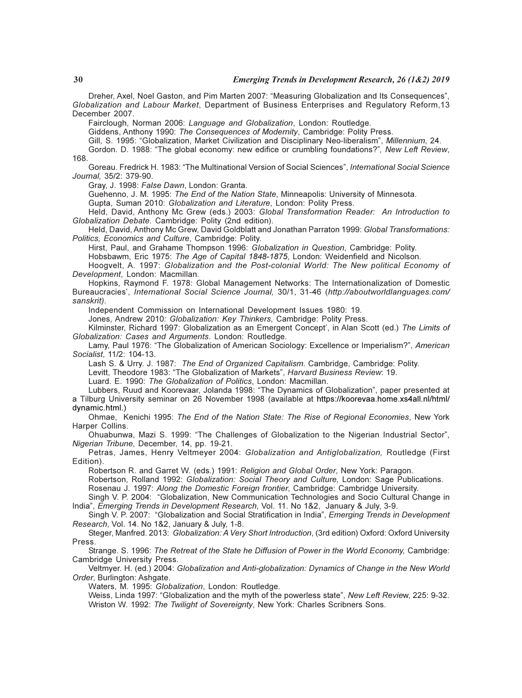Dreher, Axel, Noel Gaston, and Pim Marten 2007: "Measuring Globalization and Its Consequences", Globalization and Labour Market, Department of Business Enterprises and Regulatory Reform,13 December 2007.

Fairclough, Norman 2006: Language and Globalization, London: Routledge.

Giddens, Anthony 1990: The Consequences of Modernity, Cambridge: Polity Press.

Gill, S. 1995: "Globalization, Market Civilization and Disciplinary Neo-liberalism", Millennium, 24.

Gordon. D. 1988: "The global economy: new edifice or crumbling foundations?", New Left Review, 168.

Goreau. Fredrick H. 1983: "The Multinational Version of Social Sciences", International Social Science Journal, 35/2: 379-90.

Gray, J. 1998: False Dawn, London: Granta.

Guehenno, J. M. 1995: The End of the Nation State, Minneapolis: University of Minnesota.

Gupta, Suman 2010: Globalization and Literature, London: Polity Press.

Held, David, Anthony Mc Grew (eds.) 2003: Global Transformation Reader: An Introduction to Globalization Debate. Cambridge: Polity (2nd edition).

Held, David, Anthony Mc Grew, David Goldblatt and Jonathan Parraton 1999: Global Transformations: Politics, Economics and Culture, Cambridge: Polity.

Hirst, Paul, and Grahame Thompson 1996: Globalization in Question, Cambridge: Polity.

Hobsbawm, Eric 1975: The Age of Capital 1848-1875, London: Weidenfield and Nicolson.

Hoogvelt, A. 1997: Globalization and the Post-colonial World: The New political Economy of Development, London: Macmillan.

Hopkins, Raymond F. 1978: Global Management Networks: The Internationalization of Domestic Bureaucracies', International Social Science Journal, 30/1, 31-46 (http://aboutworldlanguages.com/ sanskrit).

Independent Commission on International Development Issues 1980: 19.

Jones, Andrew 2010: Globalization: Key Thinkers, Cambridge: Polity Press.

Kilminster, Richard 1997: Globalization as an Emergent Concept', in Alan Scott (ed.) The Limits of Globalization: Cases and Arguments. London: Routledge.

Lamy, Paul 1976: "The Globalization of American Sociology: Excellence or Imperialism?", American Socialist, 11/2: 104-13.

Lash S. & Urry. J. 1987: The End of Organized Capitalism. Cambridge, Cambridge: Polity.

Levitt, Theodore 1983: "The Globalization of Markets", Harvard Business Review: 19.

Luard. E. 1990: The Globalization of Politics, London: Macmillan.

Lubbers, Ruud and Koorevaar, Jolanda 1998: "The Dynamics of Globalization", paper presented at a Tilburg University seminar on 26 November 1998 (available at https://koorevaa.home.xs4all.nl/html/ dynamic.html.)

Ohmae, Kenichi 1995: The End of the Nation State: The Rise of Regional Economies, New York Harper Collins.

Ohuabunwa, Mazi S. 1999: "The Challenges of Globalization to the Nigerian Industrial Sector", Nigerian Tribune, December, 14, pp. 19-21.

Petras, James, Henry Veltmeyer 2004: Globalization and Antiglobalization, Routledge (First Edition).

Robertson R. and Garret W. (eds.) 1991: Religion and Global Order, New York: Paragon.

Robertson, Rolland 1992: Globalization: Social Theory and Culture, London: Sage Publications. Rosenau J. 1997: Along the Domestic Foreign frontier, Cambridge: Cambridge University.

Singh V. P. 2004: "Globalization, New Communication Technologies and Socio Cultural Change in India", Emerging Trends in Development Research, Vol. 11. No 1&2, January & July, 3-9.

Singh V. P. 2007: "Globalization and Social Stratification in India", *Emerging Trends in Development* Research, Vol. 14. No 1&2, January & July, 1-8.

Steger, Manfred. 2013: Globalization: A Very Short Introduction, (3rd edition) Oxford: Oxford University Press.

Strange. S. 1996: The Retreat of the State he Diffusion of Power in the World Economy, Cambridge: Cambridge University Press.

Veltmyer. H. (ed.) 2004: Globalization and Anti-globalization: Dynamics of Change in the New World Order, Burlington: Ashgate.

Waters, M. 1995: Globalization, London: Routledge.

Weiss, Linda 1997: "Globalization and the myth of the powerless state", New Left Review, 225: 9-32. Wriston W. 1992: The Twilight of Sovereignty, New York: Charles Scribners Sons.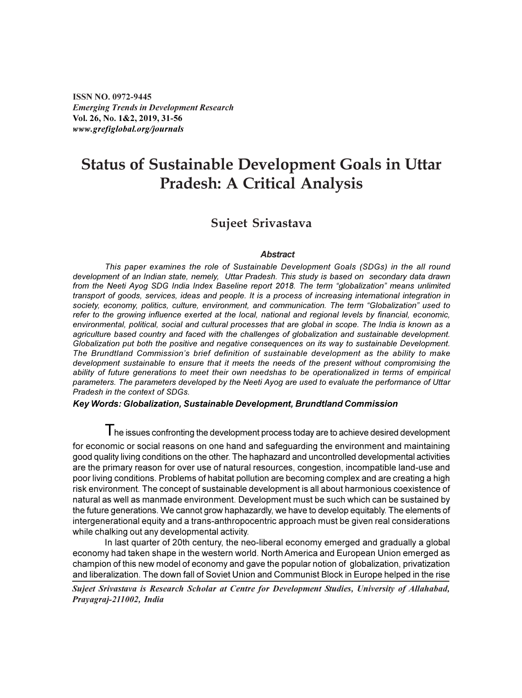ISSN NO. 0972-9445 Emerging Trends in Development Research Vol. 26, No. 1&2, 2019, 31-56 www.grefiglobal.org/journals

### Status of Sustainable Development Goals in Uttar Pradesh: A Critical Analysis

#### Sujeet Srivastava

#### **Abstract**

This paper examines the role of Sustainable Development Goals (SDGs) in the all round development of an Indian state, nemely, Uttar Pradesh. This study is based on secondary data drawn from the Neeti Ayog SDG India Index Baseline report 2018. The term "globalization" means unlimited transport of goods, services, ideas and people. It is a process of increasing international integration in society, economy, politics, culture, environment, and communication. The term "Globalization" used to refer to the growing influence exerted at the local, national and regional levels by financial, economic, environmental, political, social and cultural processes that are global in scope. The India is known as a agriculture based country and faced with the challenges of globalization and sustainable development. Globalization put both the positive and negative consequences on its way to sustainable Development. The Brundtland Commission's brief definition of sustainable development as the ability to make development sustainable to ensure that it meets the needs of the present without compromising the ability of future generations to meet their own needshas to be operationalized in terms of empirical parameters. The parameters developed by the Neeti Ayog are used to evaluate the performance of Uttar Pradesh in the context of SDGs.

#### Key Words: Globalization, Sustainable Development, Brundtland Commission

I he issues confronting the development process today are to achieve desired development

for economic or social reasons on one hand and safeguarding the environment and maintaining good quality living conditions on the other. The haphazard and uncontrolled developmental activities are the primary reason for over use of natural resources, congestion, incompatible land-use and poor living conditions. Problems of habitat pollution are becoming complex and are creating a high risk environment. The concept of sustainable development is all about harmonious coexistence of natural as well as manmade environment. Development must be such which can be sustained by the future generations. We cannot grow haphazardly, we have to develop equitably. The elements of intergenerational equity and a trans-anthropocentric approach must be given real considerations while chalking out any developmental activity.

In last quarter of 20th century, the neo-liberal economy emerged and gradually a global economy had taken shape in the western world. North America and European Union emerged as champion of this new model of economy and gave the popular notion of globalization, privatization and liberalization. The down fall of Soviet Union and Communist Block in Europe helped in the rise

Sujeet Srivastava is Research Scholar at Centre for Development Studies, University of Allahabad, Prayagraj-211002, India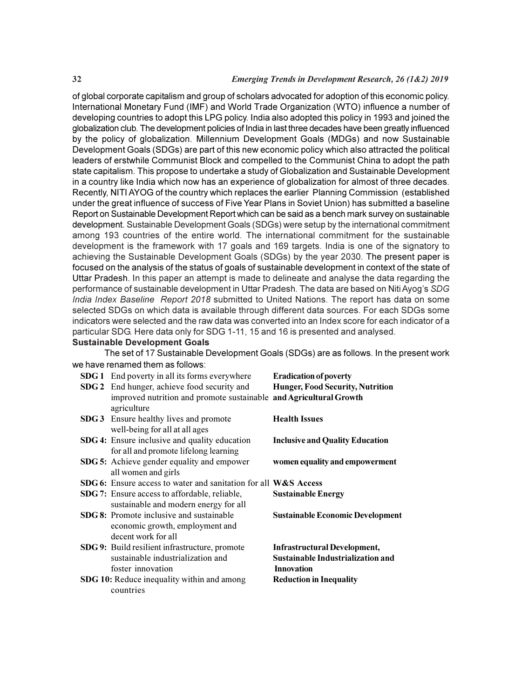of global corporate capitalism and group of scholars advocated for adoption of this economic policy. International Monetary Fund (IMF) and World Trade Organization (WTO) influence a number of developing countries to adopt this LPG policy. India also adopted this policy in 1993 and joined the globalization club. The development policies of India in last three decades have been greatly influenced by the policy of globalization. Millennium Development Goals (MDGs) and now Sustainable Development Goals (SDGs) are part of this new economic policy which also attracted the political leaders of erstwhile Communist Block and compelled to the Communist China to adopt the path state capitalism. This propose to undertake a study of Globalization and Sustainable Development in a country like India which now has an experience of globalization for almost of three decades. Recently, NITI AYOG of the country which replaces the earlier Planning Commission (established under the great influence of success of Five Year Plans in Soviet Union) has submitted a baseline Report on Sustainable Development Report which can be said as a bench mark survey on sustainable development. Sustainable Development Goals (SDGs) were setup by the international commitment among 193 countries of the entire world. The international commitment for the sustainable development is the framework with 17 goals and 169 targets. India is one of the signatory to achieving the Sustainable Development Goals (SDGs) by the year 2030. The present paper is focused on the analysis of the status of goals of sustainable development in context of the state of Uttar Pradesh. In this paper an attempt is made to delineate and analyse the data regarding the performance of sustainable development in Uttar Pradesh. The data are based on Niti Ayog's SDG India Index Baseline Report 2018 submitted to United Nations. The report has data on some selected SDGs on which data is available through different data sources. For each SDGs some indicators were selected and the raw data was converted into an Index score for each indicator of a particular SDG. Here data only for SDG 1-11, 15 and 16 is presented and analysed.

#### Sustainable Development Goals

The set of 17 Sustainable Development Goals (SDGs) are as follows. In the present work we have renamed them as follows:

| <b>SDG 1</b> End poverty in all its forms everywhere               | <b>Eradication of poverty</b>            |
|--------------------------------------------------------------------|------------------------------------------|
| SDG 2 End hunger, achieve food security and                        | <b>Hunger, Food Security, Nutrition</b>  |
| improved nutrition and promote sustainable and Agricultural Growth |                                          |
| agriculture                                                        |                                          |
| SDG 3 Ensure healthy lives and promote                             | <b>Health Issues</b>                     |
| well-being for all at all ages                                     |                                          |
| <b>SDG 4:</b> Ensure inclusive and quality education               | <b>Inclusive and Quality Education</b>   |
| for all and promote lifelong learning                              |                                          |
| <b>SDG 5:</b> Achieve gender equality and empower                  | women equality and empowerment           |
| all women and girls                                                |                                          |
| SDG 6: Ensure access to water and sanitation for all W&S Access    |                                          |
| <b>SDG 7:</b> Ensure access to affordable, reliable,               | <b>Sustainable Energy</b>                |
| sustainable and modern energy for all                              |                                          |
| <b>SDG 8:</b> Promote inclusive and sustainable                    | <b>Sustainable Economic Development</b>  |
| economic growth, employment and                                    |                                          |
| decent work for all                                                |                                          |
| <b>SDG 9:</b> Build resilient infrastructure, promote              | <b>Infrastructural Development,</b>      |
| sustainable industrialization and                                  | <b>Sustainable Industrialization and</b> |
| foster innovation                                                  | <b>Innovation</b>                        |
| <b>SDG 10:</b> Reduce inequality within and among                  | <b>Reduction in Inequality</b>           |
| countries                                                          |                                          |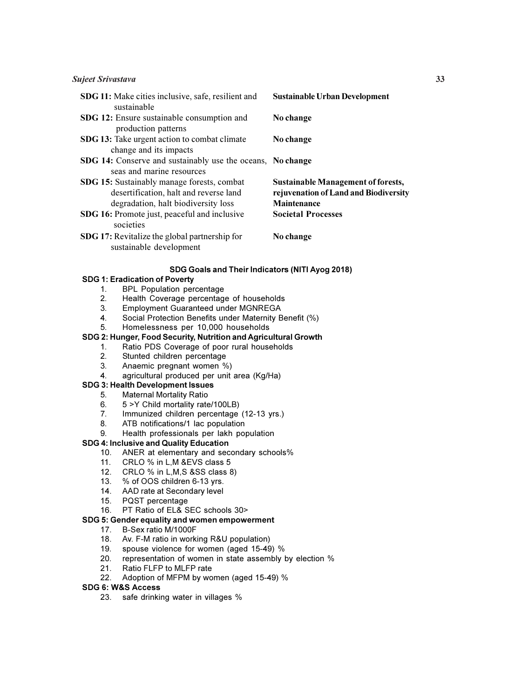#### Sujeet Srivastava 33

| <b>SDG 11:</b> Make cities inclusive, safe, resilient and<br>sustainable                                                           | <b>Sustainable Urban Development</b>                                                                     |
|------------------------------------------------------------------------------------------------------------------------------------|----------------------------------------------------------------------------------------------------------|
| SDG 12: Ensure sustainable consumption and<br>production patterns                                                                  | No change                                                                                                |
| <b>SDG 13:</b> Take urgent action to combat climate<br>change and its impacts                                                      | No change                                                                                                |
| SDG 14: Conserve and sustainably use the oceans, No change<br>seas and marine resources                                            |                                                                                                          |
| <b>SDG 15:</b> Sustainably manage forests, combat<br>desertification, halt and reverse land<br>degradation, halt biodiversity loss | <b>Sustainable Management of forests,</b><br>rejuvenation of Land and Biodiversity<br><b>Maintenance</b> |
| <b>SDG 16:</b> Promote just, peaceful and inclusive<br>societies                                                                   | <b>Societal Processes</b>                                                                                |
| <b>SDG 17:</b> Revitalize the global partnership for<br>sustainable development                                                    | No change                                                                                                |

#### SDG Goals and Their Indicators (NITI Ayog 2018)

#### SDG 1: Eradication of Poverty

- 1. BPL Population percentage<br>2. Health Coverage percentage
- 2. Health Coverage percentage of households<br>3. Employment Guaranteed under MGNREGA
- 3. Employment Guaranteed under MGNREGA
- 4. Social Protection Benefits under Maternity Benefit (%)
- 5. Homelessness per 10,000 households

#### SDG 2: Hunger, Food Security, Nutrition and Agricultural Growth

- 1. Ratio PDS Coverage of poor rural households
- 2. Stunted children percentage
- 3. Anaemic pregnant women %)
- 4. agricultural produced per unit area (Kg/Ha)

#### SDG 3: Health Development Issues

- 5. Maternal Mortality Ratio
- 6. 5 >Y Child mortality rate/100LB)
- 7. Immunized children percentage (12-13 yrs.)
- 8. ATB notifications/1 lac population
- 9. Health professionals per lakh population

#### SDG 4: Inclusive and Quality Education

- 10. ANER at elementary and secondary schools%
- 11. CRLO % in L,M &EVS class 5
- 12. CRLO % in L,M,S &SS class 8)
- 13. % of OOS children 6-13 yrs.
- 14. AAD rate at Secondary level
- 15. PQST percentage
- 16. PT Ratio of EL& SEC schools 30>

#### SDG 5: Gender equality and women empowerment

- 17. B-Sex ratio M/1000F
- 18. Av. F-M ratio in working R&U population)
- 19. spouse violence for women (aged 15-49) %
- 20. representation of women in state assembly by election %
- 21. Ratio FLFP to MLFP rate
- 22. Adoption of MFPM by women (aged 15-49) %

#### SDG 6: W&S Access

23. safe drinking water in villages %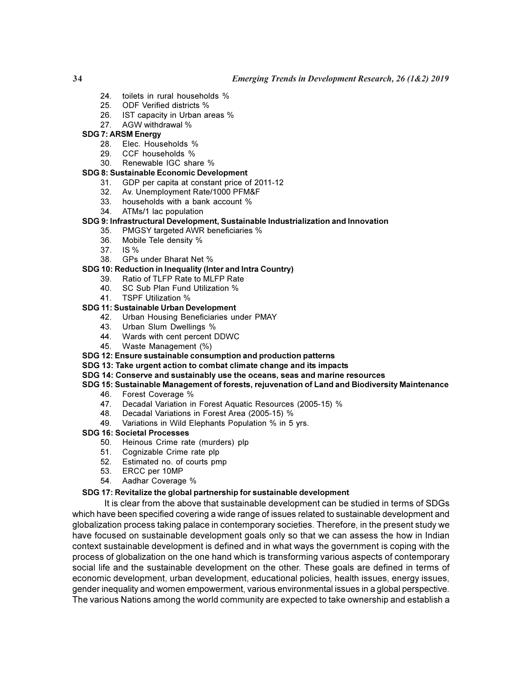#### 34 Emerging Trends in Development Research, 26 (1&2) 2019

- 24. toilets in rural households %
- 25. ODF Verified districts %
- 26. IST capacity in Urban areas %
- 27. AGW withdrawal %

#### SDG 7: ARSM Energy

- 28. Elec. Households %<br>29. CCF households %
- 29. CCF households %
- 30. Renewable IGC share %

#### SDG 8: Sustainable Economic Development

- 31. GDP per capita at constant price of 2011-12
- 32. Av. Unemployment Rate/1000 PFM&F
- 33. households with a bank account %
- 34. ATMs/1 lac population

#### SDG 9: Infrastructural Development, Sustainable Industrialization and Innovation

- 35. PMGSY targeted AWR beneficiaries %
- 36. Mobile Tele density %
- 37. IS %
- 38. GPs under Bharat Net %

#### SDG 10: Reduction in Inequality (Inter and Intra Country)

- 39. Ratio of TLFP Rate to MLFP Rate
- 40. SC Sub Plan Fund Utilization %
- 41. TSPF Utilization %

#### SDG 11: Sustainable Urban Development

- 42. Urban Housing Beneficiaries under PMAY
- 43. Urban Slum Dwellings %
- 44. Wards with cent percent DDWC
- 45. Waste Management (%)

#### SDG 12: Ensure sustainable consumption and production patterns

- SDG 13: Take urgent action to combat climate change and its impacts
- SDG 14: Conserve and sustainably use the oceans, seas and marine resources

#### SDG 15: Sustainable Management of forests, rejuvenation of Land and Biodiversity Maintenance

- 46. Forest Coverage %
- 47. Decadal Variation in Forest Aquatic Resources (2005-15) %
	- 48. Decadal Variations in Forest Area (2005-15) %
	- 49. Variations in Wild Elephants Population % in 5 yrs.

#### SDG 16: Societal Processes

- 50. Heinous Crime rate (murders) plp
- 51. Cognizable Crime rate plp
- 52. Estimated no. of courts pmp
- 53. ERCC per 10MP
- 54. Aadhar Coverage %

#### SDG 17: Revitalize the global partnership for sustainable development

It is clear from the above that sustainable development can be studied in terms of SDGs which have been specified covering a wide range of issues related to sustainable development and globalization process taking palace in contemporary societies. Therefore, in the present study we have focused on sustainable development goals only so that we can assess the how in Indian context sustainable development is defined and in what ways the government is coping with the process of globalization on the one hand which is transforming various aspects of contemporary social life and the sustainable development on the other. These goals are defined in terms of economic development, urban development, educational policies, health issues, energy issues, gender inequality and women empowerment, various environmental issues in a global perspective. The various Nations among the world community are expected to take ownership and establish a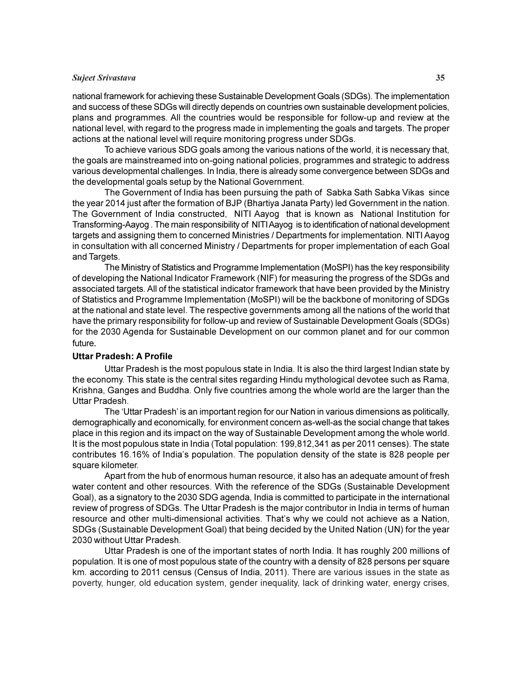# Sujeet Srivastava 35

national framework for achieving these Sustainable Development Goals (SDGs). The implementation and success of these SDGs will directly depends on countries own sustainable development policies, plans and programmes. All the countries would be responsible for follow-up and review at the national level, with regard to the progress made in implementing the goals and targets. The proper actions at the national level will require monitoring progress under SDGs.

To achieve various SDG goals among the various nations of the world, it is necessary that, the goals are mainstreamed into on-going national policies, programmes and strategic to address various developmental challenges. In India, there is already some convergence between SDGs and the developmental goals setup by the National Government.

The Government of India has been pursuing the path of Sabka Sath Sabka Vikas since the year 2014 just after the formation of BJP (Bhartiya Janata Party) led Government in the nation. The Government of India constructed, NITI Aayog that is known as National Institution for Transforming-Aayog . The main responsibility of NITI Aayog is to identification of national development targets and assigning them to concerned Ministries / Departments for implementation. NITI Aayog in consultation with all concerned Ministry / Departments for proper implementation of each Goal and Targets.

The Ministry of Statistics and Programme Implementation (MoSPI) has the key responsibility of developing the National Indicator Framework (NIF) for measuring the progress of the SDGs and associated targets. All of the statistical indicator framework that have been provided by the Ministry of Statistics and Programme Implementation (MoSPI) will be the backbone of monitoring of SDGs at the national and state level. The respective governments among all the nations of the world that have the primary responsibility for follow-up and review of Sustainable Development Goals (SDGs) for the 2030 Agenda for Sustainable Development on our common planet and for our common future*.*

#### Uttar Pradesh: A Profile

Uttar Pradesh is the most populous state in India. It is also the third largest Indian state by the economy. This state is the central sites regarding Hindu mythological devotee such as Rama, Krishna, Ganges and Buddha. Only five countries among the whole world are the larger than the Uttar Pradesh.

The 'Uttar Pradesh' is an important region for our Nation in various dimensions as politically, demographically and economically, for environment concern as-well-as the social change that takes place in this region and its impact on the way of Sustainable Development among the whole world. It is the most populous state in India (Total population: 199,812,341 as per 2011 censes). The state contributes 16.16% of India's population. The population density of the state is 828 people per square kilometer.

Apart from the hub of enormous human resource, it also has an adequate amount of fresh water content and other resources. With the reference of the SDGs (Sustainable Development Goal), as a signatory to the 2030 SDG agenda, India is committed to participate in the international review of progress of SDGs. The Uttar Pradesh is the major contributor in India in terms of human resource and other multi-dimensional activities. That's why we could not achieve as a Nation, SDGs (Sustainable Development Goal) that being decided by the United Nation (UN) for the year 2030 without Uttar Pradesh.

Uttar Pradesh is one of the important states of north India. It has roughly 200 millions of population. It is one of most populous state of the country with a density of 828 persons per square km. according to 2011 census (Census of India, 2011). There are various issues in the state as poverty, hunger, old education system, gender inequality, lack of drinking water, energy crises,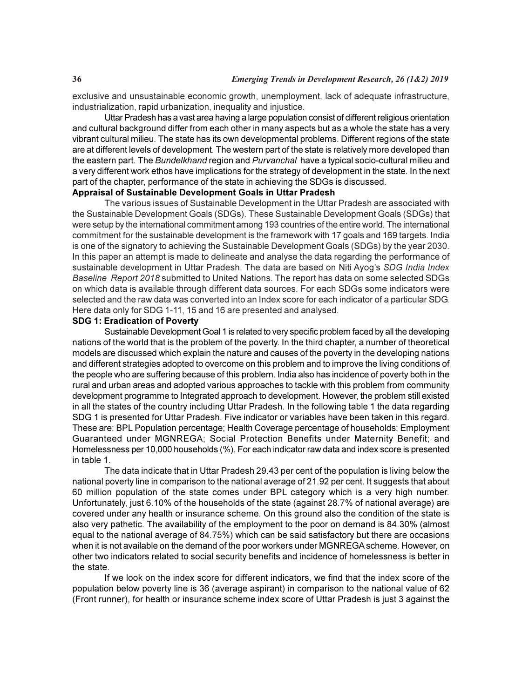exclusive and unsustainable economic growth, unemployment, lack of adequate infrastructure, industrialization, rapid urbanization, inequality and injustice.

Uttar Pradesh has a vast area having a large population consist of different religious orientation and cultural background differ from each other in many aspects but as a whole the state has a very vibrant cultural milieu. The state has its own developmental problems. Different regions of the state are at different levels of development. The western part of the state is relatively more developed than the eastern part. The Bundelkhand region and Purvanchal have a typical socio-cultural milieu and a very different work ethos have implications for the strategy of development in the state. In the next part of the chapter, performance of the state in achieving the SDGs is discussed.

#### Appraisal of Sustainable Development Goals in Uttar Pradesh

The various issues of Sustainable Development in the Uttar Pradesh are associated with the Sustainable Development Goals (SDGs). These Sustainable Development Goals (SDGs) that were setup by the international commitment among 193 countries of the entire world. The international commitment for the sustainable development is the framework with 17 goals and 169 targets. India is one of the signatory to achieving the Sustainable Development Goals (SDGs) by the year 2030. In this paper an attempt is made to delineate and analyse the data regarding the performance of sustainable development in Uttar Pradesh. The data are based on Niti Ayog's SDG India Index Baseline Report 2018 submitted to United Nations. The report has data on some selected SDGs on which data is available through different data sources. For each SDGs some indicators were selected and the raw data was converted into an Index score for each indicator of a particular SDG. Here data only for SDG 1-11, 15 and 16 are presented and analysed.

#### SDG 1: Eradication of Poverty

Sustainable Development Goal 1 is related to very specific problem faced by all the developing nations of the world that is the problem of the poverty. In the third chapter, a number of theoretical models are discussed which explain the nature and causes of the poverty in the developing nations and different strategies adopted to overcome on this problem and to improve the living conditions of the people who are suffering because of this problem. India also has incidence of poverty both in the rural and urban areas and adopted various approaches to tackle with this problem from community development programme to Integrated approach to development. However, the problem still existed in all the states of the country including Uttar Pradesh. In the following table 1 the data regarding SDG 1 is presented for Uttar Pradesh. Five indicator or variables have been taken in this regard. These are: BPL Population percentage; Health Coverage percentage of households; Employment Guaranteed under MGNREGA; Social Protection Benefits under Maternity Benefit; and Homelessness per 10,000 households (%). For each indicator raw data and index score is presented in table 1.

The data indicate that in Uttar Pradesh 29.43 per cent of the population is living below the national poverty line in comparison to the national average of 21.92 per cent. It suggests that about 60 million population of the state comes under BPL category which is a very high number. Unfortunately, just 6.10% of the households of the state (against 28.7% of national average) are covered under any health or insurance scheme. On this ground also the condition of the state is also very pathetic. The availability of the employment to the poor on demand is 84.30% (almost equal to the national average of 84.75%) which can be said satisfactory but there are occasions when it is not available on the demand of the poor workers under MGNREGA scheme. However, on other two indicators related to social security benefits and incidence of homelessness is better in the state.

If we look on the index score for different indicators, we find that the index score of the population below poverty line is 36 (average aspirant) in comparison to the national value of 62 (Front runner), for health or insurance scheme index score of Uttar Pradesh is just 3 against the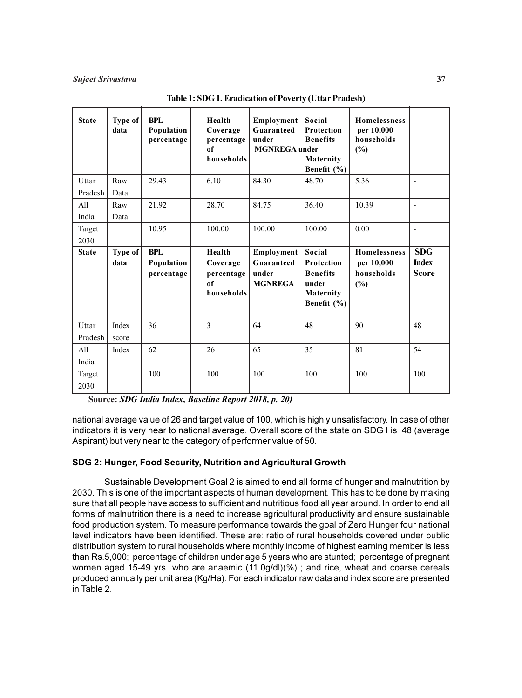| <b>State</b>     | Type of<br>data | <b>BPL</b><br>Population<br>percentage | Health<br>Coverage<br>percentage<br>of<br>households | Employment<br>Guaranteed<br>under<br><b>MGNREGA</b> under | Social<br>Protection<br><b>Benefits</b><br>Maternity<br>Benefit (%)          | Homelessness<br>per 10,000<br>households<br>$(\%)$        |                                            |
|------------------|-----------------|----------------------------------------|------------------------------------------------------|-----------------------------------------------------------|------------------------------------------------------------------------------|-----------------------------------------------------------|--------------------------------------------|
| Uttar            | Raw             | 29.43                                  | 6.10                                                 | 84.30                                                     | 48.70                                                                        | 5.36                                                      | $\blacksquare$                             |
| Pradesh          | Data            |                                        |                                                      |                                                           |                                                                              |                                                           |                                            |
| All              | Raw             | 21.92                                  | 28.70                                                | 84.75                                                     | 36.40                                                                        | 10.39                                                     | $\blacksquare$                             |
| India            | Data            |                                        |                                                      |                                                           |                                                                              |                                                           |                                            |
| Target           |                 | 10.95                                  | 100.00                                               | 100.00                                                    | 100.00                                                                       | 0.00                                                      | ÷,                                         |
| 2030             |                 |                                        |                                                      |                                                           |                                                                              |                                                           |                                            |
| <b>State</b>     | Type of<br>data | <b>BPL</b><br>Population<br>percentage | Health<br>Coverage<br>percentage<br>of<br>households | Employment<br>Guaranteed<br>under<br><b>MGNREGA</b>       | Social<br>Protection<br><b>Benefits</b><br>under<br>Maternity<br>Benefit (%) | <b>Homelessness</b><br>per 10,000<br>households<br>$(\%)$ | <b>SDG</b><br><b>Index</b><br><b>Score</b> |
| Uttar<br>Pradesh | Index<br>score  | 36                                     | 3                                                    | 64                                                        | 48                                                                           | 90                                                        | 48                                         |
| All<br>India     | Index           | 62                                     | 26                                                   | 65                                                        | 35                                                                           | 81                                                        | 54                                         |
| Target<br>2030   |                 | 100                                    | 100                                                  | 100                                                       | 100                                                                          | 100                                                       | 100                                        |

Table 1: SDG 1. Eradication of Poverty (Uttar Pradesh)

Source: SDG India Index, Baseline Report 2018, p. 20)

national average value of 26 and target value of 100, which is highly unsatisfactory. In case of other indicators it is very near to national average. Overall score of the state on SDG I is 48 (average Aspirant) but very near to the category of performer value of 50.

# SDG 2: Hunger, Food Security, Nutrition and Agricultural Growth

Sustainable Development Goal 2 is aimed to end all forms of hunger and malnutrition by 2030. This is one of the important aspects of human development. This has to be done by making sure that all people have access to sufficient and nutritious food all year around. In order to end all forms of malnutrition there is a need to increase agricultural productivity and ensure sustainable food production system. To measure performance towards the goal of Zero Hunger four national level indicators have been identified. These are: ratio of rural households covered under public distribution system to rural households where monthly income of highest earning member is less than Rs.5,000; percentage of children under age 5 years who are stunted; percentage of pregnant women aged 15-49 yrs who are anaemic (11.0g/dl)(%) ; and rice, wheat and coarse cereals produced annually per unit area (Kg/Ha). For each indicator raw data and index score are presented in Table 2.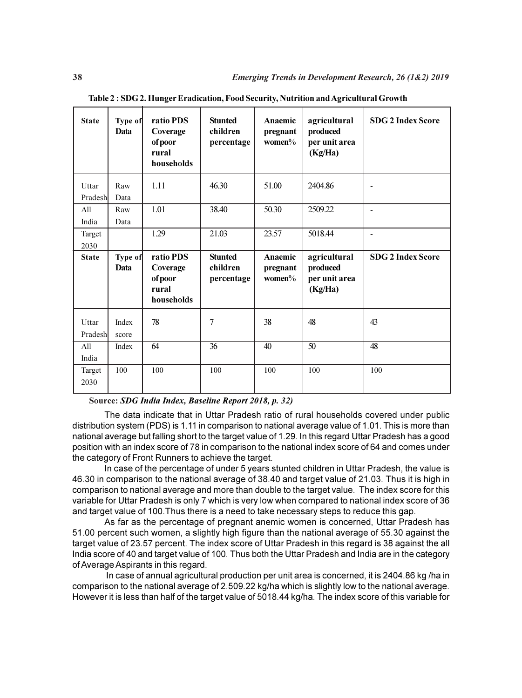| <b>State</b>     | Type of<br>Data | ratio PDS<br>Coverage<br>ofpoor<br>rural<br>households  | <b>Stunted</b><br>children<br>percentage | Anaemic<br>pregnant<br>women $%$ | agricultural<br>produced<br>per unit area<br>(Kg/Ha) | <b>SDG 2 Index Score</b> |
|------------------|-----------------|---------------------------------------------------------|------------------------------------------|----------------------------------|------------------------------------------------------|--------------------------|
| Uttar<br>Pradesh | Raw<br>Data     | 1.11                                                    | 46.30                                    | 51.00                            | 2404.86                                              |                          |
| All<br>India     | Raw<br>Data     | 1.01                                                    | 38.40                                    | 50.30                            | 2509.22                                              |                          |
| Target<br>2030   |                 | 1.29                                                    | 21.03                                    | 23.57                            | 5018.44                                              | $\blacksquare$           |
|                  |                 |                                                         |                                          |                                  |                                                      |                          |
| <b>State</b>     | Type of<br>Data | ratio PDS<br>Coverage<br>of poor<br>rural<br>households | <b>Stunted</b><br>children<br>percentage | Anaemic<br>pregnant<br>women $%$ | agricultural<br>produced<br>per unit area<br>(Kg/Ha) | <b>SDG 2 Index Score</b> |
| Uttar<br>Pradesh | Index<br>score  | 78                                                      | $\overline{7}$                           | 38                               | 48                                                   | 43                       |
| All<br>India     | Index           | 64                                                      | 36                                       | 40                               | 50                                                   | 48                       |

Table 2 : SDG 2. Hunger Eradication, Food Security, Nutrition and Agricultural Growth

#### Source: SDG India Index, Baseline Report 2018, p. 32)

The data indicate that in Uttar Pradesh ratio of rural households covered under public distribution system (PDS) is 1.11 in comparison to national average value of 1.01. This is more than national average but falling short to the target value of 1.29. In this regard Uttar Pradesh has a good position with an index score of 78 in comparison to the national index score of 64 and comes under the category of Front Runners to achieve the target.

In case of the percentage of under 5 years stunted children in Uttar Pradesh, the value is 46.30 in comparison to the national average of 38.40 and target value of 21.03. Thus it is high in comparison to national average and more than double to the target value. The index score for this variable for Uttar Pradesh is only 7 which is very low when compared to national index score of 36 and target value of 100.Thus there is a need to take necessary steps to reduce this gap.

As far as the percentage of pregnant anemic women is concerned, Uttar Pradesh has 51.00 percent such women, a slightly high figure than the national average of 55.30 against the target value of 23.57 percent. The index score of Uttar Pradesh in this regard is 38 against the all India score of 40 and target value of 100. Thus both the Uttar Pradesh and India are in the category of Average Aspirants in this regard.

 In case of annual agricultural production per unit area is concerned, it is 2404.86 kg /ha in comparison to the national average of 2.509.22 kg/ha which is slightly low to the national average. However it is less than half of the target value of 5018.44 kg/ha. The index score of this variable for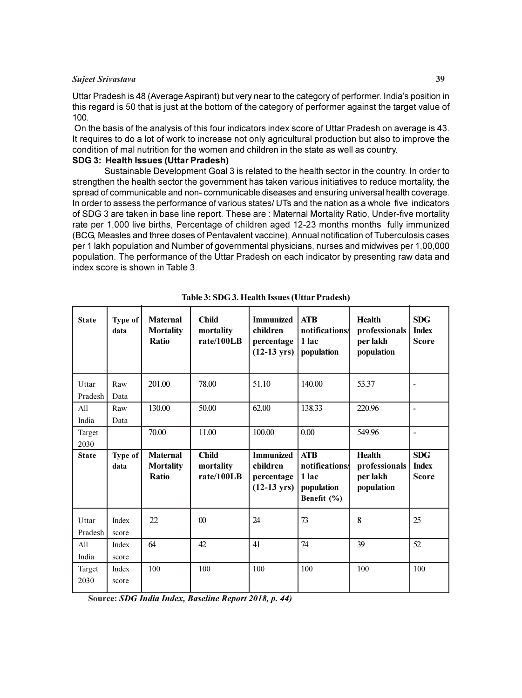#### Sujeet Srivastava 39

Uttar Pradesh is 48 (Average Aspirant) but very near to the category of performer. India's position in this regard is 50 that is just at the bottom of the category of performer against the target value of 100.

 On the basis of the analysis of this four indicators index score of Uttar Pradesh on average is 43. It requires to do a lot of work to increase not only agricultural production but also to improve the condition of mal nutrition for the women and children in the state as well as country.

# SDG 3: Health Issues (Uttar Pradesh)

Sustainable Development Goal 3 is related to the health sector in the country. In order to strengthen the health sector the government has taken various initiatives to reduce mortality, the spread of communicable and non- communicable diseases and ensuring universal health coverage. In order to assess the performance of various states/ UTs and the nation as a whole five indicators of SDG 3 are taken in base line report. These are : Maternal Mortality Ratio, Under-five mortality rate per 1,000 live births, Percentage of children aged 12-23 months months fully immunized (BCG, Measles and three doses of Pentavalent vaccine), Annual notification of Tuberculosis cases per 1 lakh population and Number of governmental physicians, nurses and midwives per 1,00,000 population. The performance of the Uttar Pradesh on each indicator by presenting raw data and index score is shown in Table 3.

| <b>State</b>     | Type of<br>data | <b>Maternal</b><br><b>Mortality</b><br><b>Ratio</b> | <b>Child</b><br>mortality<br>rate/100LB | <b>Immunized</b><br>children<br>percentage<br>$(12-13 \text{ yrs})$ | <b>ATB</b><br>notifications/<br>1 lac<br>population               | <b>Health</b><br>professionals<br>per lakh<br>population | <b>SDG</b><br><b>Index</b><br><b>Score</b> |
|------------------|-----------------|-----------------------------------------------------|-----------------------------------------|---------------------------------------------------------------------|-------------------------------------------------------------------|----------------------------------------------------------|--------------------------------------------|
| Uttar<br>Pradesh | Raw<br>Data     | 201.00                                              | 78.00                                   | 51.10                                                               | 140.00                                                            | 53.37                                                    |                                            |
| All<br>India     | Raw<br>Data     | 130.00                                              | 50.00                                   | 62.00                                                               | 138.33                                                            | 220.96                                                   | $\blacksquare$                             |
| Target<br>2030   |                 | 70.00                                               | 11.00                                   | 100.00                                                              | 0.00                                                              | 549.96                                                   | $\blacksquare$                             |
|                  |                 |                                                     |                                         |                                                                     |                                                                   |                                                          |                                            |
| <b>State</b>     | Type of<br>data | <b>Maternal</b><br><b>Mortality</b><br>Ratio        | <b>Child</b><br>mortality<br>rate/100LB | <b>Immunized</b><br>children<br>percentage<br>$(12-13 \text{ yrs})$ | <b>ATB</b><br>notifications<br>1 lac<br>population<br>Benefit (%) | <b>Health</b><br>professionals<br>per lakh<br>population | <b>SDG</b><br><b>Index</b><br><b>Score</b> |
| Uttar<br>Pradesh | Index<br>score  | 22                                                  | $\boldsymbol{00}$                       | 24                                                                  | 73                                                                | 8                                                        | 25                                         |
| All<br>India     | Index<br>score  | 64                                                  | 42                                      | 41                                                                  | 74                                                                | 39                                                       | 52                                         |

Table 3: SDG 3. Health Issues (Uttar Pradesh)

Source: SDG India Index, Baseline Report 2018, p. 44)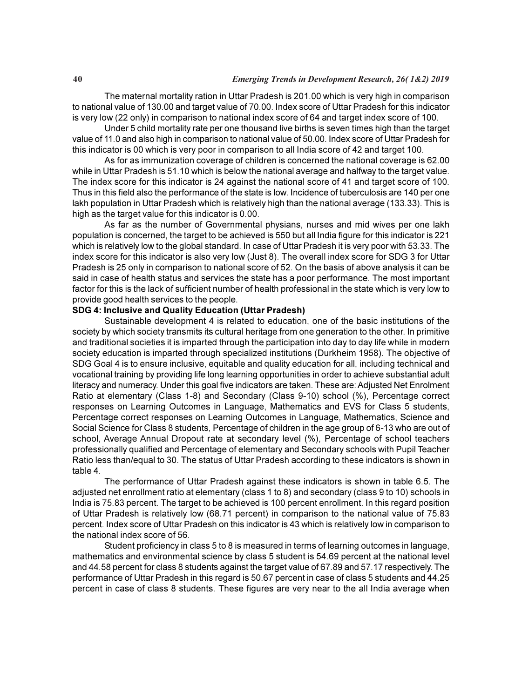The maternal mortality ration in Uttar Pradesh is 201.00 which is very high in comparison to national value of 130.00 and target value of 70.00. Index score of Uttar Pradesh for this indicator is very low (22 only) in comparison to national index score of 64 and target index score of 100.

Under 5 child mortality rate per one thousand live births is seven times high than the target value of 11.0 and also high in comparison to national value of 50.00. Index score of Uttar Pradesh for this indicator is 00 which is very poor in comparison to all India score of 42 and target 100.

As for as immunization coverage of children is concerned the national coverage is 62.00 while in Uttar Pradesh is 51.10 which is below the national average and halfway to the target value. The index score for this indicator is 24 against the national score of 41 and target score of 100. Thus in this field also the performance of the state is low. Incidence of tuberculosis are 140 per one lakh population in Uttar Pradesh which is relatively high than the national average (133.33). This is high as the target value for this indicator is 0.00.

As far as the number of Governmental physians, nurses and mid wives per one lakh population is concerned, the target to be achieved is 550 but all India figure for this indicator is 221 which is relatively low to the global standard. In case of Uttar Pradesh it is very poor with 53.33. The index score for this indicator is also very low (Just 8). The overall index score for SDG 3 for Uttar Pradesh is 25 only in comparison to national score of 52. On the basis of above analysis it can be said in case of health status and services the state has a poor performance. The most important factor for this is the lack of sufficient number of health professional in the state which is very low to provide good health services to the people.

#### SDG 4: Inclusive and Quality Education (Uttar Pradesh)

Sustainable development 4 is related to education, one of the basic institutions of the society by which society transmits its cultural heritage from one generation to the other. In primitive and traditional societies it is imparted through the participation into day to day life while in modern society education is imparted through specialized institutions (Durkheim 1958). The objective of SDG Goal 4 is to ensure inclusive, equitable and quality education for all, including technical and vocational training by providing life long learning opportunities in order to achieve substantial adult literacy and numeracy. Under this goal five indicators are taken. These are: Adjusted Net Enrolment Ratio at elementary (Class 1-8) and Secondary (Class 9-10) school (%), Percentage correct responses on Learning Outcomes in Language, Mathematics and EVS for Class 5 students, Percentage correct responses on Learning Outcomes in Language, Mathematics, Science and Social Science for Class 8 students, Percentage of children in the age group of 6-13 who are out of school, Average Annual Dropout rate at secondary level (%), Percentage of school teachers professionally qualified and Percentage of elementary and Secondary schools with Pupil Teacher Ratio less than/equal to 30. The status of Uttar Pradesh according to these indicators is shown in table 4.

The performance of Uttar Pradesh against these indicators is shown in table 6.5. The adjusted net enrollment ratio at elementary (class 1 to 8) and secondary (class 9 to 10) schools in India is 75.83 percent. The target to be achieved is 100 percent enrollment. In this regard position of Uttar Pradesh is relatively low (68.71 percent) in comparison to the national value of 75.83 percent. Index score of Uttar Pradesh on this indicator is 43 which is relatively low in comparison to the national index score of 56.

Student proficiency in class 5 to 8 is measured in terms of learning outcomes in language, mathematics and environmental science by class 5 student is 54.69 percent at the national level and 44.58 percent for class 8 students against the target value of 67.89 and 57.17 respectively. The performance of Uttar Pradesh in this regard is 50.67 percent in case of class 5 students and 44.25 percent in case of class 8 students. These figures are very near to the all India average when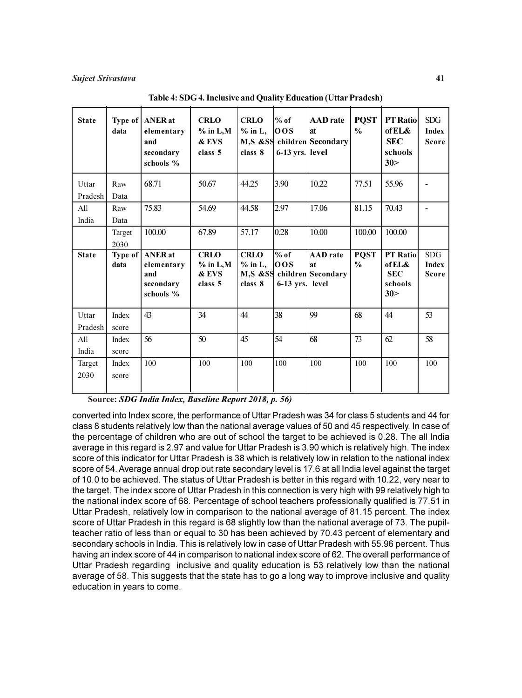| <b>State</b>     | data                    | Type of   ANER at<br>elementary<br>and<br>secondary<br>schools % | <b>CRLO</b><br>$%$ in L,M<br>& EVS<br>class 5 | <b>CRLO</b><br>$%$ in L,<br>class 8 | l% of<br>100S<br>$6-13$ yrs. level | <b>AAD</b> rate<br><b>at</b><br>M,S &SS children Secondary          | <b>PQST</b><br>$\frac{0}{0}$ | <b>PT Ratio</b><br>of EL&<br><b>SEC</b><br>schools<br>30> | <b>SDG</b><br><b>Index</b><br><b>Score</b> |
|------------------|-------------------------|------------------------------------------------------------------|-----------------------------------------------|-------------------------------------|------------------------------------|---------------------------------------------------------------------|------------------------------|-----------------------------------------------------------|--------------------------------------------|
| Uttar<br>Pradesh | Raw<br>Data             | 68.71                                                            | 50.67                                         | 44.25                               | 3.90                               | 10.22                                                               | 77.51                        | 55.96                                                     |                                            |
| All<br>India     | Raw<br>Data             | 75.83                                                            | 54.69                                         | 44.58                               | 2.97                               | 17.06                                                               | 81.15                        | 70.43                                                     |                                            |
|                  | Target<br>2030          | 100.00                                                           | 67.89                                         | 57.17                               | 0.28                               | 10.00                                                               | 100.00                       | 100.00                                                    |                                            |
|                  |                         |                                                                  |                                               |                                     |                                    |                                                                     |                              |                                                           |                                            |
| <b>State</b>     | Type of $\vert$<br>data | <b>ANER</b> at<br>elementary<br>and<br>secondary<br>schools %    | <b>CRLO</b><br>$%$ in L,M<br>& EVS<br>class 5 | <b>CRLO</b><br>$%$ in L,<br>class 8 | $%$ of<br>100S<br>$6-13$ yrs.      | <b>AAD</b> rate<br><b>at</b><br>M,S &SS children Secondary<br>level | <b>PQST</b><br>$\frac{0}{0}$ | PT Ratio<br>of EL&<br><b>SEC</b><br>schools<br>30>        | <b>SDG</b><br><b>Index</b><br><b>Score</b> |
| Uttar<br>Pradesh | Index<br>score          | 43                                                               | 34                                            | 44                                  | 38                                 | 99                                                                  | 68                           | 44                                                        | 53                                         |
| All<br>India     | Index<br>score          | 56                                                               | 50                                            | 45                                  | 54                                 | 68                                                                  | 73                           | 62                                                        | 58                                         |

Table 4: SDG 4. Inclusive and Quality Education (Uttar Pradesh)

Source: SDG India Index, Baseline Report 2018, p. 56)

converted into Index score, the performance of Uttar Pradesh was 34 for class 5 students and 44 for class 8 students relatively low than the national average values of 50 and 45 respectively. In case of the percentage of children who are out of school the target to be achieved is 0.28. The all India average in this regard is 2.97 and value for Uttar Pradesh is 3.90 which is relatively high. The index score of this indicator for Uttar Pradesh is 38 which is relatively low in relation to the national index score of 54. Average annual drop out rate secondary level is 17.6 at all India level against the target of 10.0 to be achieved. The status of Uttar Pradesh is better in this regard with 10.22, very near to the target. The index score of Uttar Pradesh in this connection is very high with 99 relatively high to the national index score of 68. Percentage of school teachers professionally qualified is 77.51 in Uttar Pradesh, relatively low in comparison to the national average of 81.15 percent. The index score of Uttar Pradesh in this regard is 68 slightly low than the national average of 73. The pupilteacher ratio of less than or equal to 30 has been achieved by 70.43 percent of elementary and secondary schools in India. This is relatively low in case of Uttar Pradesh with 55.96 percent. Thus having an index score of 44 in comparison to national index score of 62. The overall performance of Uttar Pradesh regarding inclusive and quality education is 53 relatively low than the national average of 58. This suggests that the state has to go a long way to improve inclusive and quality education in years to come.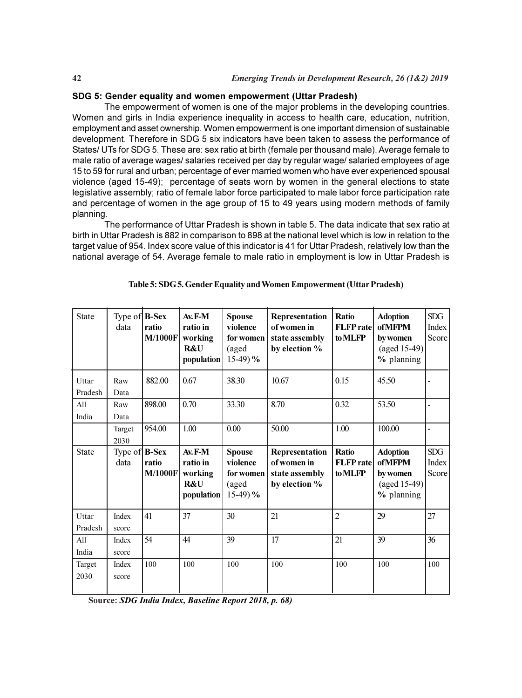# SDG 5: Gender equality and women empowerment (Uttar Pradesh)

The empowerment of women is one of the major problems in the developing countries. Women and girls in India experience inequality in access to health care, education, nutrition, employment and asset ownership. Women empowerment is one important dimension of sustainable development. Therefore in SDG 5 six indicators have been taken to assess the performance of States/ UTs for SDG 5. These are: sex ratio at birth (female per thousand male), Average female to male ratio of average wages/ salaries received per day by regular wage/ salaried employees of age 15 to 59 for rural and urban; percentage of ever married women who have ever experienced spousal violence (aged 15-49); percentage of seats worn by women in the general elections to state legislative assembly; ratio of female labor force participated to male labor force participation rate and percentage of women in the age group of 15 to 49 years using modern methods of family planning.

The performance of Uttar Pradesh is shown in table 5. The data indicate that sex ratio at birth in Uttar Pradesh is 882 in comparison to 898 at the national level which is low in relation to the target value of 954. Index score value of this indicator is 41 for Uttar Pradesh, relatively low than the national average of 54. Average female to male ratio in employment is low in Uttar Pradesh is

| <b>State</b>     | Type of $\mathbf{B}-\mathbf{Sex}$<br>data | ratio<br><b>M/1000F</b> | $Ax.F-M$<br>ratio in<br>working<br>R&U<br>population          | <b>Spouse</b><br>violence<br>for women<br>(aged<br>$15-49$ ) % | Representation<br>of women in<br>state assembly<br>by election % | <b>Ratio</b><br><b>FLFP</b> rate<br>to MLFP | <b>Adoption</b><br><b>ofMFPM</b><br>by women<br>$(\text{aged } 15-49)$<br>% planning | SDG<br>Index<br>Score |
|------------------|-------------------------------------------|-------------------------|---------------------------------------------------------------|----------------------------------------------------------------|------------------------------------------------------------------|---------------------------------------------|--------------------------------------------------------------------------------------|-----------------------|
| Uttar<br>Pradesh | Raw<br>Data                               | 882.00                  | 0.67                                                          | 38.30                                                          | 10.67                                                            | 0.15                                        | 45.50                                                                                |                       |
| All<br>India     | Raw<br>Data                               | 898.00                  | 0.70                                                          | 33.30                                                          | 8.70                                                             | 0.32                                        | 53.50                                                                                |                       |
|                  | Target<br>2030                            | 954.00                  | 1.00                                                          | 0.00                                                           | 50.00                                                            | 1.00                                        | 100.00                                                                               |                       |
| <b>State</b>     | Type of $\mathbf{B}-\mathbf{Sex}$<br>data | ratio<br><b>M/1000F</b> | Av.F-M<br>ratio in<br>working<br><b>R&amp;U</b><br>population | <b>Spouse</b><br>violence<br>for women<br>(aged<br>$15-49$ ) % | Representation<br>of women in<br>state assembly<br>by election % | Ratio<br><b>FLFP</b> rate<br>to MLFP        | <b>Adoption</b><br><b>ofMFPM</b><br>by women<br>$(\text{aged } 15-49)$<br>% planning | SDG<br>Index<br>Score |
| Uttar<br>Pradesh | Index<br>score                            | 41                      | 37                                                            | 30                                                             | 21                                                               | $\overline{2}$                              | 29                                                                                   | 27                    |
| All<br>India     | Index<br>score                            | 54                      | 44                                                            | 39                                                             | 17                                                               | 21                                          | 39                                                                                   | 36                    |
| Target<br>2030   | Index<br>score                            | 100                     | 100                                                           | 100                                                            | 100                                                              | 100                                         | 100                                                                                  | 100                   |

#### Table 5: SDG 5. Gender Equality and Women Empowerment (Uttar Pradesh)

Source: SDG India Index, Baseline Report 2018, p. 68)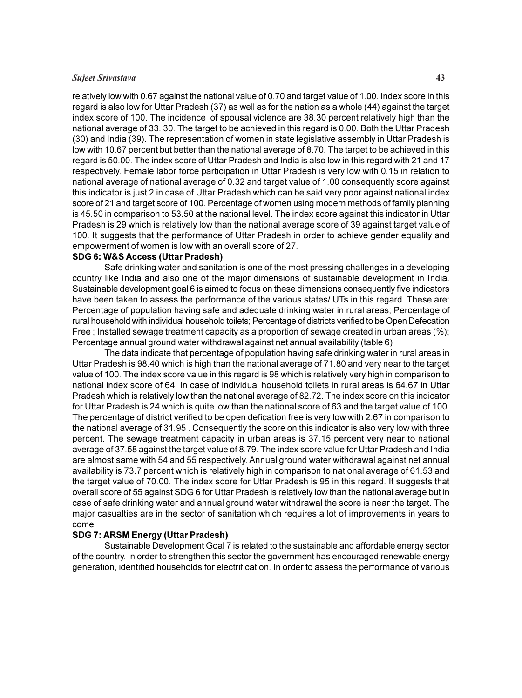# Sujeet Srivastava 43

relatively low with 0.67 against the national value of 0.70 and target value of 1.00. Index score in this regard is also low for Uttar Pradesh (37) as well as for the nation as a whole (44) against the target index score of 100. The incidence of spousal violence are 38.30 percent relatively high than the national average of 33. 30. The target to be achieved in this regard is 0.00. Both the Uttar Pradesh (30) and India (39). The representation of women in state legislative assembly in Uttar Pradesh is low with 10.67 percent but better than the national average of 8.70. The target to be achieved in this regard is 50.00. The index score of Uttar Pradesh and India is also low in this regard with 21 and 17 respectively. Female labor force participation in Uttar Pradesh is very low with 0.15 in relation to national average of national average of 0.32 and target value of 1.00 consequently score against this indicator is just 2 in case of Uttar Pradesh which can be said very poor against national index score of 21 and target score of 100. Percentage of women using modern methods of family planning is 45.50 in comparison to 53.50 at the national level. The index score against this indicator in Uttar Pradesh is 29 which is relatively low than the national average score of 39 against target value of 100. It suggests that the performance of Uttar Pradesh in order to achieve gender equality and empowerment of women is low with an overall score of 27.

# SDG 6: W&S Access (Uttar Pradesh)

Safe drinking water and sanitation is one of the most pressing challenges in a developing country like India and also one of the major dimensions of sustainable development in India. Sustainable development goal 6 is aimed to focus on these dimensions consequently five indicators have been taken to assess the performance of the various states/ UTs in this regard. These are: Percentage of population having safe and adequate drinking water in rural areas; Percentage of rural household with individual household toilets; Percentage of districts verified to be Open Defecation Free ; Installed sewage treatment capacity as a proportion of sewage created in urban areas (%); Percentage annual ground water withdrawal against net annual availability (table 6)

The data indicate that percentage of population having safe drinking water in rural areas in Uttar Pradesh is 98.40 which is high than the national average of 71.80 and very near to the target value of 100. The index score value in this regard is 98 which is relatively very high in comparison to national index score of 64. In case of individual household toilets in rural areas is 64.67 in Uttar Pradesh which is relatively low than the national average of 82.72. The index score on this indicator for Uttar Pradesh is 24 which is quite low than the national score of 63 and the target value of 100. The percentage of district verified to be open defication free is very low with 2.67 in comparison to the national average of 31.95 . Consequently the score on this indicator is also very low with three percent. The sewage treatment capacity in urban areas is 37.15 percent very near to national average of 37.58 against the target value of 8.79. The index score value for Uttar Pradesh and India are almost same with 54 and 55 respectively. Annual ground water withdrawal against net annual availability is 73.7 percent which is relatively high in comparison to national average of 61.53 and the target value of 70.00. The index score for Uttar Pradesh is 95 in this regard. It suggests that overall score of 55 against SDG 6 for Uttar Pradesh is relatively low than the national average but in case of safe drinking water and annual ground water withdrawal the score is near the target. The major casualties are in the sector of sanitation which requires a lot of improvements in years to come.

#### SDG 7: ARSM Energy (Uttar Pradesh)

Sustainable Development Goal 7 is related to the sustainable and affordable energy sector of the country. In order to strengthen this sector the government has encouraged renewable energy generation, identified households for electrification. In order to assess the performance of various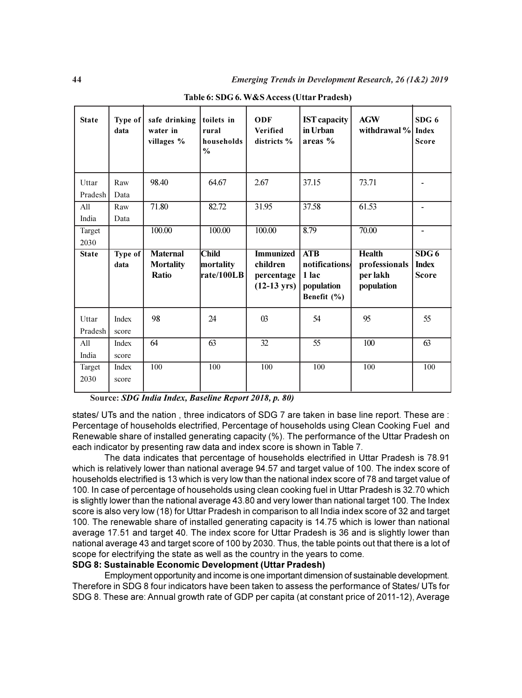| <b>State</b>            | Type of $ $<br>data | safe drinking<br>water in<br>villages %      | toilets in<br>rural<br>households<br>$\frac{0}{0}$ | <b>ODF</b><br><b>Verified</b><br>districts %                        | <b>IST</b> capacity<br>in Urban<br>areas $%$               | <b>AGW</b><br>withdrawal %                               | SDG <sub>6</sub><br>Index<br><b>Score</b> |
|-------------------------|---------------------|----------------------------------------------|----------------------------------------------------|---------------------------------------------------------------------|------------------------------------------------------------|----------------------------------------------------------|-------------------------------------------|
| Uttar                   | Raw                 | 98.40                                        | 64.67                                              | 2.67                                                                | 37.15                                                      | 73.71                                                    |                                           |
| Pradesh<br>All<br>India | Data<br>Raw<br>Data | 71.80                                        | 82.72                                              | 31.95                                                               | 37.58                                                      | 61.53                                                    | ٠                                         |
| Target<br>2030          |                     | 100.00                                       | 100.00                                             | 100.00                                                              | 8.79                                                       | 70.00                                                    | $\overline{a}$                            |
|                         |                     |                                              |                                                    |                                                                     |                                                            |                                                          |                                           |
| <b>State</b>            | Type of<br>data     | <b>Maternal</b><br><b>Mortality</b><br>Ratio | <b>Child</b><br>mortality<br>rate/100LB            | <b>Immunized</b><br>children<br>percentage<br>$(12-13 \text{ yrs})$ | ATB<br>notifications<br>1 lac<br>population<br>Benefit (%) | <b>Health</b><br>professionals<br>per lakh<br>population | SDG6<br><b>Index</b><br><b>Score</b>      |
| Uttar<br>Pradesh        | Index<br>score      | 98                                           | 24                                                 | $\Omega$                                                            | 54                                                         | 95                                                       | 55                                        |
| All<br>India            | Index<br>score      | 64                                           | $\overline{63}$                                    | $\overline{32}$                                                     | $\overline{55}$                                            | 100                                                      | $\overline{63}$                           |

Table 6: SDG 6. W&S Access (Uttar Pradesh)

Source: SDG India Index, Baseline Report 2018, p. 80)

states/ UTs and the nation , three indicators of SDG 7 are taken in base line report. These are : Percentage of households electrified, Percentage of households using Clean Cooking Fuel and Renewable share of installed generating capacity (%). The performance of the Uttar Pradesh on each indicator by presenting raw data and index score is shown in Table 7.

The data indicates that percentage of households electrified in Uttar Pradesh is 78.91 which is relatively lower than national average 94.57 and target value of 100. The index score of households electrified is 13 which is very low than the national index score of 78 and target value of 100. In case of percentage of households using clean cooking fuel in Uttar Pradesh is 32.70 which is slightly lower than the national average 43.80 and very lower than national target 100. The Index score is also very low (18) for Uttar Pradesh in comparison to all India index score of 32 and target 100. The renewable share of installed generating capacity is 14.75 which is lower than national average 17.51 and target 40. The index score for Uttar Pradesh is 36 and is slightly lower than national average 43 and target score of 100 by 2030. Thus, the table points out that there is a lot of scope for electrifying the state as well as the country in the years to come.

# SDG 8: Sustainable Economic Development (Uttar Pradesh)

Employment opportunity and income is one important dimension of sustainable development. Therefore in SDG 8 four indicators have been taken to assess the performance of States/ UTs for SDG 8. These are: Annual growth rate of GDP per capita (at constant price of 2011-12), Average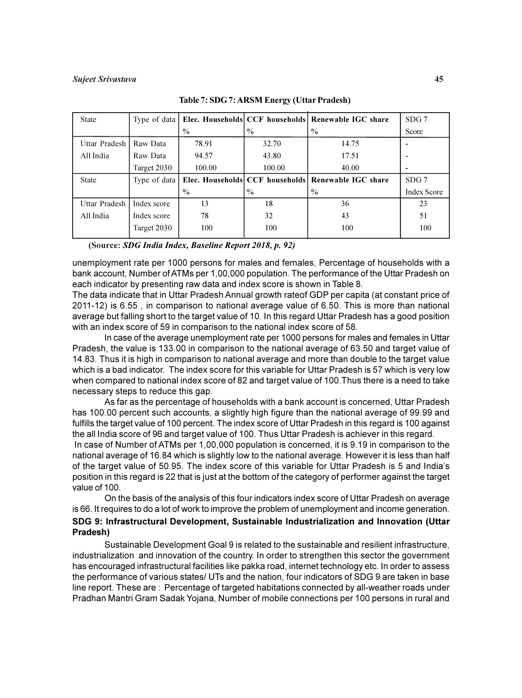#### Sujeet Srivastava 45

| <b>State</b>    | Type of data |               |               | Elec. Households CCF households Renewable IGC share | SDG 7              |
|-----------------|--------------|---------------|---------------|-----------------------------------------------------|--------------------|
|                 |              | $\frac{0}{0}$ | $\%$          | $\%$                                                | Score              |
| Uttar Pradesh I | Raw Data     | 78.91         | 32.70         | 14.75                                               |                    |
| All India       | Raw Data     | 94.57         | 43.80         | 17.51                                               |                    |
|                 | Target 2030  | 100.00        | 100.00        | 40.00                                               |                    |
|                 |              |               |               |                                                     |                    |
| <b>State</b>    | Type of data |               |               | Elec. Households CCF households Renewable IGC share | SDG <sub>7</sub>   |
|                 |              | $\frac{0}{0}$ | $\frac{0}{0}$ | $\frac{0}{0}$                                       | <b>Index Score</b> |
| Uttar Pradesh   | Index score  | 13            | 18            | 36                                                  | 23                 |
| All India       | Index score  | 78            | 32            | 43                                                  | 51                 |
|                 | Target 2030  | 100           | 100           | 100                                                 | 100                |

Table 7: SDG 7: ARSM Energy (Uttar Pradesh)

(Source: SDG India Index, Baseline Report 2018, p. 92)

unemployment rate per 1000 persons for males and females, Percentage of households with a bank account, Number of ATMs per 1,00,000 population. The performance of the Uttar Pradesh on each indicator by presenting raw data and index score is shown in Table 8.

The data indicate that in Uttar Pradesh Annual growth rateof GDP per capita (at constant price of 2011-12) is 6.55 , in comparison to national average value of 6.50. This is more than national average but falling short to the target value of 10. In this regard Uttar Pradesh has a good position with an index score of 59 in comparison to the national index score of 58.

In case of the average unemployment rate per 1000 persons for males and females in Uttar Pradesh, the value is 133.00 in comparison to the national average of 63.50 and target value of 14.83. Thus it is high in comparison to national average and more than double to the target value which is a bad indicator. The index score for this variable for Uttar Pradesh is 57 which is very low when compared to national index score of 82 and target value of 100.Thus there is a need to take necessary steps to reduce this gap.

As far as the percentage of households with a bank account is concerned, Uttar Pradesh has 100.00 percent such accounts, a slightly high figure than the national average of 99.99 and fulfills the target value of 100 percent. The index score of Uttar Pradesh in this regard is 100 against the all India score of 96 and target value of 100. Thus Uttar Pradesh is achiever in this regard. In case of Number of ATMs per 1,00,000 population is concerned, it is 9.19 in comparison to the national average of 16.84 which is slightly low to the national average. However it is less than half of the target value of 50.95. The index score of this variable for Uttar Pradesh is 5 and India's position in this regard is 22 that is just at the bottom of the category of performer against the target value of 100.

On the basis of the analysis of this four indicators index score of Uttar Pradesh on average is 66. It requires to do a lot of work to improve the problem of unemployment and income generation. SDG 9: Infrastructural Development, Sustainable Industrialization and Innovation (Uttar Pradesh)

Sustainable Development Goal 9 is related to the sustainable and resilient infrastructure, industrialization and innovation of the country. In order to strengthen this sector the government has encouraged infrastructural facilities like pakka road, internet technology etc. In order to assess the performance of various states/ UTs and the nation, four indicators of SDG 9 are taken in base line report. These are : Percentage of targeted habitations connected by all-weather roads under Pradhan Mantri Gram Sadak Yojana, Number of mobile connections per 100 persons in rural and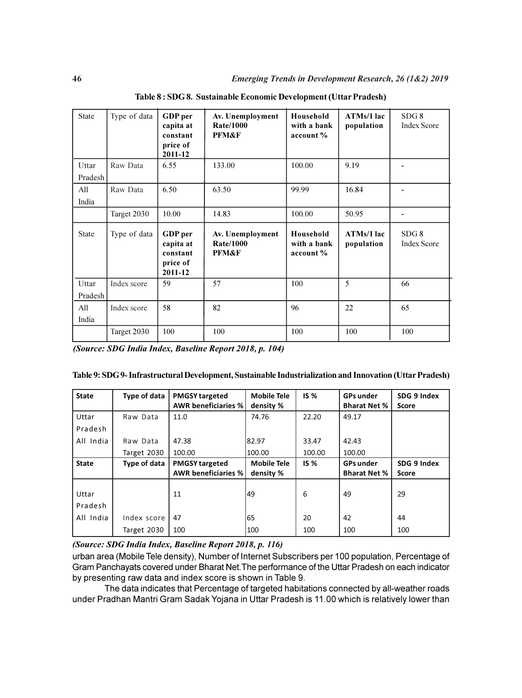| <b>State</b>     | Type of data | GDP per<br>capita at<br>constant<br>price of<br>2011-12 | Av. Unemployment<br><b>Rate/1000</b><br><b>PFM&amp;F</b> | Household<br>with a bank<br>account % | ATMs/1 lac<br>population | SDG 8<br><b>Index Score</b> |
|------------------|--------------|---------------------------------------------------------|----------------------------------------------------------|---------------------------------------|--------------------------|-----------------------------|
| Uttar<br>Pradesh | Raw Data     | 6.55                                                    | 133.00                                                   | 100.00                                | 9.19                     |                             |
| All<br>India     | Raw Data     | 6.50                                                    | 63.50                                                    | 99.99                                 | 16.84                    |                             |
|                  | Target 2030  | 10.00                                                   | 14.83                                                    | 100.00                                | 50.95                    | ٠                           |
| <b>State</b>     | Type of data | GDP per<br>capita at<br>constant<br>price of<br>2011-12 | Av. Unemployment<br><b>Rate/1000</b><br>PFM&F            | Household<br>with a bank<br>account % | ATMs/1 lac<br>population | SDG8<br><b>Index Score</b>  |
| Uttar<br>Pradesh | Index score  | 59                                                      | 57                                                       | 100                                   | 5                        | 66                          |
| All<br>India     | Index score  | 58                                                      | 82                                                       | 96                                    | 22                       | 65                          |
|                  | Target 2030  | 100                                                     | 100                                                      | 100                                   | 100                      | 100                         |

Table 8 : SDG 8. Sustainable Economic Development (Uttar Pradesh)

(Source: SDG India Index, Baseline Report 2018, p. 104)

| <b>State</b> | Type of data | <b>PMGSY targeted</b>      | <b>Mobile Tele</b> | IS <sub>%</sub> | <b>GPs under</b>    | SDG 9 Index  |
|--------------|--------------|----------------------------|--------------------|-----------------|---------------------|--------------|
|              |              | <b>AWR beneficiaries %</b> | density %          |                 | <b>Bharat Net %</b> | <b>Score</b> |
| Uttar        | Raw Data     | 11.0                       | 74.76              | 22.20           | 49.17               |              |
| Pradesh      |              |                            |                    |                 |                     |              |
| All India    | Raw Data     | 47.38                      | 82.97              | 33.47           | 42.43               |              |
|              | Target 2030  | 100.00                     | 100.00             | 100.00          | 100.00              |              |
| <b>State</b> | Type of data | <b>PMGSY targeted</b>      | <b>Mobile Tele</b> | IS <sub>%</sub> | <b>GPs under</b>    | SDG 9 Index  |
|              |              | <b>AWR beneficiaries %</b> | density %          |                 | <b>Bharat Net %</b> | Score        |
|              |              |                            |                    |                 |                     |              |
| Uttar        |              | 11                         | 149                | 6               | 49                  | 29           |
| Pradesh      |              |                            |                    |                 |                     |              |
|              | Index score  | 47                         | 65                 | 20              | 42                  | 44           |
| All India    |              |                            |                    |                 |                     |              |

(Source: SDG India Index, Baseline Report 2018, p. 116)

urban area (Mobile Tele density), Number of Internet Subscribers per 100 population, Percentage of Gram Panchayats covered under Bharat Net.The performance of the Uttar Pradesh on each indicator by presenting raw data and index score is shown in Table 9.

The data indicates that Percentage of targeted habitations connected by all-weather roads under Pradhan Mantri Gram Sadak Yojana in Uttar Pradesh is 11.00 which is relatively lower than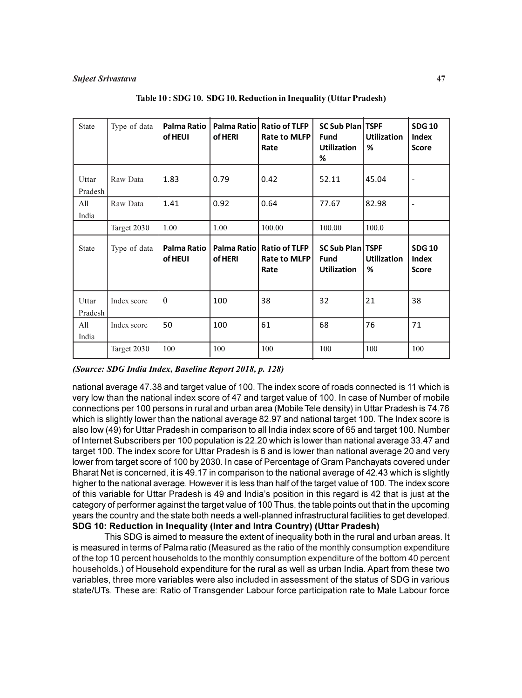| <b>State</b>     | Type of data | <b>Palma Ratio</b><br>of HEUI | Palma Ratio<br>of HERI | <b>Ratio of TLFP</b><br>Rate to MLFP<br>Rate | <b>SC Sub Plan TSPF</b><br><b>Fund</b><br><b>Utilization</b><br>% | <b>Utilization</b><br>℅ | <b>SDG 10</b><br><b>Index</b><br><b>Score</b> |
|------------------|--------------|-------------------------------|------------------------|----------------------------------------------|-------------------------------------------------------------------|-------------------------|-----------------------------------------------|
| Uttar<br>Pradesh | Raw Data     | 1.83                          | 0.79                   | 0.42                                         | 52.11                                                             | 45.04                   | $\overline{\phantom{a}}$                      |
| All<br>India     | Raw Data     | 1.41                          | 0.92                   | 0.64                                         | 77.67                                                             | 82.98                   |                                               |
|                  | Target 2030  | 1.00                          | 1.00                   | 100.00                                       | 100.00                                                            | 100.0                   |                                               |
| <b>State</b>     | Type of data | Palma Ratio<br>of HEUI        | Palma Ratio<br>of HERI | <b>Ratio of TLFP</b><br>Rate to MLFP<br>Rate | <b>SC Sub Plan TSPF</b><br><b>Fund</b><br><b>Utilization</b>      | <b>Utilization</b><br>% | <b>SDG 10</b><br>Index<br><b>Score</b>        |
| Uttar<br>Pradesh | Index score  | $\theta$                      | 100                    | 38                                           | 32                                                                | 21                      | 38                                            |
| All              | Index score  | 50                            | 100                    | 61                                           | 68                                                                | 76                      | 71                                            |
| India            |              |                               |                        |                                              |                                                                   |                         |                                               |

| Table 10 : SDG 10. SDG 10. Reduction in Inequality (Uttar Pradesh) |  |  |
|--------------------------------------------------------------------|--|--|
|                                                                    |  |  |

(Source: SDG India Index, Baseline Report 2018, p. 128)

national average 47.38 and target value of 100. The index score of roads connected is 11 which is very low than the national index score of 47 and target value of 100. In case of Number of mobile connections per 100 persons in rural and urban area (Mobile Tele density) in Uttar Pradesh is 74.76 which is slightly lower than the national average 82.97 and national target 100. The Index score is also low (49) for Uttar Pradesh in comparison to all India index score of 65 and target 100. Number of Internet Subscribers per 100 population is 22.20 which is lower than national average 33.47 and target 100. The index score for Uttar Pradesh is 6 and is lower than national average 20 and very lower from target score of 100 by 2030. In case of Percentage of Gram Panchayats covered under Bharat Net is concerned, it is 49.17 in comparison to the national average of 42.43 which is slightly higher to the national average. However it is less than half of the target value of 100. The index score of this variable for Uttar Pradesh is 49 and India's position in this regard is 42 that is just at the category of performer against the target value of 100 Thus, the table points out that in the upcoming years the country and the state both needs a well-planned infrastructural facilities to get developed. SDG 10: Reduction in Inequality (Inter and Intra Country) (Uttar Pradesh)

This SDG is aimed to measure the extent of inequality both in the rural and urban areas. It is measured in terms of Palma ratio (Measured as the ratio of the monthly consumption expenditure of the top 10 percent households to the monthly consumption expenditure of the bottom 40 percent households.) of Household expenditure for the rural as well as urban India. Apart from these two variables, three more variables were also included in assessment of the status of SDG in various state/UTs. These are: Ratio of Transgender Labour force participation rate to Male Labour force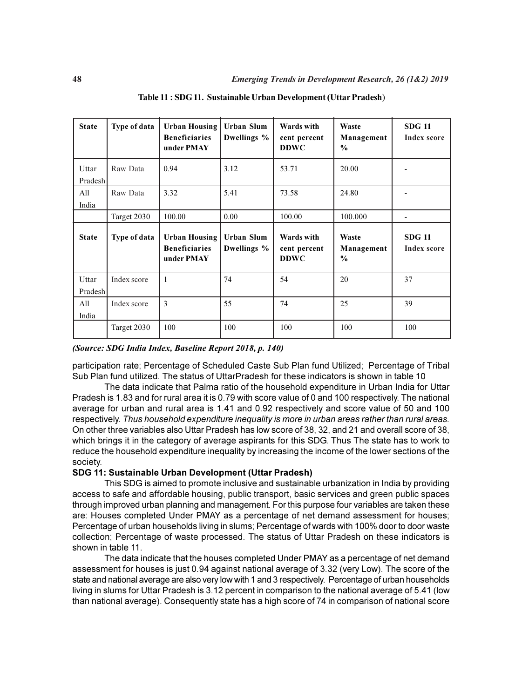| <b>State</b>     | Type of data | <b>Urban Housing</b><br><b>Beneficiaries</b><br>under PMAY | <b>Urban Slum</b><br>Dwellings % | Wards with<br>cent percent<br><b>DDWC</b> | Waste<br>Management<br>$\frac{6}{6}$ | <b>SDG 11</b><br><b>Index score</b> |
|------------------|--------------|------------------------------------------------------------|----------------------------------|-------------------------------------------|--------------------------------------|-------------------------------------|
| Uttar<br>Pradesh | Raw Data     | 0.94                                                       | 3.12                             | 53.71                                     | 20.00                                |                                     |
| All<br>India     | Raw Data     | 3.32                                                       | 5.41                             | 73.58                                     | 24.80                                |                                     |
|                  | Target 2030  | 100.00                                                     | 0.00                             | 100.00                                    | 100.000                              |                                     |
| <b>State</b>     | Type of data | <b>Urban Housing</b><br><b>Beneficiaries</b><br>under PMAY | Urban Slum<br>Dwellings %        | Wards with<br>cent percent<br><b>DDWC</b> | Waste<br>Management<br>$\frac{0}{0}$ | <b>SDG</b> 11<br><b>Index score</b> |
| Uttar<br>Pradesh | Index score  | $\mathbf{1}$                                               | 74                               | 54                                        | 20                                   | 37                                  |
| All<br>India     | Index score  | 3                                                          | 55                               | 74                                        | 25                                   | 39                                  |
|                  | Target 2030  | 100                                                        | 100                              | 100                                       | 100                                  | 100                                 |

Table 11 : SDG 11. Sustainable Urban Development (Uttar Pradesh)

# (Source: SDG India Index, Baseline Report 2018, p. 140)

participation rate; Percentage of Scheduled Caste Sub Plan fund Utilized; Percentage of Tribal Sub Plan fund utilized. The status of UttarPradesh for these indicators is shown in table 10

The data indicate that Palma ratio of the household expenditure in Urban India for Uttar Pradesh is 1.83 and for rural area it is 0.79 with score value of 0 and 100 respectively. The national average for urban and rural area is 1.41 and 0.92 respectively and score value of 50 and 100 respectively. Thus household expenditure inequality is more in urban areas rather than rural areas. On other three variables also Uttar Pradesh has low score of 38, 32, and 21 and overall score of 38, which brings it in the category of average aspirants for this SDG. Thus The state has to work to reduce the household expenditure inequality by increasing the income of the lower sections of the society.

# SDG 11: Sustainable Urban Development (Uttar Pradesh)

This SDG is aimed to promote inclusive and sustainable urbanization in India by providing access to safe and affordable housing, public transport, basic services and green public spaces through improved urban planning and management. For this purpose four variables are taken these are: Houses completed Under PMAY as a percentage of net demand assessment for houses; Percentage of urban households living in slums; Percentage of wards with 100% door to door waste collection; Percentage of waste processed. The status of Uttar Pradesh on these indicators is shown in table 11.

The data indicate that the houses completed Under PMAY as a percentage of net demand assessment for houses is just 0.94 against national average of 3.32 (very Low). The score of the state and national average are also very low with 1 and 3 respectively. Percentage of urban households living in slums for Uttar Pradesh is 3.12 percent in comparison to the national average of 5.41 (low than national average). Consequently state has a high score of 74 in comparison of national score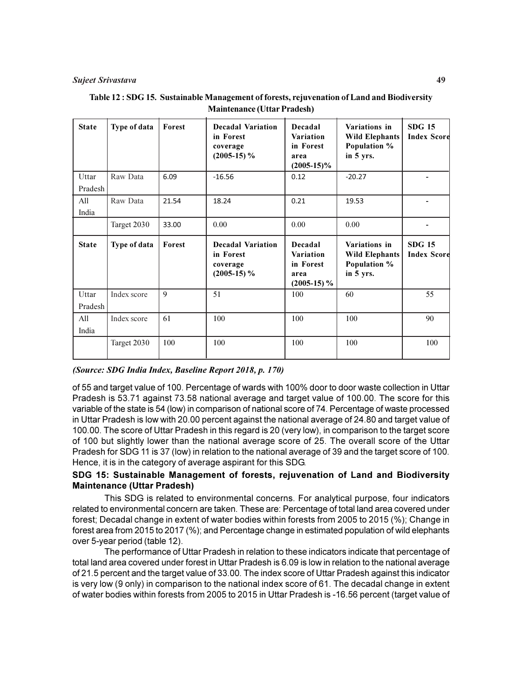#### Sujeet Srivastava 49

| <b>State</b>     | Type of data | Forest | <b>Decadal Variation</b><br>in Forest<br>coverage<br>$(2005-15)\%$ | Decadal<br><b>Variation</b><br>in Forest<br>area<br>$(2005-15)\%$ | Variations in<br><b>Wild Elephants</b><br>Population %<br>in 5 yrs. | <b>SDG 15</b><br><b>Index Score</b> |
|------------------|--------------|--------|--------------------------------------------------------------------|-------------------------------------------------------------------|---------------------------------------------------------------------|-------------------------------------|
| Uttar<br>Pradesh | Raw Data     | 6.09   | $-16.56$                                                           | 0.12                                                              | $-20.27$                                                            |                                     |
| All<br>India     | Raw Data     | 21.54  | 18.24                                                              | 0.21                                                              | 19.53                                                               |                                     |
|                  | Target 2030  | 33.00  | 0.00                                                               | 0.00                                                              | 0.00                                                                |                                     |
|                  |              |        |                                                                    |                                                                   |                                                                     |                                     |
| <b>State</b>     | Type of data | Forest | <b>Decadal Variation</b><br>in Forest<br>coverage<br>$(2005-15)\%$ | Decadal<br><b>Variation</b><br>in Forest<br>area<br>$(2005-15)\%$ | Variations in<br><b>Wild Elephants</b><br>Population %<br>in 5 yrs. | <b>SDG 15</b>                       |
| Uttar<br>Pradesh | Index score  | 9      | 51                                                                 | 100                                                               | 60                                                                  | <b>Index Scord</b><br>55            |
| All<br>India     | Index score  | 61     | 100                                                                | 100                                                               | 100                                                                 | 90                                  |

| Table 12: SDG 15. Sustainable Management of forests, rejuvenation of Land and Biodiversity |
|--------------------------------------------------------------------------------------------|
| <b>Maintenance (Uttar Pradesh)</b>                                                         |

# (Source: SDG India Index, Baseline Report 2018, p. 170)

of 55 and target value of 100. Percentage of wards with 100% door to door waste collection in Uttar Pradesh is 53.71 against 73.58 national average and target value of 100.00. The score for this variable of the state is 54 (low) in comparison of national score of 74. Percentage of waste processed in Uttar Pradesh is low with 20.00 percent against the national average of 24.80 and target value of 100.00. The score of Uttar Pradesh in this regard is 20 (very low), in comparison to the target score of 100 but slightly lower than the national average score of 25. The overall score of the Uttar Pradesh for SDG 11 is 37 (low) in relation to the national average of 39 and the target score of 100. Hence, it is in the category of average aspirant for this SDG.

# SDG 15: Sustainable Management of forests, rejuvenation of Land and Biodiversity Maintenance (Uttar Pradesh)

This SDG is related to environmental concerns. For analytical purpose, four indicators related to environmental concern are taken. These are: Percentage of total land area covered under forest; Decadal change in extent of water bodies within forests from 2005 to 2015 (%); Change in forest area from 2015 to 2017 (%); and Percentage change in estimated population of wild elephants over 5-year period (table 12).

The performance of Uttar Pradesh in relation to these indicators indicate that percentage of total land area covered under forest in Uttar Pradesh is 6.09 is low in relation to the national average of 21.5 percent and the target value of 33.00. The index score of Uttar Pradesh against this indicator is very low (9 only) in comparison to the national index score of 61. The decadal change in extent of water bodies within forests from 2005 to 2015 in Uttar Pradesh is -16.56 percent (target value of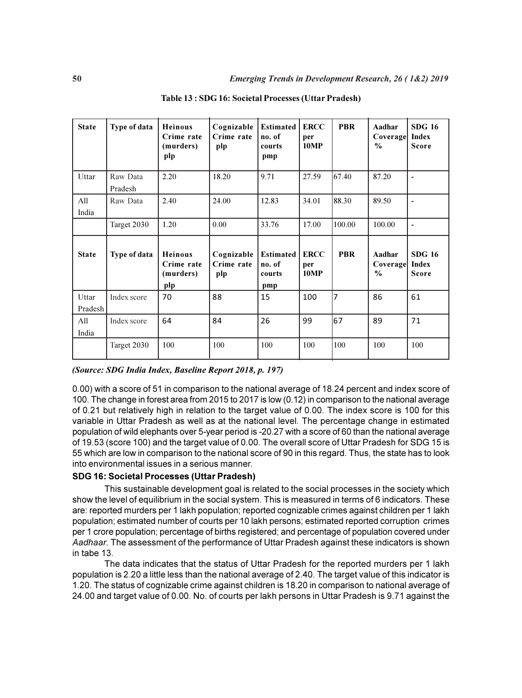| <b>State</b>     | Type of data        | <b>Heinous</b><br>Crime rate<br>(murders)<br>plp | Cognizable<br>Crime rate<br>plp | <b>Estimated</b><br>no. of<br>courts<br>pmp | <b>ERCC</b><br>per<br><b>10MP</b> | <b>PBR</b> | Aadhar<br>Coverage<br>$\%$          | <b>SDG 16</b><br>Index<br><b>Score</b> |
|------------------|---------------------|--------------------------------------------------|---------------------------------|---------------------------------------------|-----------------------------------|------------|-------------------------------------|----------------------------------------|
| Uttar            | Raw Data<br>Pradesh | 2.20                                             | 18.20                           | 9.71                                        | 27.59                             | 67.40      | 87.20                               | $\blacksquare$                         |
| All<br>India     | Raw Data            | 2.40                                             | 24.00                           | 12.83                                       | 34.01                             | 88.30      | 89.50                               | $\blacksquare$                         |
|                  | Target 2030         | 1.20                                             | 0.00                            | 33.76                                       | 17.00                             | 100.00     | 100.00                              | $\blacksquare$                         |
| <b>State</b>     | Type of data        | <b>Heinous</b><br>Crime rate<br>(murders)<br>plp | Cognizable<br>Crime rate<br>plp | <b>Estimated</b><br>no. of<br>courts<br>pmp | <b>ERCC</b><br>per<br><b>10MP</b> | <b>PBR</b> | Aadhar<br>Coverage<br>$\frac{0}{0}$ | <b>SDG 16</b><br>Index<br><b>Score</b> |
| Uttar<br>Pradesh | Index score         | 70                                               | 88                              | 15                                          | 100                               | 7          | 86                                  | 61                                     |
| All<br>India     | Index score         | 64                                               | 84                              | 26                                          | 99                                | 67         | 89                                  | 71                                     |
|                  | Target 2030         | 100                                              | 100                             | 100                                         | 100                               | 100        | 100                                 | 100                                    |

(Source: SDG India Index, Baseline Report 2018, p. 197)

0.00) with a score of 51 in comparison to the national average of 18.24 percent and index score of 100. The change in forest area from 2015 to 2017 is low (0.12) in comparison to the national average of 0.21 but relatively high in relation to the target value of 0.00. The index score is 100 for this variable in Uttar Pradesh as well as at the national level. The percentage change in estimated population of wild elephants over 5-year period is -20.27 with a score of 60 than the national average of 19.53 (score 100) and the target value of 0.00. The overall score of Uttar Pradesh for SDG 15 is 55 which are low in comparison to the national score of 90 in this regard. Thus, the state has to look into environmental issues in a serious manner.

# SDG 16: Societal Processes (Uttar Pradesh)

This sustainable development goal is related to the social processes in the society which show the level of equilibrium in the social system. This is measured in terms of 6 indicators. These are: reported murders per 1 lakh population; reported cognizable crimes against children per 1 lakh population; estimated number of courts per 10 lakh persons; estimated reported corruption crimes per 1 crore population; percentage of births registered; and percentage of population covered under Aadhaar. The assessment of the performance of Uttar Pradesh against these indicators is shown in tabe 13.

The data indicates that the status of Uttar Pradesh for the reported murders per 1 lakh population is 2.20 a little less than the national average of 2.40. The target value of this indicator is 1.20. The status of cognizable crime against children is 18.20 in comparison to national average of 24.00 and target value of 0.00. No. of courts per lakh persons in Uttar Pradesh is 9.71 against the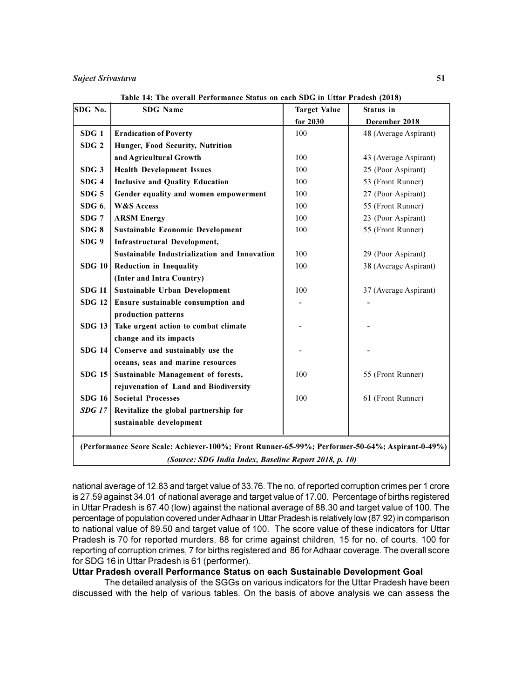| <b>Eradication of Poverty</b><br>Hunger, Food Security, Nutrition<br>and Agricultural Growth<br><b>Health Development Issues</b><br><b>Inclusive and Quality Education</b><br>Gender equality and women empowerment<br><b>ARSM Energy</b><br><b>Sustainable Economic Development</b><br><b>Infrastructural Development,</b><br>Sustainable Industrialization and Innovation | for 2030<br>100<br>100<br>100<br>100<br>100<br>100<br>100<br>100<br>100 | December 2018<br>48 (Average Aspirant)<br>43 (Average Aspirant)<br>25 (Poor Aspirant)<br>53 (Front Runner)<br>27 (Poor Aspirant)<br>55 (Front Runner)<br>23 (Poor Aspirant)<br>55 (Front Runner) |
|-----------------------------------------------------------------------------------------------------------------------------------------------------------------------------------------------------------------------------------------------------------------------------------------------------------------------------------------------------------------------------|-------------------------------------------------------------------------|--------------------------------------------------------------------------------------------------------------------------------------------------------------------------------------------------|
|                                                                                                                                                                                                                                                                                                                                                                             |                                                                         |                                                                                                                                                                                                  |
|                                                                                                                                                                                                                                                                                                                                                                             |                                                                         |                                                                                                                                                                                                  |
|                                                                                                                                                                                                                                                                                                                                                                             |                                                                         |                                                                                                                                                                                                  |
|                                                                                                                                                                                                                                                                                                                                                                             |                                                                         |                                                                                                                                                                                                  |
|                                                                                                                                                                                                                                                                                                                                                                             |                                                                         |                                                                                                                                                                                                  |
|                                                                                                                                                                                                                                                                                                                                                                             |                                                                         |                                                                                                                                                                                                  |
|                                                                                                                                                                                                                                                                                                                                                                             |                                                                         |                                                                                                                                                                                                  |
|                                                                                                                                                                                                                                                                                                                                                                             |                                                                         |                                                                                                                                                                                                  |
|                                                                                                                                                                                                                                                                                                                                                                             |                                                                         |                                                                                                                                                                                                  |
|                                                                                                                                                                                                                                                                                                                                                                             |                                                                         |                                                                                                                                                                                                  |
|                                                                                                                                                                                                                                                                                                                                                                             |                                                                         |                                                                                                                                                                                                  |
|                                                                                                                                                                                                                                                                                                                                                                             |                                                                         | 29 (Poor Aspirant)                                                                                                                                                                               |
| Reduction in Inequality                                                                                                                                                                                                                                                                                                                                                     | 100                                                                     | 38 (Average Aspirant)                                                                                                                                                                            |
| (Inter and Intra Country)                                                                                                                                                                                                                                                                                                                                                   |                                                                         |                                                                                                                                                                                                  |
| Sustainable Urban Development                                                                                                                                                                                                                                                                                                                                               | 100                                                                     | 37 (Average Aspirant)                                                                                                                                                                            |
| Ensure sustainable consumption and                                                                                                                                                                                                                                                                                                                                          |                                                                         |                                                                                                                                                                                                  |
| production patterns                                                                                                                                                                                                                                                                                                                                                         |                                                                         |                                                                                                                                                                                                  |
| Take urgent action to combat climate                                                                                                                                                                                                                                                                                                                                        |                                                                         |                                                                                                                                                                                                  |
| change and its impacts                                                                                                                                                                                                                                                                                                                                                      |                                                                         |                                                                                                                                                                                                  |
| Conserve and sustainably use the                                                                                                                                                                                                                                                                                                                                            |                                                                         |                                                                                                                                                                                                  |
| oceans, seas and marine resources                                                                                                                                                                                                                                                                                                                                           |                                                                         |                                                                                                                                                                                                  |
| Sustainable Management of forests,                                                                                                                                                                                                                                                                                                                                          | 100                                                                     | 55 (Front Runner)                                                                                                                                                                                |
| rejuvenation of Land and Biodiversity                                                                                                                                                                                                                                                                                                                                       |                                                                         |                                                                                                                                                                                                  |
| <b>Societal Processes</b>                                                                                                                                                                                                                                                                                                                                                   | 100                                                                     | 61 (Front Runner)                                                                                                                                                                                |
| Revitalize the global partnership for                                                                                                                                                                                                                                                                                                                                       |                                                                         |                                                                                                                                                                                                  |
| sustainable development                                                                                                                                                                                                                                                                                                                                                     |                                                                         |                                                                                                                                                                                                  |
|                                                                                                                                                                                                                                                                                                                                                                             |                                                                         | (Performance Score Scale: Achiever-100%; Front Runner-65-99%; Performer-50-64%; Aspirant-0-49%)<br>(Source: SDG India Index, Baseline Report 2018, p. 10)                                        |

Table 14: The overall Performance Status on each SDG in Uttar Pradesh (2018)

national average of 12.83 and target value of 33.76. The no. of reported corruption crimes per 1 crore is 27.59 against 34.01 of national average and target value of 17.00. Percentage of births registered in Uttar Pradesh is 67.40 (low) against the national average of 88.30 and target value of 100. The percentage of population covered under Adhaar in Uttar Pradesh is relatively low (87.92) in comparison to national value of 89.50 and target value of 100. The score value of these indicators for Uttar Pradesh is 70 for reported murders, 88 for crime against children, 15 for no. of courts, 100 for reporting of corruption crimes, 7 for births registered and 86 for Adhaar coverage. The overall score for SDG 16 in Uttar Pradesh is 61 (performer).

# Uttar Pradesh overall Performance Status on each Sustainable Development Goal

The detailed analysis of the SGGs on various indicators for the Uttar Pradesh have been discussed with the help of various tables. On the basis of above analysis we can assess the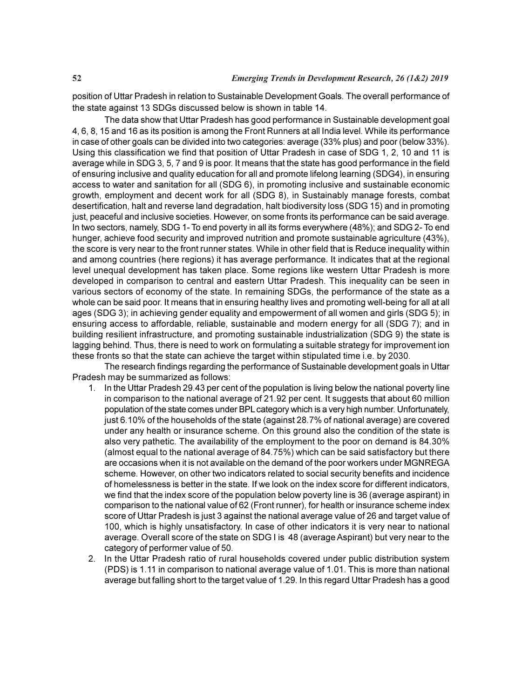position of Uttar Pradesh in relation to Sustainable Development Goals. The overall performance of the state against 13 SDGs discussed below is shown in table 14.

The data show that Uttar Pradesh has good performance in Sustainable development goal 4, 6, 8, 15 and 16 as its position is among the Front Runners at all India level. While its performance in case of other goals can be divided into two categories: average (33% plus) and poor (below 33%). Using this classification we find that position of Uttar Pradesh in case of SDG 1, 2, 10 and 11 is average while in SDG 3, 5, 7 and 9 is poor. It means that the state has good performance in the field of ensuring inclusive and quality education for all and promote lifelong learning (SDG4), in ensuring access to water and sanitation for all (SDG 6), in promoting inclusive and sustainable economic growth, employment and decent work for all (SDG 8), in Sustainably manage forests, combat desertification, halt and reverse land degradation, halt biodiversity loss (SDG 15) and in promoting just, peaceful and inclusive societies. However, on some fronts its performance can be said average. In two sectors, namely, SDG 1- To end poverty in all its forms everywhere (48%); and SDG 2- To end hunger, achieve food security and improved nutrition and promote sustainable agriculture (43%), the score is very near to the front runner states. While in other field that is Reduce inequality within and among countries (here regions) it has average performance. It indicates that at the regional level unequal development has taken place. Some regions like western Uttar Pradesh is more developed in comparison to central and eastern Uttar Pradesh. This inequality can be seen in various sectors of economy of the state. In remaining SDGs, the performance of the state as a whole can be said poor. It means that in ensuring healthy lives and promoting well-being for all at all ages (SDG 3); in achieving gender equality and empowerment of all women and girls (SDG 5); in ensuring access to affordable, reliable, sustainable and modern energy for all (SDG 7); and in building resilient infrastructure, and promoting sustainable industrialization (SDG 9) the state is lagging behind. Thus, there is need to work on formulating a suitable strategy for improvement ion these fronts so that the state can achieve the target within stipulated time i.e. by 2030.

The research findings regarding the performance of Sustainable development goals in Uttar Pradesh may be summarized as follows:

- 1. In the Uttar Pradesh 29.43 per cent of the population is living below the national poverty line in comparison to the national average of 21.92 per cent. It suggests that about 60 million population of the state comes under BPL category which is a very high number. Unfortunately, just 6.10% of the households of the state (against 28.7% of national average) are covered under any health or insurance scheme. On this ground also the condition of the state is also very pathetic. The availability of the employment to the poor on demand is 84.30% (almost equal to the national average of 84.75%) which can be said satisfactory but there are occasions when it is not available on the demand of the poor workers under MGNREGA scheme. However, on other two indicators related to social security benefits and incidence of homelessness is better in the state. If we look on the index score for different indicators, we find that the index score of the population below poverty line is 36 (average aspirant) in comparison to the national value of 62 (Front runner), for health or insurance scheme index score of Uttar Pradesh is just 3 against the national average value of 26 and target value of 100, which is highly unsatisfactory. In case of other indicators it is very near to national average. Overall score of the state on SDG I is 48 (average Aspirant) but very near to the category of performer value of 50.
- 2. In the Uttar Pradesh ratio of rural households covered under public distribution system (PDS) is 1.11 in comparison to national average value of 1.01. This is more than national average but falling short to the target value of 1.29. In this regard Uttar Pradesh has a good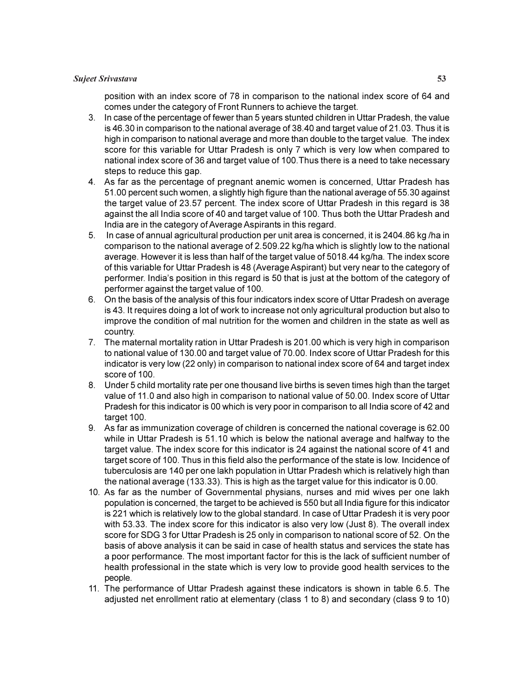### Sujeet Srivastava 53

position with an index score of 78 in comparison to the national index score of 64 and comes under the category of Front Runners to achieve the target.

- 3. In case of the percentage of fewer than 5 years stunted children in Uttar Pradesh, the value is 46.30 in comparison to the national average of 38.40 and target value of 21.03. Thus it is high in comparison to national average and more than double to the target value. The index score for this variable for Uttar Pradesh is only 7 which is very low when compared to national index score of 36 and target value of 100.Thus there is a need to take necessary steps to reduce this gap.
- 4. As far as the percentage of pregnant anemic women is concerned, Uttar Pradesh has 51.00 percent such women, a slightly high figure than the national average of 55.30 against the target value of 23.57 percent. The index score of Uttar Pradesh in this regard is 38 against the all India score of 40 and target value of 100. Thus both the Uttar Pradesh and India are in the category of Average Aspirants in this regard.
- 5. In case of annual agricultural production per unit area is concerned, it is 2404.86 kg /ha in comparison to the national average of 2.509.22 kg/ha which is slightly low to the national average. However it is less than half of the target value of 5018.44 kg/ha. The index score of this variable for Uttar Pradesh is 48 (Average Aspirant) but very near to the category of performer. India's position in this regard is 50 that is just at the bottom of the category of performer against the target value of 100.
- 6. On the basis of the analysis of this four indicators index score of Uttar Pradesh on average is 43. It requires doing a lot of work to increase not only agricultural production but also to improve the condition of mal nutrition for the women and children in the state as well as country.
- 7. The maternal mortality ration in Uttar Pradesh is 201.00 which is very high in comparison to national value of 130.00 and target value of 70.00. Index score of Uttar Pradesh for this indicator is very low (22 only) in comparison to national index score of 64 and target index score of 100.
- 8. Under 5 child mortality rate per one thousand live births is seven times high than the target value of 11.0 and also high in comparison to national value of 50.00. Index score of Uttar Pradesh for this indicator is 00 which is very poor in comparison to all India score of 42 and target 100.
- 9. As far as immunization coverage of children is concerned the national coverage is 62.00 while in Uttar Pradesh is 51.10 which is below the national average and halfway to the target value. The index score for this indicator is 24 against the national score of 41 and target score of 100. Thus in this field also the performance of the state is low. Incidence of tuberculosis are 140 per one lakh population in Uttar Pradesh which is relatively high than the national average (133.33). This is high as the target value for this indicator is 0.00.
- 10. As far as the number of Governmental physians, nurses and mid wives per one lakh population is concerned, the target to be achieved is 550 but all India figure for this indicator is 221 which is relatively low to the global standard. In case of Uttar Pradesh it is very poor with 53.33. The index score for this indicator is also very low (Just 8). The overall index score for SDG 3 for Uttar Pradesh is 25 only in comparison to national score of 52. On the basis of above analysis it can be said in case of health status and services the state has a poor performance. The most important factor for this is the lack of sufficient number of health professional in the state which is very low to provide good health services to the people.
- 11. The performance of Uttar Pradesh against these indicators is shown in table 6.5. The adjusted net enrollment ratio at elementary (class 1 to 8) and secondary (class 9 to 10)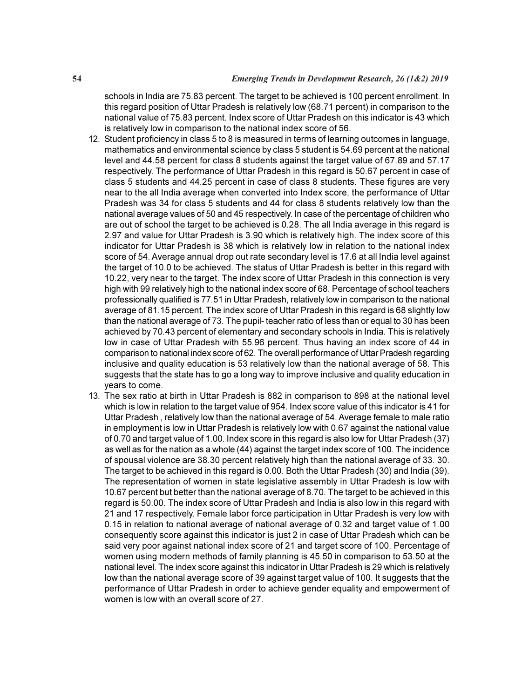schools in India are 75.83 percent. The target to be achieved is 100 percent enrollment. In this regard position of Uttar Pradesh is relatively low (68.71 percent) in comparison to the national value of 75.83 percent. Index score of Uttar Pradesh on this indicator is 43 which is relatively low in comparison to the national index score of 56.

- 12. Student proficiency in class 5 to 8 is measured in terms of learning outcomes in language, mathematics and environmental science by class 5 student is 54.69 percent at the national level and 44.58 percent for class 8 students against the target value of 67.89 and 57.17 respectively. The performance of Uttar Pradesh in this regard is 50.67 percent in case of class 5 students and 44.25 percent in case of class 8 students. These figures are very near to the all India average when converted into Index score, the performance of Uttar Pradesh was 34 for class 5 students and 44 for class 8 students relatively low than the national average values of 50 and 45 respectively. In case of the percentage of children who are out of school the target to be achieved is 0.28. The all India average in this regard is 2.97 and value for Uttar Pradesh is 3.90 which is relatively high. The index score of this indicator for Uttar Pradesh is 38 which is relatively low in relation to the national index score of 54. Average annual drop out rate secondary level is 17.6 at all India level against the target of 10.0 to be achieved. The status of Uttar Pradesh is better in this regard with 10.22, very near to the target. The index score of Uttar Pradesh in this connection is very high with 99 relatively high to the national index score of 68. Percentage of school teachers professionally qualified is 77.51 in Uttar Pradesh, relatively low in comparison to the national average of 81.15 percent. The index score of Uttar Pradesh in this regard is 68 slightly low than the national average of 73. The pupil- teacher ratio of less than or equal to 30 has been achieved by 70.43 percent of elementary and secondary schools in India. This is relatively low in case of Uttar Pradesh with 55.96 percent. Thus having an index score of 44 in comparison to national index score of 62. The overall performance of Uttar Pradesh regarding inclusive and quality education is 53 relatively low than the national average of 58. This suggests that the state has to go a long way to improve inclusive and quality education in years to come.
- 13. The sex ratio at birth in Uttar Pradesh is 882 in comparison to 898 at the national level which is low in relation to the target value of 954. Index score value of this indicator is 41 for Uttar Pradesh , relatively low than the national average of 54. Average female to male ratio in employment is low in Uttar Pradesh is relatively low with 0.67 against the national value of 0.70 and target value of 1.00. Index score in this regard is also low for Uttar Pradesh (37) as well as for the nation as a whole (44) against the target index score of 100. The incidence of spousal violence are 38.30 percent relatively high than the national average of 33. 30. The target to be achieved in this regard is 0.00. Both the Uttar Pradesh (30) and India (39). The representation of women in state legislative assembly in Uttar Pradesh is low with 10.67 percent but better than the national average of 8.70. The target to be achieved in this regard is 50.00. The index score of Uttar Pradesh and India is also low in this regard with 21 and 17 respectively. Female labor force participation in Uttar Pradesh is very low with 0.15 in relation to national average of national average of 0.32 and target value of 1.00 consequently score against this indicator is just 2 in case of Uttar Pradesh which can be said very poor against national index score of 21 and target score of 100. Percentage of women using modern methods of family planning is 45.50 in comparison to 53.50 at the national level. The index score against this indicator in Uttar Pradesh is 29 which is relatively low than the national average score of 39 against target value of 100. It suggests that the performance of Uttar Pradesh in order to achieve gender equality and empowerment of women is low with an overall score of 27.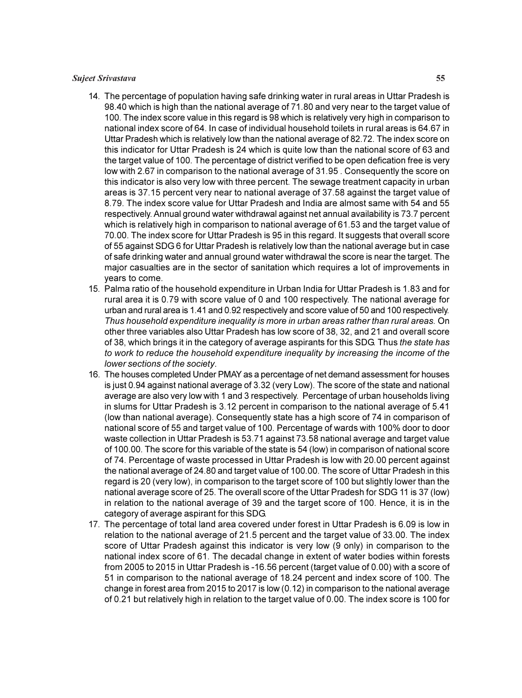#### Sujeet Srivastava 55

- 14. The percentage of population having safe drinking water in rural areas in Uttar Pradesh is 98.40 which is high than the national average of 71.80 and very near to the target value of 100. The index score value in this regard is 98 which is relatively very high in comparison to national index score of 64. In case of individual household toilets in rural areas is 64.67 in Uttar Pradesh which is relatively low than the national average of 82.72. The index score on this indicator for Uttar Pradesh is 24 which is quite low than the national score of 63 and the target value of 100. The percentage of district verified to be open defication free is very low with 2.67 in comparison to the national average of 31.95 . Consequently the score on this indicator is also very low with three percent. The sewage treatment capacity in urban areas is 37.15 percent very near to national average of 37.58 against the target value of 8.79. The index score value for Uttar Pradesh and India are almost same with 54 and 55 respectively. Annual ground water withdrawal against net annual availability is 73.7 percent which is relatively high in comparison to national average of 61.53 and the target value of 70.00. The index score for Uttar Pradesh is 95 in this regard. It suggests that overall score of 55 against SDG 6 for Uttar Pradesh is relatively low than the national average but in case of safe drinking water and annual ground water withdrawal the score is near the target. The major casualties are in the sector of sanitation which requires a lot of improvements in years to come.
- 15. Palma ratio of the household expenditure in Urban India for Uttar Pradesh is 1.83 and for rural area it is 0.79 with score value of 0 and 100 respectively. The national average for urban and rural area is 1.41 and 0.92 respectively and score value of 50 and 100 respectively. Thus household expenditure inequality is more in urban areas rather than rural areas. On other three variables also Uttar Pradesh has low score of 38, 32, and 21 and overall score of 38, which brings it in the category of average aspirants for this SDG. Thus the state has to work to reduce the household expenditure inequality by increasing the income of the lower sections of the society.
- 16. The houses completed Under PMAY as a percentage of net demand assessment for houses is just 0.94 against national average of 3.32 (very Low). The score of the state and national average are also very low with 1 and 3 respectively. Percentage of urban households living in slums for Uttar Pradesh is 3.12 percent in comparison to the national average of 5.41 (low than national average). Consequently state has a high score of 74 in comparison of national score of 55 and target value of 100. Percentage of wards with 100% door to door waste collection in Uttar Pradesh is 53.71 against 73.58 national average and target value of 100.00. The score for this variable of the state is 54 (low) in comparison of national score of 74. Percentage of waste processed in Uttar Pradesh is low with 20.00 percent against the national average of 24.80 and target value of 100.00. The score of Uttar Pradesh in this regard is 20 (very low), in comparison to the target score of 100 but slightly lower than the national average score of 25. The overall score of the Uttar Pradesh for SDG 11 is 37 (low) in relation to the national average of 39 and the target score of 100. Hence, it is in the category of average aspirant for this SDG.
- 17. The percentage of total land area covered under forest in Uttar Pradesh is 6.09 is low in relation to the national average of 21.5 percent and the target value of 33.00. The index score of Uttar Pradesh against this indicator is very low (9 only) in comparison to the national index score of 61. The decadal change in extent of water bodies within forests from 2005 to 2015 in Uttar Pradesh is -16.56 percent (target value of 0.00) with a score of 51 in comparison to the national average of 18.24 percent and index score of 100. The change in forest area from 2015 to 2017 is low (0.12) in comparison to the national average of 0.21 but relatively high in relation to the target value of 0.00. The index score is 100 for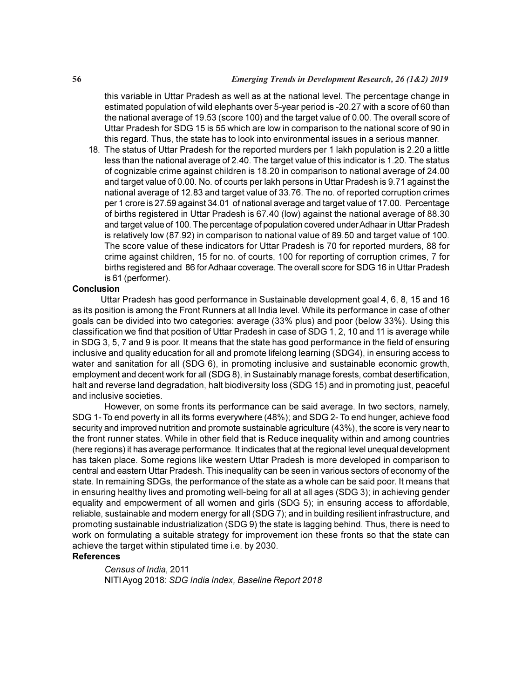this variable in Uttar Pradesh as well as at the national level. The percentage change in estimated population of wild elephants over 5-year period is -20.27 with a score of 60 than the national average of 19.53 (score 100) and the target value of 0.00. The overall score of Uttar Pradesh for SDG 15 is 55 which are low in comparison to the national score of 90 in this regard. Thus, the state has to look into environmental issues in a serious manner.

18. The status of Uttar Pradesh for the reported murders per 1 lakh population is 2.20 a little less than the national average of 2.40. The target value of this indicator is 1.20. The status of cognizable crime against children is 18.20 in comparison to national average of 24.00 and target value of 0.00. No. of courts per lakh persons in Uttar Pradesh is 9.71 against the national average of 12.83 and target value of 33.76. The no. of reported corruption crimes per 1 crore is 27.59 against 34.01 of national average and target value of 17.00. Percentage of births registered in Uttar Pradesh is 67.40 (low) against the national average of 88.30 and target value of 100. The percentage of population covered under Adhaar in Uttar Pradesh is relatively low (87.92) in comparison to national value of 89.50 and target value of 100. The score value of these indicators for Uttar Pradesh is 70 for reported murders, 88 for crime against children, 15 for no. of courts, 100 for reporting of corruption crimes, 7 for births registered and 86 for Adhaar coverage. The overall score for SDG 16 in Uttar Pradesh is 61 (performer).

#### Conclusion

 Uttar Pradesh has good performance in Sustainable development goal 4, 6, 8, 15 and 16 as its position is among the Front Runners at all India level. While its performance in case of other goals can be divided into two categories: average (33% plus) and poor (below 33%). Using this classification we find that position of Uttar Pradesh in case of SDG 1, 2, 10 and 11 is average while in SDG 3, 5, 7 and 9 is poor. It means that the state has good performance in the field of ensuring inclusive and quality education for all and promote lifelong learning (SDG4), in ensuring access to water and sanitation for all (SDG 6), in promoting inclusive and sustainable economic growth, employment and decent work for all (SDG 8), in Sustainably manage forests, combat desertification, halt and reverse land degradation, halt biodiversity loss (SDG 15) and in promoting just, peaceful and inclusive societies.

However, on some fronts its performance can be said average. In two sectors, namely, SDG 1- To end poverty in all its forms everywhere (48%); and SDG 2- To end hunger, achieve food security and improved nutrition and promote sustainable agriculture (43%), the score is very near to the front runner states. While in other field that is Reduce inequality within and among countries (here regions) it has average performance. It indicates that at the regional level unequal development has taken place. Some regions like western Uttar Pradesh is more developed in comparison to central and eastern Uttar Pradesh. This inequality can be seen in various sectors of economy of the state. In remaining SDGs, the performance of the state as a whole can be said poor. It means that in ensuring healthy lives and promoting well-being for all at all ages (SDG 3); in achieving gender equality and empowerment of all women and girls (SDG 5); in ensuring access to affordable, reliable, sustainable and modern energy for all (SDG 7); and in building resilient infrastructure, and promoting sustainable industrialization (SDG 9) the state is lagging behind. Thus, there is need to work on formulating a suitable strategy for improvement ion these fronts so that the state can achieve the target within stipulated time i.e. by 2030.

# References

Census of India, 2011 NITI Ayog 2018: SDG India Index, Baseline Report 2018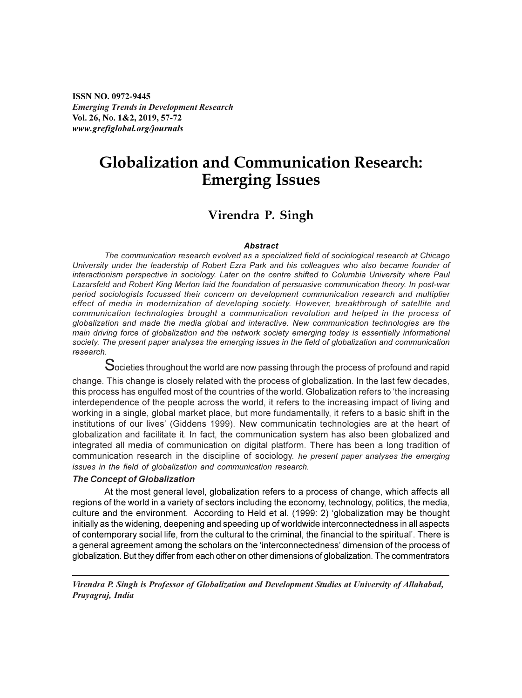ISSN NO. 0972-9445 Emerging Trends in Development Research Vol. 26, No. 1&2, 2019, 57-72 www.grefiglobal.org/journals

# Globalization and Communication Research: Emerging Issues

# Virendra P. Singh

#### **Abstract**

The communication research evolved as a specialized field of sociological research at Chicago University under the leadership of Robert Ezra Park and his colleagues who also became founder of interactionism perspective in sociology. Later on the centre shifted to Columbia University where Paul Lazarsfeld and Robert King Merton laid the foundation of persuasive communication theory. In post-war period sociologists focussed their concern on development communication research and multiplier effect of media in modernization of developing society. However, breakthrough of satellite and communication technologies brought a communication revolution and helped in the process of globalization and made the media global and interactive. New communication technologies are the main driving force of globalization and the network society emerging today is essentially informational society. The present paper analyses the emerging issues in the field of globalization and communication research.

 $\mathbf S$ ocieties throughout the world are now passing through the process of profound and rapid

change. This change is closely related with the process of globalization. In the last few decades, this process has engulfed most of the countries of the world. Globalization refers to 'the increasing interdependence of the people across the world, it refers to the increasing impact of living and working in a single, global market place, but more fundamentally, it refers to a basic shift in the institutions of our lives' (Giddens 1999). New communicatin technologies are at the heart of globalization and facilitate it. In fact, the communication system has also been globalized and integrated all media of communication on digital platform. There has been a long tradition of communication research in the discipline of sociology. he present paper analyses the emerging issues in the field of globalization and communication research.

#### The Concept of Globalization

At the most general level, globalization refers to a process of change, which affects all regions of the world in a variety of sectors including the economy, technology, politics, the media, culture and the environment. According to Held et al. (1999: 2) 'globalization may be thought initially as the widening, deepening and speeding up of worldwide interconnectedness in all aspects of contemporary social life, from the cultural to the criminal, the financial to the spiritual'. There is a general agreement among the scholars on the 'interconnectedness' dimension of the process of globalization. But they differ from each other on other dimensions of globalization. The commentrators

Virendra P. Singh is Professor of Globalization and Development Studies at University of Allahabad, Prayagraj, India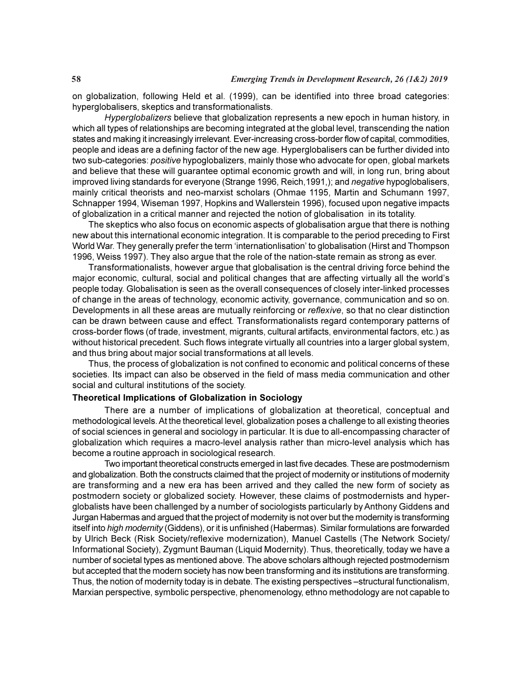on globalization, following Held et al. (1999), can be identified into three broad categories: hyperglobalisers, skeptics and transformationalists.

Hyperglobalizers believe that globalization represents a new epoch in human history, in which all types of relationships are becoming integrated at the global level, transcending the nation states and making it increasingly irrelevant. Ever-increasing cross-border flow of capital, commodities, people and ideas are a defining factor of the new age. Hyperglobalisers can be further divided into two sub-categories: positive hypoglobalizers, mainly those who advocate for open, global markets and believe that these will guarantee optimal economic growth and will, in long run, bring about improved living standards for everyone (Strange 1996, Reich, 1991,); and negative hypoglobalisers, mainly critical theorists and neo-marxist scholars (Ohmae 1195, Martin and Schumann 1997, Schnapper 1994, Wiseman 1997, Hopkins and Wallerstein 1996), focused upon negative impacts of globalization in a critical manner and rejected the notion of globalisation in its totality.

The skeptics who also focus on economic aspects of globalisation argue that there is nothing new about this international economic integration. It is comparable to the period preceding to First World War. They generally prefer the term 'internationlisation' to globalisation (Hirst and Thompson 1996, Weiss 1997). They also argue that the role of the nation-state remain as strong as ever.

Transformationalists, however argue that globalisation is the central driving force behind the major economic, cultural, social and political changes that are affecting virtually all the world's people today. Globalisation is seen as the overall consequences of closely inter-linked processes of change in the areas of technology, economic activity, governance, communication and so on. Developments in all these areas are mutually reinforcing or reflexive, so that no clear distinction can be drawn between cause and effect. Transformationalists regard contemporary patterns of cross-border flows (of trade, investment, migrants, cultural artifacts, environmental factors, etc.) as without historical precedent. Such flows integrate virtually all countries into a larger global system, and thus bring about major social transformations at all levels.

Thus, the process of globalization is not confined to economic and political concerns of these societies. Its impact can also be observed in the field of mass media communication and other social and cultural institutions of the society.

# Theoretical Implications of Globalization in Sociology

There are a number of implications of globalization at theoretical, conceptual and methodological levels. At the theoretical level, globalization poses a challenge to all existing theories of social sciences in general and sociology in particular. It is due to all-encompassing character of globalization which requires a macro-level analysis rather than micro-level analysis which has become a routine approach in sociological research.

Two important theoretical constructs emerged in last five decades. These are postmodernism and globalization. Both the constructs claimed that the project of modernity or institutions of modernity are transforming and a new era has been arrived and they called the new form of society as postmodern society or globalized society. However, these claims of postmodernists and hyperglobalists have been challenged by a number of sociologists particularly by Anthony Giddens and Jurgan Habermas and argued that the project of modernity is not over but the modernity is transforming itself into *high modernity* (Giddens), or it is unfinished (Habermas). Similar formulations are forwarded by Ulrich Beck (Risk Society/reflexive modernization), Manuel Castells (The Network Society/ Informational Society), Zygmunt Bauman (Liquid Modernity). Thus, theoretically, today we have a number of societal types as mentioned above. The above scholars although rejected postmodernism but accepted that the modern society has now been transforming and its institutions are transforming. Thus, the notion of modernity today is in debate. The existing perspectives –structural functionalism, Marxian perspective, symbolic perspective, phenomenology, ethno methodology are not capable to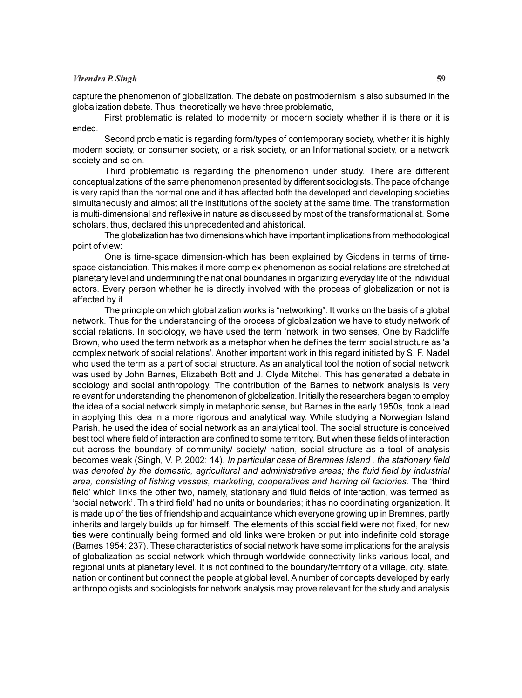# Virendra P. Singh 59

capture the phenomenon of globalization. The debate on postmodernism is also subsumed in the globalization debate. Thus, theoretically we have three problematic,

First problematic is related to modernity or modern society whether it is there or it is ended.

Second problematic is regarding form/types of contemporary society, whether it is highly modern society, or consumer society, or a risk society, or an Informational society, or a network society and so on.

Third problematic is regarding the phenomenon under study. There are different conceptualizations of the same phenomenon presented by different sociologists. The pace of change is very rapid than the normal one and it has affected both the developed and developing societies simultaneously and almost all the institutions of the society at the same time. The transformation is multi-dimensional and reflexive in nature as discussed by most of the transformationalist. Some scholars, thus, declared this unprecedented and ahistorical.

The globalization has two dimensions which have important implications from methodological point of view:

One is time-space dimension-which has been explained by Giddens in terms of timespace distanciation. This makes it more complex phenomenon as social relations are stretched at planetary level and undermining the national boundaries in organizing everyday life of the individual actors. Every person whether he is directly involved with the process of globalization or not is affected by it.

The principle on which globalization works is "networking". It works on the basis of a global network. Thus for the understanding of the process of globalization we have to study network of social relations. In sociology, we have used the term 'network' in two senses, One by Radcliffe Brown, who used the term network as a metaphor when he defines the term social structure as 'a complex network of social relations'. Another important work in this regard initiated by S. F. Nadel who used the term as a part of social structure. As an analytical tool the notion of social network was used by John Barnes, Elizabeth Bott and J. Clyde Mitchel. This has generated a debate in sociology and social anthropology. The contribution of the Barnes to network analysis is very relevant for understanding the phenomenon of globalization. Initially the researchers began to employ the idea of a social network simply in metaphoric sense, but Barnes in the early 1950s, took a lead in applying this idea in a more rigorous and analytical way. While studying a Norwegian Island Parish, he used the idea of social network as an analytical tool. The social structure is conceived best tool where field of interaction are confined to some territory. But when these fields of interaction cut across the boundary of community/ society/ nation, social structure as a tool of analysis becomes weak (Singh, V. P. 2002: 14). In particular case of Bremnes Island , the stationary field was denoted by the domestic, agricultural and administrative areas; the fluid field by industrial area, consisting of fishing vessels, marketing, cooperatives and herring oil factories. The 'third field' which links the other two, namely, stationary and fluid fields of interaction, was termed as 'social network'. This third field' had no units or boundaries; it has no coordinating organization. It is made up of the ties of friendship and acquaintance which everyone growing up in Bremnes, partly inherits and largely builds up for himself. The elements of this social field were not fixed, for new ties were continually being formed and old links were broken or put into indefinite cold storage (Barnes 1954: 237). These characteristics of social network have some implications for the analysis of globalization as social network which through worldwide connectivity links various local, and regional units at planetary level. It is not confined to the boundary/territory of a village, city, state, nation or continent but connect the people at global level. A number of concepts developed by early anthropologists and sociologists for network analysis may prove relevant for the study and analysis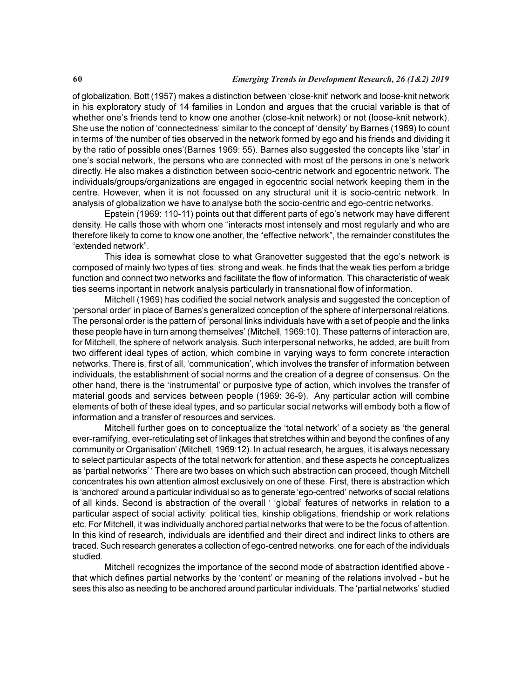of globalization. Bott (1957) makes a distinction between 'close-knit' network and loose-knit network in his exploratory study of 14 families in London and argues that the crucial variable is that of whether one's friends tend to know one another (close-knit network) or not (loose-knit network). She use the notion of 'connectedness' similar to the concept of 'density' by Barnes (1969) to count in terms of 'the number of ties observed in the network formed by ego and his friends and dividing it by the ratio of possible ones'(Barnes 1969: 55). Barnes also suggested the concepts like 'star' in one's social network, the persons who are connected with most of the persons in one's network directly. He also makes a distinction between socio-centric network and egocentric network. The individuals/groups/organizations are engaged in egocentric social network keeping them in the centre. However, when it is not focussed on any structural unit it is socio-centric network. In analysis of globalization we have to analyse both the socio-centric and ego-centric networks.

Epstein (1969: 110-11) points out that different parts of ego's network may have different density. He calls those with whom one "interacts most intensely and most regularly and who are therefore likely to come to know one another, the "effective network", the remainder constitutes the "extended network".

This idea is somewhat close to what Granovetter suggested that the ego's network is composed of mainly two types of ties: strong and weak. he finds that the weak ties perfom a bridge function and connect two networks and facilitate the flow of information. This characteristic of weak ties seems inportant in network analysis particularly in transnational flow of information.

Mitchell (1969) has codified the social network analysis and suggested the conception of 'personal order' in place of Barnes's generalized conception of the sphere of interpersonal relations. The personal order is the pattern of 'personal links individuals have with a set of people and the links these people have in turn among themselves' (Mitchell, 1969:10). These patterns of interaction are, for Mitchell, the sphere of network analysis. Such interpersonal networks, he added, are built from two different ideal types of action, which combine in varying ways to form concrete interaction networks. There is, first of all, 'communication', which involves the transfer of information between individuals, the establishment of social norms and the creation of a degree of consensus. On the other hand, there is the 'instrumental' or purposive type of action, which involves the transfer of material goods and services between people (1969: 36-9). Any particular action will combine elements of both of these ideal types, and so particular social networks will embody both a flow of information and a transfer of resources and services.

Mitchell further goes on to conceptualize the 'total network' of a society as 'the general ever-ramifying, ever-reticulating set of linkages that stretches within and beyond the confines of any community or Organisation' (Mitchell, 1969:12). In actual research, he argues, it is always necessary to select particular aspects of the total network for attention, and these aspects he conceptualizes as 'partial networks' ' There are two bases on which such abstraction can proceed, though Mitchell concentrates his own attention almost exclusively on one of these. First, there is abstraction which is 'anchored' around a particular individual so as to generate 'ego-centred' networks of social relations of all kinds. Second is abstraction of the overall ' 'global' features of networks in relation to a particular aspect of social activity: political ties, kinship obligations, friendship or work relations etc. For Mitchell, it was individually anchored partial networks that were to be the focus of attention. In this kind of research, individuals are identified and their direct and indirect links to others are traced. Such research generates a collection of ego-centred networks, one for each of the individuals studied.

Mitchell recognizes the importance of the second mode of abstraction identified above that which defines partial networks by the 'content' or meaning of the relations involved - but he sees this also as needing to be anchored around particular individuals. The 'partial networks' studied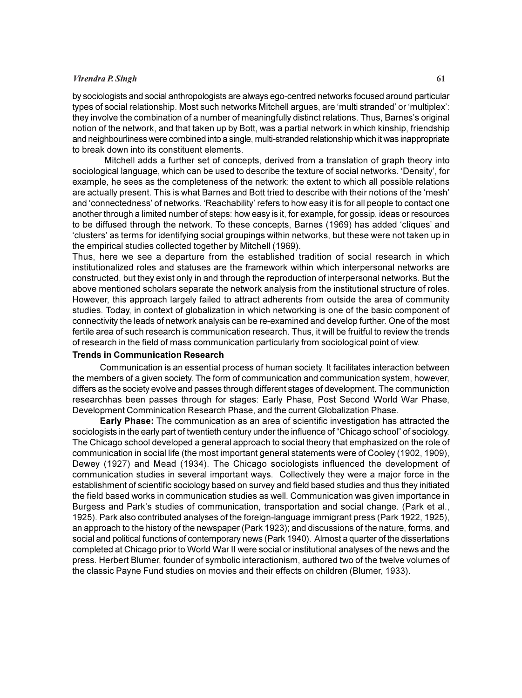#### Virendra P. Singh 61

by sociologists and social anthropologists are always ego-centred networks focused around particular types of social relationship. Most such networks Mitchell argues, are 'multi stranded' or 'multiplex': they involve the combination of a number of meaningfully distinct relations. Thus, Barnes's original notion of the network, and that taken up by Bott, was a partial network in which kinship, friendship and neighbourliness were combined into a single, multi-stranded relationship which it was inappropriate to break down into its constituent elements.

Mitchell adds a further set of concepts, derived from a translation of graph theory into sociological language, which can be used to describe the texture of social networks. 'Density', for example, he sees as the completeness of the network: the extent to which all possible relations are actually present. This is what Barnes and Bott tried to describe with their notions of the 'mesh' and 'connectedness' of networks. 'Reachability' refers to how easy it is for all people to contact one another through a limited number of steps: how easy is it, for example, for gossip, ideas or resources to be diffused through the network. To these concepts, Barnes (1969) has added 'cliques' and 'clusters' as terms for identifying social groupings within networks, but these were not taken up in the empirical studies collected together by Mitchell (1969).

Thus, here we see a departure from the established tradition of social research in which institutionalized roles and statuses are the framework within which interpersonal networks are constructed, but they exist only in and through the reproduction of interpersonal networks. But the above mentioned scholars separate the network analysis from the institutional structure of roles. However, this approach largely failed to attract adherents from outside the area of community studies. Today, in context of globalization in which networking is one of the basic component of connectivity the leads of network analysis can be re-examined and develop further. One of the most fertile area of such research is communication research. Thus, it will be fruitful to review the trends of research in the field of mass communication particularly from sociological point of view.

#### Trends in Communication Research

Communication is an essential process of human society. It facilitates interaction between the members of a given society. The form of communication and communication system, however, differs as the society evolve and passes through different stages of development. The communiction researchhas been passes through for stages: Early Phase, Post Second World War Phase, Development Comminication Research Phase, and the current Globalization Phase.

Early Phase: The communication as an area of scientific investigation has attracted the sociologists in the early part of twentieth century under the influence of "Chicago school" of sociology. The Chicago school developed a general approach to social theory that emphasized on the role of communication in social life (the most important general statements were of Cooley (1902, 1909), Dewey (1927) and Mead (1934). The Chicago sociologists influenced the development of communication studies in several important ways. Collectively they were a major force in the establishment of scientific sociology based on survey and field based studies and thus they initiated the field based works in communication studies as well. Communication was given importance in Burgess and Park's studies of communication, transportation and social change. (Park et al., 1925). Park also contributed analyses of the foreign-language immigrant press (Park 1922, 1925), an approach to the history of the newspaper (Park 1923); and discussions of the nature, forms, and social and political functions of contemporary news (Park 1940). Almost a quarter of the dissertations completed at Chicago prior to World War II were social or institutional analyses of the news and the press. Herbert Blumer, founder of symbolic interactionism, authored two of the twelve volumes of the classic Payne Fund studies on movies and their effects on children (Blumer, 1933).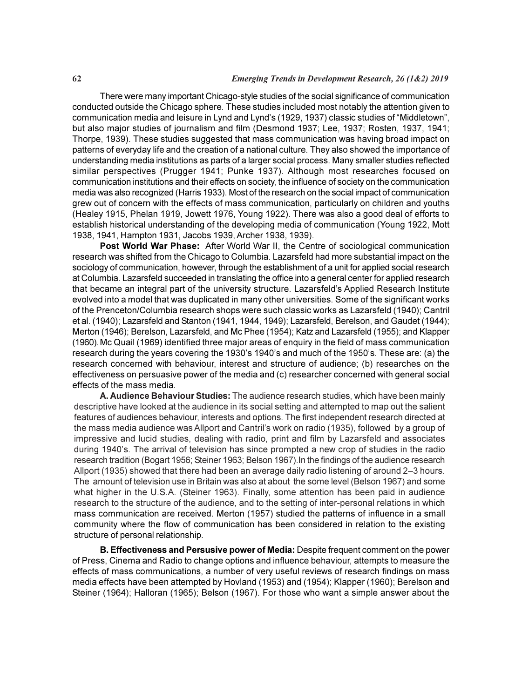There were many important Chicago-style studies of the social significance of communication conducted outside the Chicago sphere. These studies included most notably the attention given to communication media and leisure in Lynd and Lynd's (1929, 1937) classic studies of "Middletown", but also major studies of journalism and film (Desmond 1937; Lee, 1937; Rosten, 1937, 1941; Thorpe, 1939). These studies suggested that mass communication was having broad impact on patterns of everyday life and the creation of a national culture. They also showed the importance of understanding media institutions as parts of a larger social process. Many smaller studies reflected similar perspectives (Prugger 1941; Punke 1937). Although most researches focused on communication institutions and their effects on society, the influence of society on the communication media was also recognized (Harris 1933). Most of the research on the social impact of communication grew out of concern with the effects of mass communication, particularly on children and youths (Healey 1915, Phelan 1919, Jowett 1976, Young 1922). There was also a good deal of efforts to establish historical understanding of the developing media of communication (Young 1922, Mott 1938, 1941, Hampton 1931, Jacobs 1939, Archer 1938, 1939).

Post World War Phase: After World War II, the Centre of sociological communication research was shifted from the Chicago to Columbia. Lazarsfeld had more substantial impact on the sociology of communication, however, through the establishment of a unit for applied social research at Columbia. Lazarsfeld succeeded in translating the office into a general center for applied research that became an integral part of the university structure. Lazarsfeld's Applied Research Institute evolved into a model that was duplicated in many other universities. Some of the significant works of the Prenceton/Columbia research shops were such classic works as Lazarsfeld (1940); Cantril et al. (1940); Lazarsfeld and Stanton (1941, 1944, 1949); Lazarsfeld, Berelson, and Gaudet (1944); Merton (1946); Berelson, Lazarsfeld, and Mc Phee (1954); Katz and Lazarsfeld (1955); and Klapper (1960).Mc Quail (1969) identified three major areas of enquiry in the field of mass communication research during the years covering the 1930's 1940's and much of the 1950's. These are: (a) the research concerned with behaviour, interest and structure of audience; (b) researches on the effectiveness on persuasive power of the media and (c) researcher concerned with general social effects of the mass media.

A. Audience Behaviour Studies: The audience research studies, which have been mainly descriptive have looked at the audience in its social setting and attempted to map out the salient features of audiences behaviour, interests and options. The first independent research directed at the mass media audience was Allport and Cantril's work on radio (1935), followed by a group of impressive and lucid studies, dealing with radio, print and film by Lazarsfeld and associates during 1940's. The arrival of television has since prompted a new crop of studies in the radio research tradition (Bogart 1956; Steiner 1963; Belson 1967).In the findings of the audience research Allport (1935) showed that there had been an average daily radio listening of around 2–3 hours. The amount of television use in Britain was also at about the some level (Belson 1967) and some what higher in the U.S.A. (Steiner 1963). Finally, some attention has been paid in audience research to the structure of the audience, and to the setting of inter-personal relations in which mass communication are received. Merton (1957) studied the patterns of influence in a small community where the flow of communication has been considered in relation to the existing structure of personal relationship.

B. Effectiveness and Persusive power of Media: Despite frequent comment on the power of Press, Cinema and Radio to change options and influence behaviour, attempts to measure the effects of mass communications, a number of very useful reviews of research findings on mass media effects have been attempted by Hovland (1953) and (1954); Klapper (1960); Berelson and Steiner (1964); Halloran (1965); Belson (1967). For those who want a simple answer about the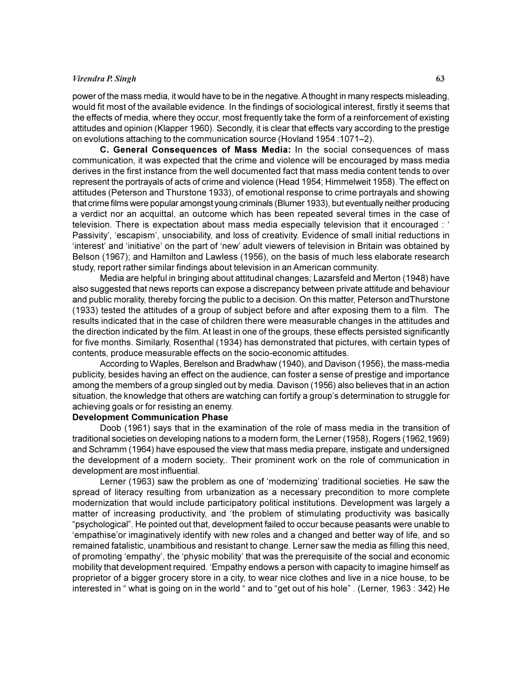#### Virendra P. Singh 63

power of the mass media, it would have to be in the negative. A thought in many respects misleading, would fit most of the available evidence. In the findings of sociological interest, firstly it seems that the effects of media, where they occur, most frequently take the form of a reinforcement of existing attitudes and opinion (Klapper 1960). Secondly, it is clear that effects vary according to the prestige on evolutions attaching to the communication source (Hovland 1954 :1071–2).

C. General Consequences of Mass Media: In the social consequences of mass communication, it was expected that the crime and violence will be encouraged by mass media derives in the first instance from the well documented fact that mass media content tends to over represent the portrayals of acts of crime and violence (Head 1954; Himmelweit 1958). The effect on attitudes (Peterson and Thurstone 1933), of emotional response to crime portrayals and showing that crime films were popular amongst young criminals (Blumer 1933), but eventually neither producing a verdict nor an acquittal, an outcome which has been repeated several times in the case of television. There is expectation about mass media especially television that it encouraged : ' Passivity', 'escapism', unsociability, and loss of creativity. Evidence of small initial reductions in 'interest' and 'initiative' on the part of 'new' adult viewers of television in Britain was obtained by Belson (1967); and Hamilton and Lawless (1956), on the basis of much less elaborate research study, report rather similar findings about television in an American community.

Media are helpful in bringing about attitudinal changes; Lazarsfeld and Merton (1948) have also suggested that news reports can expose a discrepancy between private attitude and behaviour and public morality, thereby forcing the public to a decision. On this matter, Peterson andThurstone (1933) tested the attitudes of a group of subject before and after exposing them to a film. The results indicated that in the case of children there were measurable changes in the attitudes and the direction indicated by the film. At least in one of the groups, these effects persisted significantly for five months. Similarly, Rosenthal (1934) has demonstrated that pictures, with certain types of contents, produce measurable effects on the socio-economic attitudes.

According to Waples, Berelson and Bradwhaw (1940), and Davison (1956), the mass-media publicity, besides having an effect on the audience, can foster a sense of prestige and importance among the members of a group singled out by media. Davison (1956) also believes that in an action situation, the knowledge that others are watching can fortify a group's determination to struggle for achieving goals or for resisting an enemy.

# Development Communication Phase

Doob (1961) says that in the examination of the role of mass media in the transition of traditional societies on developing nations to a modern form, the Lerner (1958), Rogers (1962,1969) and Schramm (1964) have espoused the view that mass media prepare, instigate and undersigned the development of a modern society,. Their prominent work on the role of communication in development are most influential.

Lerner (1963) saw the problem as one of 'modernizing' traditional societies. He saw the spread of literacy resulting from urbanization as a necessary precondition to more complete modernization that would include participatory political institutions. Development was largely a matter of increasing productivity, and 'the problem of stimulating productivity was basically "psychological". He pointed out that, development failed to occur because peasants were unable to 'empathise'or imaginatively identify with new roles and a changed and better way of life, and so remained fatalistic, unambitious and resistant to change. Lerner saw the media as filling this need, of promoting 'empathy', the 'physic mobility' that was the prerequisite of the social and economic mobility that development required. 'Empathy endows a person with capacity to imagine himself as proprietor of a bigger grocery store in a city, to wear nice clothes and live in a nice house, to be interested in " what is going on in the world " and to "get out of his hole" . (Lerner, 1963 : 342) He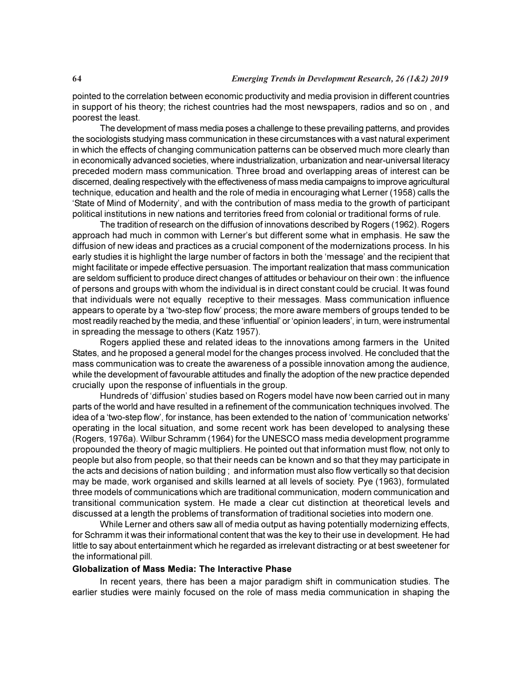pointed to the correlation between economic productivity and media provision in different countries in support of his theory; the richest countries had the most newspapers, radios and so on , and poorest the least.

The development of mass media poses a challenge to these prevailing patterns, and provides the sociologists studying mass communication in these circumstances with a vast natural experiment in which the effects of changing communication patterns can be observed much more clearly than in economically advanced societies, where industrialization, urbanization and near-universal literacy preceded modern mass communication. Three broad and overlapping areas of interest can be discerned, dealing respectively with the effectiveness of mass media campaigns to improve agricultural technique, education and health and the role of media in encouraging what Lerner (1958) calls the 'State of Mind of Modernity', and with the contribution of mass media to the growth of participant political institutions in new nations and territories freed from colonial or traditional forms of rule.

The tradition of research on the diffusion of innovations described by Rogers (1962). Rogers approach had much in common with Lerner's but different some what in emphasis. He saw the diffusion of new ideas and practices as a crucial component of the modernizations process. In his early studies it is highlight the large number of factors in both the 'message' and the recipient that might facilitate or impede effective persuasion. The important realization that mass communication are seldom sufficient to produce direct changes of attitudes or behaviour on their own : the influence of persons and groups with whom the individual is in direct constant could be crucial. It was found that individuals were not equally receptive to their messages. Mass communication influence appears to operate by a 'two-step flow' process; the more aware members of groups tended to be most readily reached by the media, and these 'influential' or 'opinion leaders', in turn, were instrumental in spreading the message to others (Katz 1957).

Rogers applied these and related ideas to the innovations among farmers in the United States, and he proposed a general model for the changes process involved. He concluded that the mass communication was to create the awareness of a possible innovation among the audience, while the development of favourable attitudes and finally the adoption of the new practice depended crucially upon the response of influentials in the group.

Hundreds of 'diffusion' studies based on Rogers model have now been carried out in many parts of the world and have resulted in a refinement of the communication techniques involved. The idea of a 'two-step flow', for instance, has been extended to the nation of 'communication networks' operating in the local situation, and some recent work has been developed to analysing these (Rogers, 1976a). Wilbur Schramm (1964) for the UNESCO mass media development programme propounded the theory of magic multipliers. He pointed out that information must flow, not only to people but also from people, so that their needs can be known and so that they may participate in the acts and decisions of nation building ; and information must also flow vertically so that decision may be made, work organised and skills learned at all levels of society. Pye (1963), formulated three models of communications which are traditional communication, modern communication and transitional communication system. He made a clear cut distinction at theoretical levels and discussed at a length the problems of transformation of traditional societies into modern one.

While Lerner and others saw all of media output as having potentially modernizing effects, for Schramm it was their informational content that was the key to their use in development. He had little to say about entertainment which he regarded as irrelevant distracting or at best sweetener for the informational pill.

# Globalization of Mass Media: The Interactive Phase

In recent years, there has been a major paradigm shift in communication studies. The earlier studies were mainly focused on the role of mass media communication in shaping the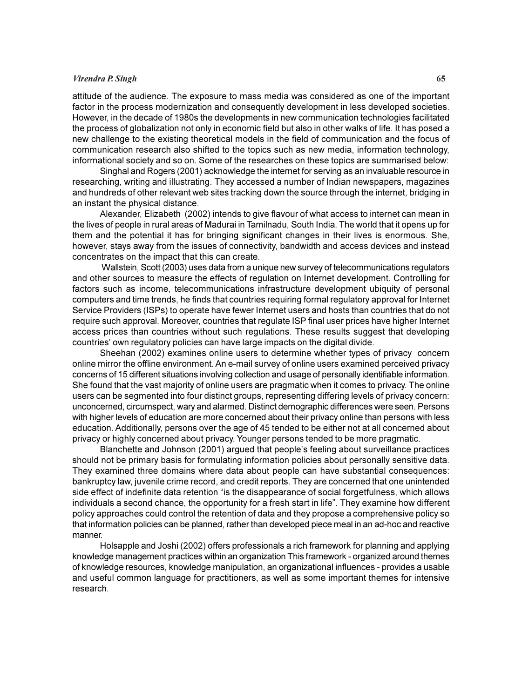#### Virendra P. Singh 65

attitude of the audience. The exposure to mass media was considered as one of the important factor in the process modernization and consequently development in less developed societies. However, in the decade of 1980s the developments in new communication technologies facilitated the process of globalization not only in economic field but also in other walks of life. It has posed a new challenge to the existing theoretical models in the field of communication and the focus of communication research also shifted to the topics such as new media, information technology, informational society and so on. Some of the researches on these topics are summarised below:

Singhal and Rogers (2001) acknowledge the internet for serving as an invaluable resource in researching, writing and illustrating. They accessed a number of Indian newspapers, magazines and hundreds of other relevant web sites tracking down the source through the internet, bridging in an instant the physical distance.

Alexander, Elizabeth (2002) intends to give flavour of what access to internet can mean in the lives of people in rural areas of Madurai in Tamilnadu, South India. The world that it opens up for them and the potential it has for bringing significant changes in their lives is enormous. She, however, stays away from the issues of connectivity, bandwidth and access devices and instead concentrates on the impact that this can create.

 Wallstein, Scott (2003) uses data from a unique new survey of telecommunications regulators and other sources to measure the effects of regulation on Internet development. Controlling for factors such as income, telecommunications infrastructure development ubiquity of personal computers and time trends, he finds that countries requiring formal regulatory approval for Internet Service Providers (ISPs) to operate have fewer Internet users and hosts than countries that do not require such approval. Moreover, countries that regulate ISP final user prices have higher Internet access prices than countries without such regulations. These results suggest that developing countries' own regulatory policies can have large impacts on the digital divide.

Sheehan (2002) examines online users to determine whether types of privacy concern online mirror the offline environment. An e-mail survey of online users examined perceived privacy concerns of 15 different situations involving collection and usage of personally identifiable information. She found that the vast majority of online users are pragmatic when it comes to privacy. The online users can be segmented into four distinct groups, representing differing levels of privacy concern: unconcerned, circumspect, wary and alarmed. Distinct demographic differences were seen. Persons with higher levels of education are more concerned about their privacy online than persons with less education. Additionally, persons over the age of 45 tended to be either not at all concerned about privacy or highly concerned about privacy. Younger persons tended to be more pragmatic.

Blanchette and Johnson (2001) argued that people's feeling about surveillance practices should not be primary basis for formulating information policies about personally sensitive data. They examined three domains where data about people can have substantial consequences: bankruptcy law, juvenile crime record, and credit reports. They are concerned that one unintended side effect of indefinite data retention "is the disappearance of social forgetfulness, which allows individuals a second chance, the opportunity for a fresh start in life". They examine how different policy approaches could control the retention of data and they propose a comprehensive policy so that information policies can be planned, rather than developed piece meal in an ad-hoc and reactive manner.

Holsapple and Joshi (2002) offers professionals a rich framework for planning and applying knowledge management practices within an organization This framework - organized around themes of knowledge resources, knowledge manipulation, an organizational influences - provides a usable and useful common language for practitioners, as well as some important themes for intensive research.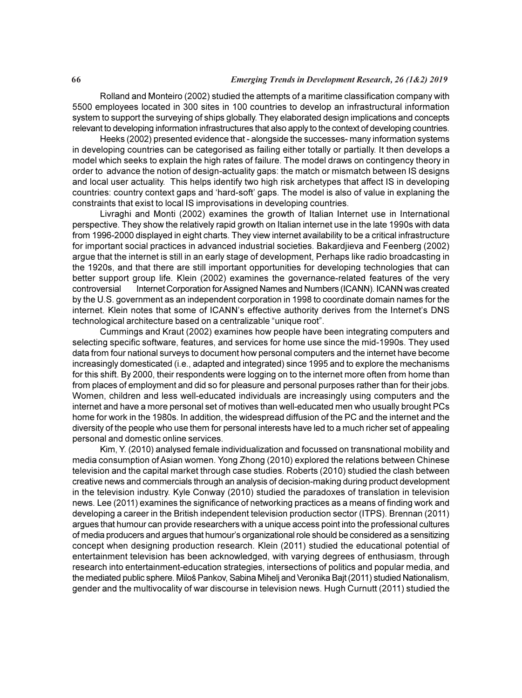#### 66 Emerging Trends in Development Research, 26 (1&2) 2019

Rolland and Monteiro (2002) studied the attempts of a maritime classification company with 5500 employees located in 300 sites in 100 countries to develop an infrastructural information system to support the surveying of ships globally. They elaborated design implications and concepts relevant to developing information infrastructures that also apply to the context of developing countries.

Heeks (2002) presented evidence that - alongside the successes- many information systems in developing countries can be categorised as failing either totally or partially. It then develops a model which seeks to explain the high rates of failure. The model draws on contingency theory in order to advance the notion of design-actuality gaps: the match or mismatch between IS designs and local user actuality. This helps identify two high risk archetypes that affect IS in developing countries: country context gaps and 'hard-soft' gaps. The model is also of value in explaning the constraints that exist to local IS improvisations in developing countries.

Livraghi and Monti (2002) examines the growth of Italian Internet use in International perspective. They show the relatively rapid growth on Italian internet use in the late 1990s with data from 1996-2000 displayed in eight charts. They view internet availability to be a critical infrastructure for important social practices in advanced industrial societies. Bakardjieva and Feenberg (2002) argue that the internet is still in an early stage of development, Perhaps like radio broadcasting in the 1920s, and that there are still important opportunities for developing technologies that can better support group life. Klein (2002) examines the governance-related features of the very controversial Internet Corporation for Assigned Names and Numbers (ICANN). ICANN was created by the U.S. government as an independent corporation in 1998 to coordinate domain names for the internet. Klein notes that some of ICANN's effective authority derives from the Internet's DNS technological architecture based on a centralizable "unique root".

Cummings and Kraut (2002) examines how people have been integrating computers and selecting specific software, features, and services for home use since the mid-1990s. They used data from four national surveys to document how personal computers and the internet have become increasingly domesticated (i.e., adapted and integrated) since 1995 and to explore the mechanisms for this shift. By 2000, their respondents were logging on to the internet more often from home than from places of employment and did so for pleasure and personal purposes rather than for their jobs. Women, children and less well-educated individuals are increasingly using computers and the internet and have a more personal set of motives than well-educated men who usually brought PCs home for work in the 1980s. In addition, the widespread diffusion of the PC and the internet and the diversity of the people who use them for personal interests have led to a much richer set of appealing personal and domestic online services.

Kim, Y. (2010) analysed female individualization and focussed on transnational mobility and media consumption of Asian women. Yong Zhong (2010) explored the relations between Chinese television and the capital market through case studies. Roberts (2010) studied the clash between creative news and commercials through an analysis of decision-making during product development in the television industry. Kyle Conway (2010) studied the paradoxes of translation in television news. Lee (2011) examines the significance of networking practices as a means of finding work and developing a career in the British independent television production sector (ITPS). Brennan (2011) argues that humour can provide researchers with a unique access point into the professional cultures of media producers and argues that humour's organizational role should be considered as a sensitizing concept when designing production research. Klein (2011) studied the educational potential of entertainment television has been acknowledged, with varying degrees of enthusiasm, through research into entertainment-education strategies, intersections of politics and popular media, and the mediated public sphere. Miloš Pankov, Sabina Mihelj and Veronika Bajt (2011) studied Nationalism, gender and the multivocality of war discourse in television news. Hugh Curnutt (2011) studied the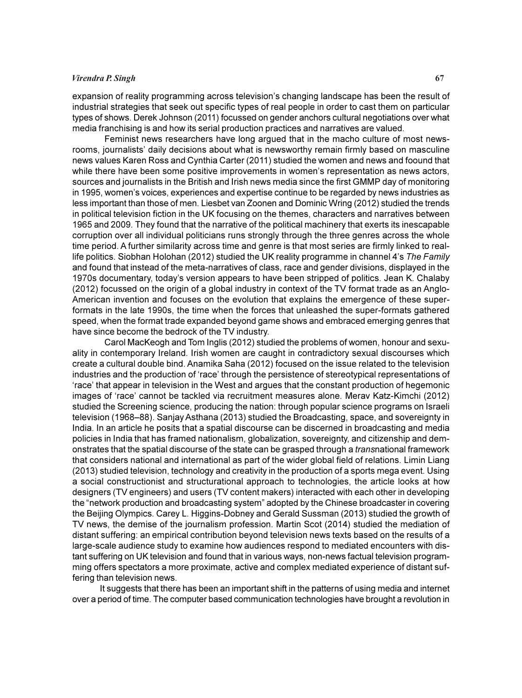# Virendra P. Singh 67

expansion of reality programming across television's changing landscape has been the result of industrial strategies that seek out specific types of real people in order to cast them on particular types of shows. Derek Johnson (2011) focussed on gender anchors cultural negotiations over what media franchising is and how its serial production practices and narratives are valued.

Feminist news researchers have long argued that in the macho culture of most newsrooms, journalists' daily decisions about what is newsworthy remain firmly based on masculine news values Karen Ross and Cynthia Carter (2011) studied the women and news and foound that while there have been some positive improvements in women's representation as news actors, sources and journalists in the British and Irish news media since the first GMMP day of monitoring in 1995, women's voices, experiences and expertise continue to be regarded by news industries as less important than those of men. Liesbet van Zoonen and Dominic Wring (2012) studied the trends in political television fiction in the UK focusing on the themes, characters and narratives between 1965 and 2009. They found that the narrative of the political machinery that exerts its inescapable corruption over all individual politicians runs strongly through the three genres across the whole time period. A further similarity across time and genre is that most series are firmly linked to reallife politics. Siobhan Holohan (2012) studied the UK reality programme in channel 4's The Family and found that instead of the meta-narratives of class, race and gender divisions, displayed in the 1970s documentary, today's version appears to have been stripped of politics. Jean K. Chalaby (2012) focussed on the origin of a global industry in context of the TV format trade as an Anglo-American invention and focuses on the evolution that explains the emergence of these superformats in the late 1990s, the time when the forces that unleashed the super-formats gathered speed, when the format trade expanded beyond game shows and embraced emerging genres that have since become the bedrock of the TV industry.

Carol MacKeogh and Tom Inglis (2012) studied the problems of women, honour and sexuality in contemporary Ireland. Irish women are caught in contradictory sexual discourses which create a cultural double bind. Anamika Saha (2012) focused on the issue related to the television industries and the production of 'race' through the persistence of stereotypical representations of 'race' that appear in television in the West and argues that the constant production of hegemonic images of 'race' cannot be tackled via recruitment measures alone. Merav Katz-Kimchi (2012) studied the Screening science, producing the nation: through popular science programs on Israeli television (1968–88). Sanjay Asthana (2013) studied the Broadcasting, space, and sovereignty in India. In an article he posits that a spatial discourse can be discerned in broadcasting and media policies in India that has framed nationalism, globalization, sovereignty, and citizenship and demonstrates that the spatial discourse of the state can be grasped through a transnational framework that considers national and international as part of the wider global field of relations. Limin Liang (2013) studied television, technology and creativity in the production of a sports mega event. Using a social constructionist and structurational approach to technologies, the article looks at how designers (TV engineers) and users (TV content makers) interacted with each other in developing the "network production and broadcasting system" adopted by the Chinese broadcaster in covering the Beijing Olympics. Carey L. Higgins-Dobney and Gerald Sussman (2013) studied the growth of TV news, the demise of the journalism profession. Martin Scot (2014) studied the mediation of distant suffering: an empirical contribution beyond television news texts based on the results of a large-scale audience study to examine how audiences respond to mediated encounters with distant suffering on UK television and found that in various ways, non-news factual television programming offers spectators a more proximate, active and complex mediated experience of distant suffering than television news.

It suggests that there has been an important shift in the patterns of using media and internet over a period of time. The computer based communication technologies have brought a revolution in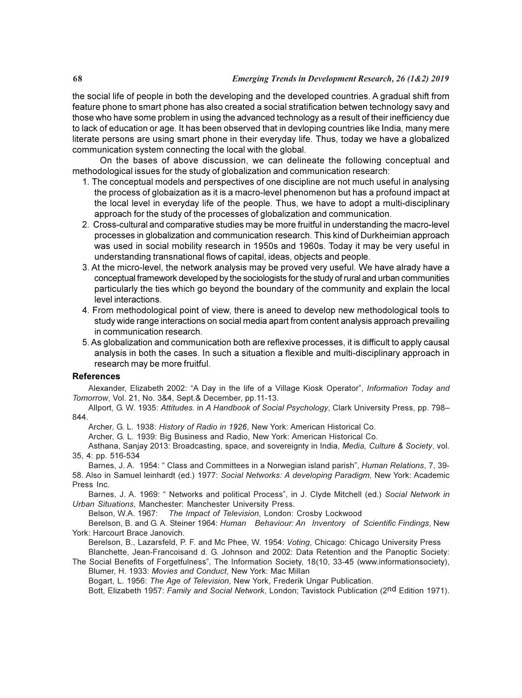the social life of people in both the developing and the developed countries. A gradual shift from feature phone to smart phone has also created a social stratification betwen technology savy and those who have some problem in using the advanced technology as a result of their inefficiency due to lack of education or age. It has been observed that in devloping countries like India, many mere literate persons are using smart phone in their everyday life. Thus, today we have a globalized communication system connecting the local with the global.

On the bases of above discussion, we can delineate the following conceptual and methodological issues for the study of globalization and communication research:

- 1. The conceptual models and perspectives of one discipline are not much useful in analysing the process of globaization as it is a macro-level phenomenon but has a profound impact at the local level in everyday life of the people. Thus, we have to adopt a multi-disciplinary approach for the study of the processes of globalization and communication.
- 2. Cross-cultural and comparative studies may be more fruitful in understanding the macro-level processes in globalization and communication research. This kind of Durkheimian approach was used in social mobility research in 1950s and 1960s. Today it may be very useful in understanding transnational flows of capital, ideas, objects and people.
- 3. At the micro-level, the network analysis may be proved very useful. We have alrady have a conceptual framework developed by the sociologists for the study of rural and urban communities particularly the ties which go beyond the boundary of the community and explain the local level interactions.
- 4. From methodological point of view, there is aneed to develop new methodological tools to study wide range interactions on social media apart from content analysis approach prevailing in communication research.
- 5. As globalization and communication both are reflexive processes, it is difficult to apply causal analysis in both the cases. In such a situation a flexible and multi-disciplinary approach in research may be more fruitful.

# **References**

Alexander, Elizabeth 2002: "A Day in the life of a Village Kiosk Operator", Information Today and Tomorrow, Vol. 21, No. 3&4, Sept.& December, pp.11-13.

Allport, G. W. 1935: Attitudes. in A Handbook of Social Psychology, Clark University Press, pp. 798– 844.

Archer, G. L. 1938: History of Radio in 1926, New York: American Historical Co.

Archer, G. L. 1939: Big Business and Radio, New York: American Historical Co.

Asthana, Sanjay 2013: Broadcasting, space, and sovereignty in India, Media, Culture & Society, vol. 35, 4: pp. 516-534

Barnes, J. A. 1954: " Class and Committees in a Norwegian island parish", Human Relations, 7, 39- 58. Also in Samuel leinhardt (ed.) 1977: Social Networks: A developing Paradigm, New York: Academic Press Inc.

Barnes, J. A. 1969: " Networks and political Process", in J. Clyde Mitchell (ed.) Social Network in Urban Situations, Manchester: Manchester University Press.

Belson, W.A. 1967: The Impact of Television, London: Crosby Lockwood

Berelson, B. and G. A. Steiner 1964: Human Behaviour: An Inventory of Scientific Findings, New York: Harcourt Brace Janovich.

Berelson, B., Lazarsfeld, P. F. and Mc Phee, W. 1954: Voting, Chicago: Chicago University Press

Blanchette, Jean-Francoisand d. G. Johnson and 2002: Data Retention and the Panoptic Society: The Social Benefits of Forgetfulness", The Information Society, 18(10, 33-45 (www.informationsociety), Blumer, H. 1933: Movies and Conduct, New York: Mac Millan

Bogart, L. 1956: The Age of Television, New York, Frederik Ungar Publication.

Bott, Elizabeth 1957: Family and Social Network, London; Tavistock Publication (2nd Edition 1971).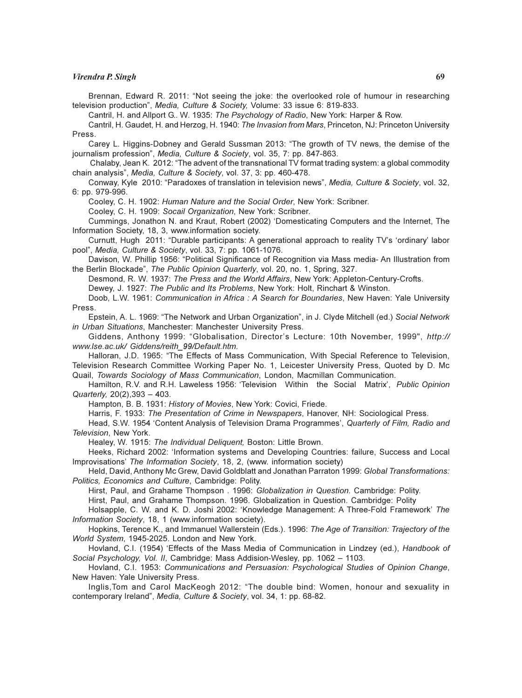#### Virendra P. Singh 69

Brennan, Edward R. 2011: "Not seeing the joke: the overlooked role of humour in researching television production", Media, Culture & Society, Volume: 33 issue 6: 819-833.

Cantril, H. and Allport G.. W. 1935: The Psychology of Radio, New York: Harper & Row.

Cantril, H. Gaudet, H. and Herzog, H. 1940: The Invasion from Mars, Princeton, NJ: Princeton University Press.

Carey L. Higgins-Dobney and Gerald Sussman 2013: "The growth of TV news, the demise of the journalism profession", Media, Culture & Society, vol. 35, 7: pp. 847-863.

 Chalaby, Jean K. 2012: "The advent of the transnational TV format trading system: a global commodity chain analysis", Media, Culture & Society, vol. 37, 3: pp. 460-478.

Conway, Kyle 2010: "Paradoxes of translation in television news", Media, Culture & Society, vol. 32, 6: pp. 979-996.

Cooley, C. H. 1902: Human Nature and the Social Order, New York: Scribner.

Cooley, C. H. 1909: Socail Organization, New York: Scribner.

Cummings, Jonathon N. and Kraut, Robert (2002) 'Domesticating Computers and the Internet, The Information Society, 18, 3, www.information society.

Curnutt, Hugh 2011: "Durable participants: A generational approach to reality TV's 'ordinary' labor pool", Media, Culture & Society, vol. 33, 7: pp. 1061-1076.

Davison, W. Phillip 1956: "Political Significance of Recognition via Mass media- An Illustration from the Berlin Blockade", The Public Opinion Quarterly, vol. 20, no. 1, Spring, 327.

Desmond, R. W. 1937: The Press and the World Affairs, New York: Appleton-Century-Crofts.

Dewey, J. 1927: The Public and Its Problems, New York: Holt, Rinchart & Winston.

Doob, L.W. 1961: Communication in Africa : A Search for Boundaries, New Haven: Yale University Press.

Epstein, A. L. 1969: "The Network and Urban Organization", in J. Clyde Mitchell (ed.) Social Network in Urban Situations, Manchester: Manchester University Press.

Giddens, Anthony 1999: "Globalisation, Director's Lecture: 10th November, 1999", http:// www.lse.ac.uk/ Giddens/reith\_99/Default.htm.

Halloran, J.D. 1965: "The Effects of Mass Communication, With Special Reference to Television, Television Research Committee Working Paper No. 1, Leicester University Press, Quoted by D. Mc Quail, Towards Sociology of Mass Communication, London, Macmillan Communication.

Hamilton, R.V. and R.H. Laweless 1956: 'Television Within the Social Matrix', Public Opinion Quarterly, 20(2),393 – 403.

Hampton, B. B. 1931: History of Movies, New York: Covici, Friede.

Harris, F. 1933: The Presentation of Crime in Newspapers, Hanover, NH: Sociological Press.

Head, S.W. 1954 'Content Analysis of Television Drama Programmes', Quarterly of Film, Radio and Television, New York.

Healey, W. 1915: The Individual Deliquent, Boston: Little Brown.

Heeks, Richard 2002: 'Information systems and Developing Countries: failure, Success and Local Improvisations' The Information Society, 18, 2, (www. information society)

Held, David, Anthony Mc Grew, David Goldblatt and Jonathan Parraton 1999: Global Transformations: Politics, Economics and Culture, Cambridge: Polity.

Hirst, Paul, and Grahame Thompson . 1996: Globalization in Question. Cambridge: Polity.

Hirst, Paul, and Grahame Thompson. 1996. Globalization in Question. Cambridge: Polity

Holsapple, C. W. and K. D. Joshi 2002: 'Knowledge Management: A Three-Fold Framework' The Information Society, 18, 1 (www.information society).

Hopkins, Terence K., and Immanuel Wallerstein (Eds.). 1996: The Age of Transition: Trajectory of the World System, 1945-2025. London and New York.

Hovland, C.I. (1954) 'Effects of the Mass Media of Communication in Lindzey (ed.), Handbook of Social Psychology, Vol. II, Cambridge: Mass Addision-Wesley, pp. 1062 – 1103.

Hovland, C.I. 1953: Communications and Persuasion: Psychological Studies of Opinion Change, New Haven: Yale University Press.

Inglis,Tom and Carol MacKeogh 2012: "The double bind: Women, honour and sexuality in contemporary Ireland", Media, Culture & Society, vol. 34, 1: pp. 68-82.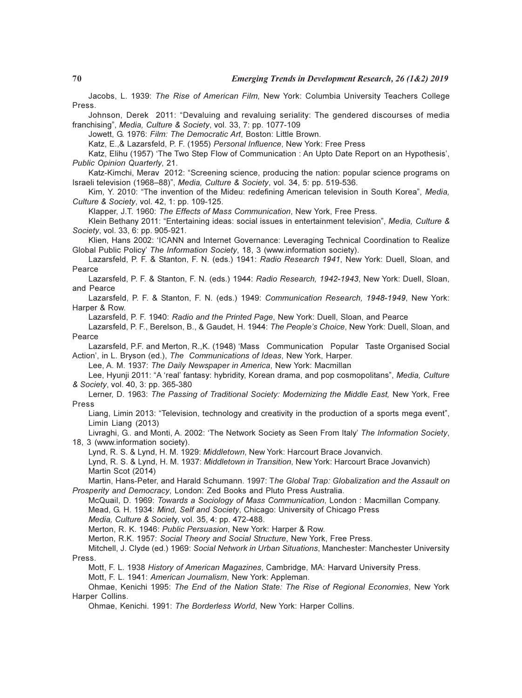Jacobs, L. 1939: The Rise of American Film, New York: Columbia University Teachers College Press.

Johnson, Derek 2011: "Devaluing and revaluing seriality: The gendered discourses of media franchising", Media, Culture & Society, vol. 33, 7: pp. 1077-109

Jowett, G. 1976: Film: The Democratic Art, Boston: Little Brown.

Katz, E.,& Lazarsfeld, P. F. (1955) Personal Influence, New York: Free Press

Katz, Elihu (1957) 'The Two Step Flow of Communication : An Upto Date Report on an Hypothesis', Public Opinion Quarterly, 21.

Katz-Kimchi, Merav 2012: "Screening science, producing the nation: popular science programs on Israeli television (1968–88)", Media, Culture & Society, vol. 34, 5: pp. 519-536.

Kim, Y. 2010: "The invention of the Mideu: redefining American television in South Korea", Media, Culture & Society, vol. 42, 1: pp. 109-125.

Klapper, J.T. 1960: The Effects of Mass Communication, New York, Free Press.

Klein Bethany 2011: "Entertaining ideas: social issues in entertainment television", Media, Culture & Society, vol. 33, 6: pp. 905-921.

Klien, Hans 2002: 'ICANN and Internet Governance: Leveraging Technical Coordination to Realize Global Public Policy' The Information Society, 18, 3 (www.information society).

Lazarsfeld, P. F. & Stanton, F. N. (eds.) 1941: Radio Research 1941, New York: Duell, Sloan, and Pearce

Lazarsfeld, P. F. & Stanton, F. N. (eds.) 1944: Radio Research, 1942-1943, New York: Duell, Sloan, and Pearce

Lazarsfeld, P. F. & Stanton, F. N. (eds.) 1949: Communication Research, 1948-1949, New York: Harper & Row.

Lazarsfeld, P. F. 1940: Radio and the Printed Page, New York: Duell, Sloan, and Pearce

Lazarsfeld, P. F., Berelson, B., & Gaudet, H. 1944: The People's Choice, New York: Duell, Sloan, and Pearce

Lazarsfeld, P.F. and Merton, R.,K. (1948) 'Mass Communication Popular Taste Organised Social Action', in L. Bryson (ed.), The Communications of Ideas, New York, Harper.

Lee, A. M. 1937: The Daily Newspaper in America, New York: Macmillan

Lee, Hyunji 2011: "A 'real' fantasy: hybridity, Korean drama, and pop cosmopolitans", Media, Culture & Society, vol. 40, 3: pp. 365-380

Lerner, D. 1963: The Passing of Traditional Society: Modernizing the Middle East, New York, Free Press

Liang, Limin 2013: "Television, technology and creativity in the production of a sports mega event", Limin Liang (2013)

Livraghi, G.. and Monti, A. 2002: 'The Network Society as Seen From Italy' The Information Society, 18, 3 (www.information society).

Lynd, R. S. & Lynd, H. M. 1929: Middletown, New York: Harcourt Brace Jovanvich.

Lynd, R. S. & Lynd, H. M. 1937: Middletown in Transition, New York: Harcourt Brace Jovanvich) Martin Scot (2014)

Martin, Hans-Peter, and Harald Schumann. 1997: The Global Trap: Globalization and the Assault on Prosperity and Democracy, London: Zed Books and Pluto Press Australia.

McQuail, D. 1969: Towards a Sociology of Mass Communication, London : Macmillan Company. Mead, G. H. 1934: Mind, Self and Society, Chicago: University of Chicago Press

Media, Culture & Society, vol. 35, 4: pp. 472-488.

Merton, R. K. 1946: Public Persuasion, New York: Harper & Row.

Merton, R.K. 1957: Social Theory and Social Structure, New York, Free Press.

Mitchell, J. Clyde (ed.) 1969: Social Network in Urban Situations, Manchester: Manchester University

Press.

Mott, F. L. 1938 History of American Magazines, Cambridge, MA: Harvard University Press.

Mott, F. L. 1941: American Journalism, New York: Appleman.

Ohmae, Kenichi 1995: The End of the Nation State: The Rise of Regional Economies, New York Harper Collins.

Ohmae, Kenichi. 1991: The Borderless World, New York: Harper Collins.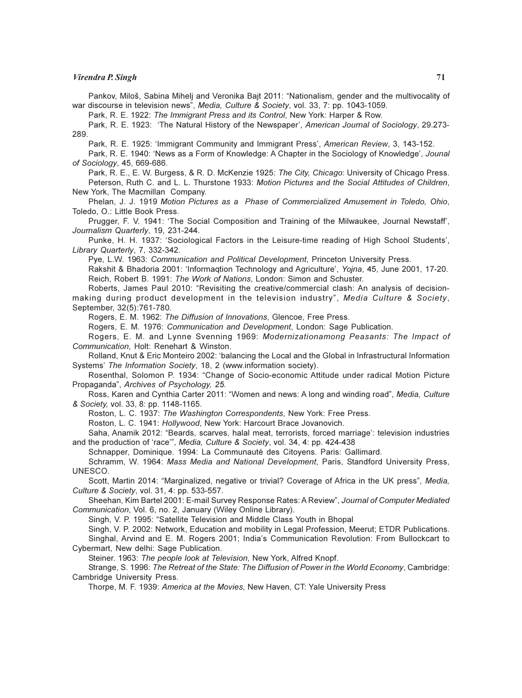#### Virendra P. Singh 71

Pankov, Miloš, Sabina Mihelj and Veronika Bajt 2011: "Nationalism, gender and the multivocality of war discourse in television news", Media, Culture & Society, vol. 33, 7: pp. 1043-1059.

Park, R. E. 1922: The Immigrant Press and its Control, New York: Harper & Row.

Park, R. E. 1923: 'The Natural History of the Newspaper', American Journal of Sociology, 29.273- 289.

Park, R. E. 1925: 'Immigrant Community and Immigrant Press', American Review, 3, 143-152.

Park, R. E. 1940: 'News as a Form of Knowledge: A Chapter in the Sociology of Knowledge', Jounal of Sociology, 45, 669-686.

Park, R. E., E. W. Burgess, & R. D. McKenzie 1925: The City, Chicago: University of Chicago Press. Peterson, Ruth C. and L. L. Thurstone 1933: Motion Pictures and the Social Attitudes of Children, New York, The Macmillan Company.

Phelan, J. J. 1919 Motion Pictures as a Phase of Commercialized Amusement in Toledo, Ohio, Toledo, O.: Little Book Press.

Prugger, F. V. 1941: 'The Social Composition and Training of the Milwaukee, Journal Newstaff', Journalism Quarterly, 19, 231-244.

Punke, H. H. 1937: 'Sociological Factors in the Leisure-time reading of High School Students', Library Quarterly, 7, 332-342.

Pye, L.W. 1963: Communication and Political Development, Princeton University Press.

Rakshit & Bhadoria 2001: 'Informaqtion Technology and Agriculture', Yojna, 45, June 2001, 17-20. Reich, Robert B. 1991: The Work of Nations, London: Simon and Schuster.

Roberts, James Paul 2010: "Revisiting the creative/commercial clash: An analysis of decisionmaking during product development in the television industry", Media Culture & Society, September, 32(5):761-780.

Rogers, E. M. 1962: The Diffusion of Innovations, Glencoe, Free Press.

Rogers, E. M. 1976: Communication and Development, London: Sage Publication.

Rogers, E. M. and Lynne Svenning 1969: Modernizationamong Peasants: The Impact of Communication, Holt: Renehart & Winston.

Rolland, Knut & Eric Monteiro 2002: 'balancing the Local and the Global in Infrastructural Information Systems' The Information Society, 18, 2 (www.information society).

Rosenthal, Solomon P. 1934: "Change of Socio-economic Attitude under radical Motion Picture Propaganda", Archives of Psychology, 25.

Ross, Karen and Cynthia Carter 2011: "Women and news: A long and winding road", Media, Culture & Society, vol. 33, 8: pp. 1148-1165.

Roston, L. C. 1937: The Washington Correspondents, New York: Free Press.

Roston, L. C. 1941: Hollywood, New York: Harcourt Brace Jovanovich.

Saha, Anamik 2012: "Beards, scarves, halal meat, terrorists, forced marriage': television industries and the production of 'race'", Media, Culture & Society, vol. 34, 4: pp. 424-438

Schnapper, Dominique. 1994: La Communauté des Citoyens. Paris: Gallimard.

Schramm, W. 1964: Mass Media and National Development, Paris, Standford University Press, UNESCO.

Scott, Martin 2014: "Marginalized, negative or trivial? Coverage of Africa in the UK press", Media, Culture & Society, vol. 31, 4: pp. 533-557.

Sheehan, Kim Bartel 2001: E-mail Survey Response Rates: A Review", Journal of Computer Mediated Communication, Vol. 6, no. 2, January (Wiley Online Library).

Singh, V. P. 1995: "Satellite Television and Middle Class Youth in Bhopal

Singh, V. P. 2002: Network, Education and mobility in Legal Profession, Meerut; ETDR Publications. Singhal, Arvind and E. M. Rogers 2001; India's Communication Revolution: From Bullockcart to Cybermart, New delhi: Sage Publication.

Steiner. 1963: The people look at Television, New York, Alfred Knopf.

Strange, S. 1996: The Retreat of the State: The Diffusion of Power in the World Economy, Cambridge: Cambridge University Press.

Thorpe, M. F. 1939: America at the Movies, New Haven, CT: Yale University Press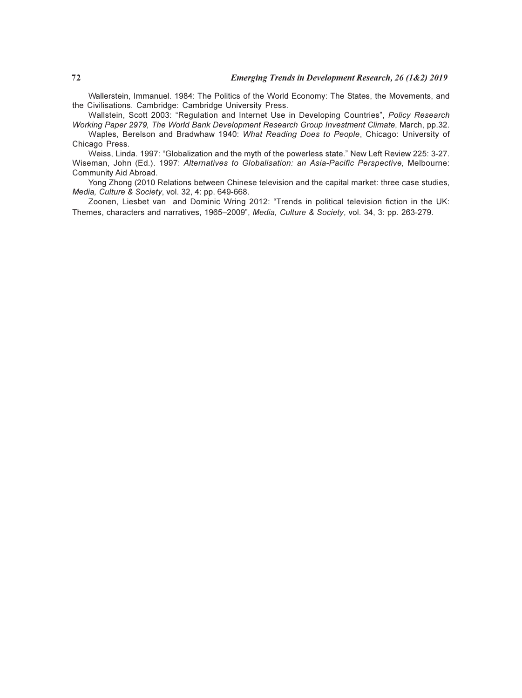Wallerstein, Immanuel. 1984: The Politics of the World Economy: The States, the Movements, and the Civilisations. Cambridge: Cambridge University Press.

Wallstein, Scott 2003: "Regulation and Internet Use in Developing Countries", Policy Research Working Paper 2979, The World Bank Development Research Group Investment Climate, March, pp.32.

Waples, Berelson and Bradwhaw 1940: What Reading Does to People, Chicago: University of Chicago Press.

Weiss, Linda. 1997: "Globalization and the myth of the powerless state." New Left Review 225: 3-27. Wiseman, John (Ed.). 1997: Alternatives to Globalisation: an Asia-Pacific Perspective, Melbourne: Community Aid Abroad.

Yong Zhong (2010 Relations between Chinese television and the capital market: three case studies, Media, Culture & Society, vol. 32, 4: pp. 649-668.

Zoonen, Liesbet van and Dominic Wring 2012: "Trends in political television fiction in the UK: Themes, characters and narratives, 1965–2009", Media, Culture & Society, vol. 34, 3: pp. 263-279.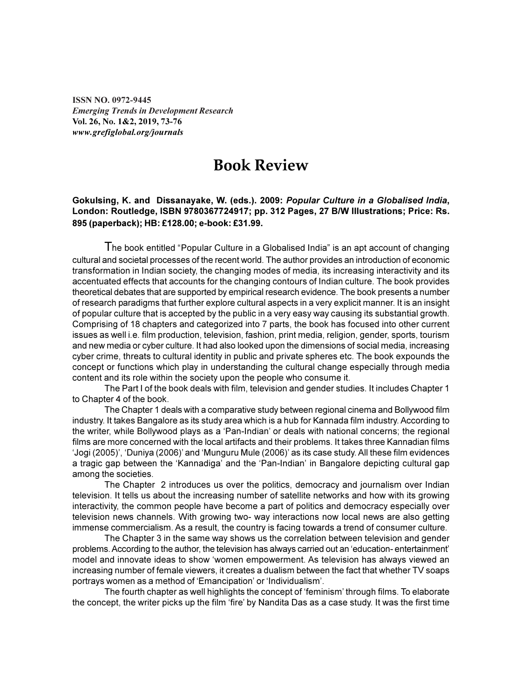ISSN NO. 0972-9445 Emerging Trends in Development Research Vol. 26, No. 1&2, 2019, 73-76 www.grefiglobal.org/journals

# Book Review

#### Gokulsing, K. and Dissanayake, W. (eds.). 2009: Popular Culture in a Globalised India, London: Routledge, ISBN 9780367724917; pp. 312 Pages, 27 B/W Illustrations; Price: Rs. 895 (paperback); HB: £128.00; e-book: £31.99.

The book entitled "Popular Culture in a Globalised India" is an apt account of changing cultural and societal processes of the recent world. The author provides an introduction of economic transformation in Indian society, the changing modes of media, its increasing interactivity and its accentuated effects that accounts for the changing contours of Indian culture. The book provides theoretical debates that are supported by empirical research evidence. The book presents a number of research paradigms that further explore cultural aspects in a very explicit manner. It is an insight of popular culture that is accepted by the public in a very easy way causing its substantial growth. Comprising of 18 chapters and categorized into 7 parts, the book has focused into other current issues as well i.e. film production, television, fashion, print media, religion, gender, sports, tourism and new media or cyber culture. It had also looked upon the dimensions of social media, increasing cyber crime, threats to cultural identity in public and private spheres etc. The book expounds the concept or functions which play in understanding the cultural change especially through media content and its role within the society upon the people who consume it.

The Part I of the book deals with film, television and gender studies. It includes Chapter 1 to Chapter 4 of the book.

The Chapter 1 deals with a comparative study between regional cinema and Bollywood film industry. It takes Bangalore as its study area which is a hub for Kannada film industry. According to the writer, while Bollywood plays as a 'Pan-Indian' or deals with national concerns; the regional films are more concerned with the local artifacts and their problems. It takes three Kannadian films 'Jogi (2005)', 'Duniya (2006)' and 'Munguru Mule (2006)' as its case study. All these film evidences a tragic gap between the 'Kannadiga' and the 'Pan-Indian' in Bangalore depicting cultural gap among the societies.

The Chapter 2 introduces us over the politics, democracy and journalism over Indian television. It tells us about the increasing number of satellite networks and how with its growing interactivity, the common people have become a part of politics and democracy especially over television news channels. With growing two- way interactions now local news are also getting immense commercialism. As a result, the country is facing towards a trend of consumer culture.

The Chapter 3 in the same way shows us the correlation between television and gender problems. According to the author, the television has always carried out an 'education- entertainment' model and innovate ideas to show 'women empowerment. As television has always viewed an increasing number of female viewers, it creates a dualism between the fact that whether TV soaps portrays women as a method of 'Emancipation' or 'Individualism'.

The fourth chapter as well highlights the concept of 'feminism' through films. To elaborate the concept, the writer picks up the film 'fire' by Nandita Das as a case study. It was the first time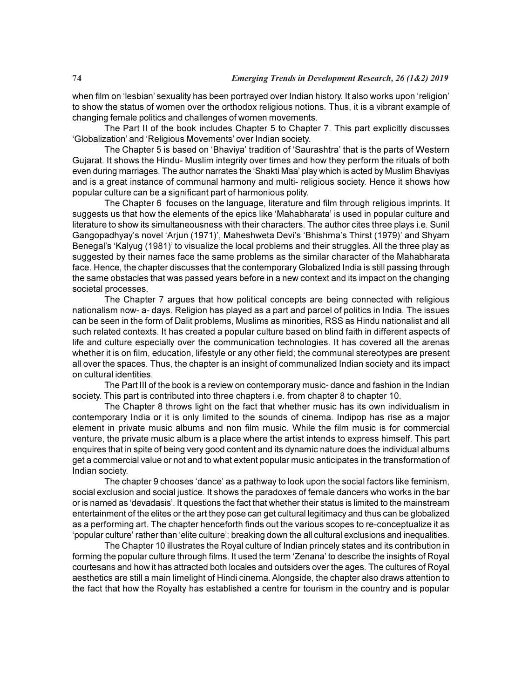when film on 'lesbian' sexuality has been portrayed over Indian history. It also works upon 'religion' to show the status of women over the orthodox religious notions. Thus, it is a vibrant example of changing female politics and challenges of women movements.

The Part II of the book includes Chapter 5 to Chapter 7. This part explicitly discusses 'Globalization' and 'Religious Movements' over Indian society.

The Chapter 5 is based on 'Bhaviya' tradition of 'Saurashtra' that is the parts of Western Gujarat. It shows the Hindu- Muslim integrity over times and how they perform the rituals of both even during marriages. The author narrates the 'Shakti Maa' play which is acted by Muslim Bhaviyas and is a great instance of communal harmony and multi- religious society. Hence it shows how popular culture can be a significant part of harmonious polity.

The Chapter 6 focuses on the language, literature and film through religious imprints. It suggests us that how the elements of the epics like 'Mahabharata' is used in popular culture and literature to show its simultaneousness with their characters. The author cites three plays i.e. Sunil Gangopadhyay's novel 'Arjun (1971)', Maheshweta Devi's 'Bhishma's Thirst (1979)' and Shyam Benegal's 'Kalyug (1981)' to visualize the local problems and their struggles. All the three play as suggested by their names face the same problems as the similar character of the Mahabharata face. Hence, the chapter discusses that the contemporary Globalized India is still passing through the same obstacles that was passed years before in a new context and its impact on the changing societal processes.

The Chapter 7 argues that how political concepts are being connected with religious nationalism now- a- days. Religion has played as a part and parcel of politics in India. The issues can be seen in the form of Dalit problems, Muslims as minorities, RSS as Hindu nationalist and all such related contexts. It has created a popular culture based on blind faith in different aspects of life and culture especially over the communication technologies. It has covered all the arenas whether it is on film, education, lifestyle or any other field; the communal stereotypes are present all over the spaces. Thus, the chapter is an insight of communalized Indian society and its impact on cultural identities.

The Part III of the book is a review on contemporary music- dance and fashion in the Indian society. This part is contributed into three chapters i.e. from chapter 8 to chapter 10.

The Chapter 8 throws light on the fact that whether music has its own individualism in contemporary India or it is only limited to the sounds of cinema. Indipop has rise as a major element in private music albums and non film music. While the film music is for commercial venture, the private music album is a place where the artist intends to express himself. This part enquires that in spite of being very good content and its dynamic nature does the individual albums get a commercial value or not and to what extent popular music anticipates in the transformation of Indian society.

The chapter 9 chooses 'dance' as a pathway to look upon the social factors like feminism, social exclusion and social justice. It shows the paradoxes of female dancers who works in the bar or is named as 'devadasis'. It questions the fact that whether their status is limited to the mainstream entertainment of the elites or the art they pose can get cultural legitimacy and thus can be globalized as a performing art. The chapter henceforth finds out the various scopes to re-conceptualize it as 'popular culture' rather than 'elite culture'; breaking down the all cultural exclusions and inequalities.

The Chapter 10 illustrates the Royal culture of Indian princely states and its contribution in forming the popular culture through films. It used the term 'Zenana' to describe the insights of Royal courtesans and how it has attracted both locales and outsiders over the ages. The cultures of Royal aesthetics are still a main limelight of Hindi cinema. Alongside, the chapter also draws attention to the fact that how the Royalty has established a centre for tourism in the country and is popular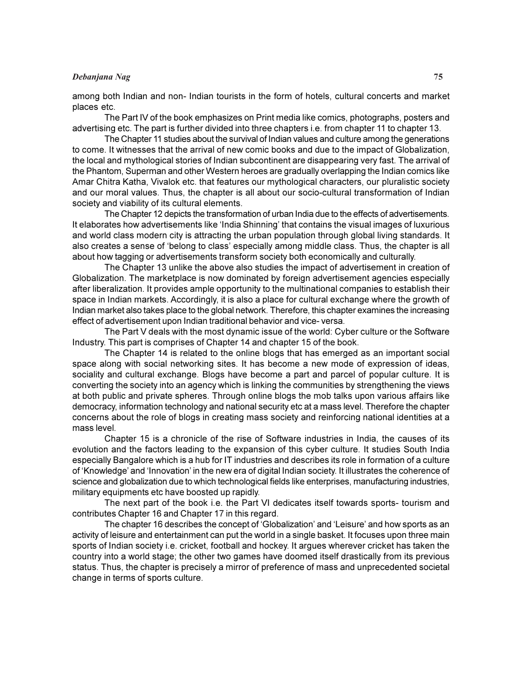#### Debanjana Nag 75

among both Indian and non- Indian tourists in the form of hotels, cultural concerts and market places etc.

The Part IV of the book emphasizes on Print media like comics, photographs, posters and advertising etc. The part is further divided into three chapters i.e. from chapter 11 to chapter 13.

The Chapter 11 studies about the survival of Indian values and culture among the generations to come. It witnesses that the arrival of new comic books and due to the impact of Globalization, the local and mythological stories of Indian subcontinent are disappearing very fast. The arrival of the Phantom, Superman and other Western heroes are gradually overlapping the Indian comics like Amar Chitra Katha, Vivalok etc. that features our mythological characters, our pluralistic society and our moral values. Thus, the chapter is all about our socio-cultural transformation of Indian society and viability of its cultural elements.

The Chapter 12 depicts the transformation of urban India due to the effects of advertisements. It elaborates how advertisements like 'India Shinning' that contains the visual images of luxurious and world class modern city is attracting the urban population through global living standards. It also creates a sense of 'belong to class' especially among middle class. Thus, the chapter is all about how tagging or advertisements transform society both economically and culturally.

The Chapter 13 unlike the above also studies the impact of advertisement in creation of Globalization. The marketplace is now dominated by foreign advertisement agencies especially after liberalization. It provides ample opportunity to the multinational companies to establish their space in Indian markets. Accordingly, it is also a place for cultural exchange where the growth of Indian market also takes place to the global network. Therefore, this chapter examines the increasing effect of advertisement upon Indian traditional behavior and vice- versa.

The Part V deals with the most dynamic issue of the world: Cyber culture or the Software Industry. This part is comprises of Chapter 14 and chapter 15 of the book.

The Chapter 14 is related to the online blogs that has emerged as an important social space along with social networking sites. It has become a new mode of expression of ideas, sociality and cultural exchange. Blogs have become a part and parcel of popular culture. It is converting the society into an agency which is linking the communities by strengthening the views at both public and private spheres. Through online blogs the mob talks upon various affairs like democracy, information technology and national security etc at a mass level. Therefore the chapter concerns about the role of blogs in creating mass society and reinforcing national identities at a mass level.

Chapter 15 is a chronicle of the rise of Software industries in India, the causes of its evolution and the factors leading to the expansion of this cyber culture. It studies South India especially Bangalore which is a hub for IT industries and describes its role in formation of a culture of 'Knowledge' and 'Innovation' in the new era of digital Indian society. It illustrates the coherence of science and globalization due to which technological fields like enterprises, manufacturing industries, military equipments etc have boosted up rapidly.

The next part of the book i.e. the Part VI dedicates itself towards sports- tourism and contributes Chapter 16 and Chapter 17 in this regard.

The chapter 16 describes the concept of 'Globalization' and 'Leisure' and how sports as an activity of leisure and entertainment can put the world in a single basket. It focuses upon three main sports of Indian society i.e. cricket, football and hockey. It argues wherever cricket has taken the country into a world stage; the other two games have doomed itself drastically from its previous status. Thus, the chapter is precisely a mirror of preference of mass and unprecedented societal change in terms of sports culture.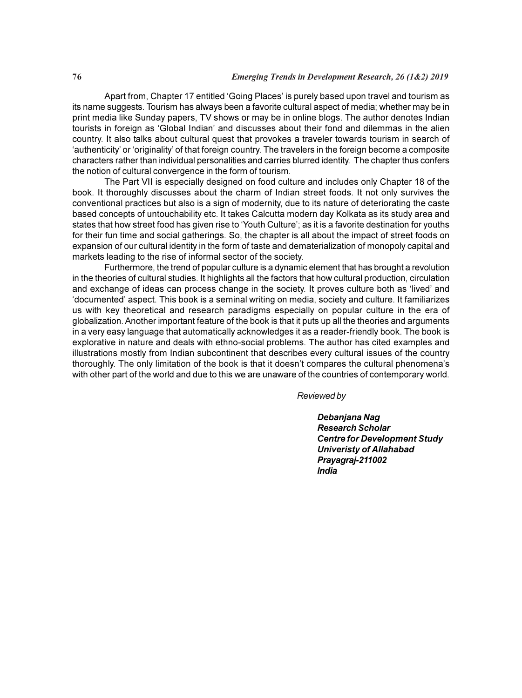Apart from, Chapter 17 entitled 'Going Places' is purely based upon travel and tourism as its name suggests. Tourism has always been a favorite cultural aspect of media; whether may be in print media like Sunday papers, TV shows or may be in online blogs. The author denotes Indian tourists in foreign as 'Global Indian' and discusses about their fond and dilemmas in the alien country. It also talks about cultural quest that provokes a traveler towards tourism in search of 'authenticity' or 'originality' of that foreign country. The travelers in the foreign become a composite characters rather than individual personalities and carries blurred identity. The chapter thus confers the notion of cultural convergence in the form of tourism.

The Part VII is especially designed on food culture and includes only Chapter 18 of the book. It thoroughly discusses about the charm of Indian street foods. It not only survives the conventional practices but also is a sign of modernity, due to its nature of deteriorating the caste based concepts of untouchability etc. It takes Calcutta modern day Kolkata as its study area and states that how street food has given rise to 'Youth Culture'; as it is a favorite destination for youths for their fun time and social gatherings. So, the chapter is all about the impact of street foods on expansion of our cultural identity in the form of taste and dematerialization of monopoly capital and markets leading to the rise of informal sector of the society.

Furthermore, the trend of popular culture is a dynamic element that has brought a revolution in the theories of cultural studies. It highlights all the factors that how cultural production, circulation and exchange of ideas can process change in the society. It proves culture both as 'lived' and 'documented' aspect. This book is a seminal writing on media, society and culture. It familiarizes us with key theoretical and research paradigms especially on popular culture in the era of globalization. Another important feature of the book is that it puts up all the theories and arguments in a very easy language that automatically acknowledges it as a reader-friendly book. The book is explorative in nature and deals with ethno-social problems. The author has cited examples and illustrations mostly from Indian subcontinent that describes every cultural issues of the country thoroughly. The only limitation of the book is that it doesn't compares the cultural phenomena's with other part of the world and due to this we are unaware of the countries of contemporary world.

Reviewed by

Debanjana Nag Research Scholar Centre for Development Study Univeristy of Allahabad Prayagraj-211002 India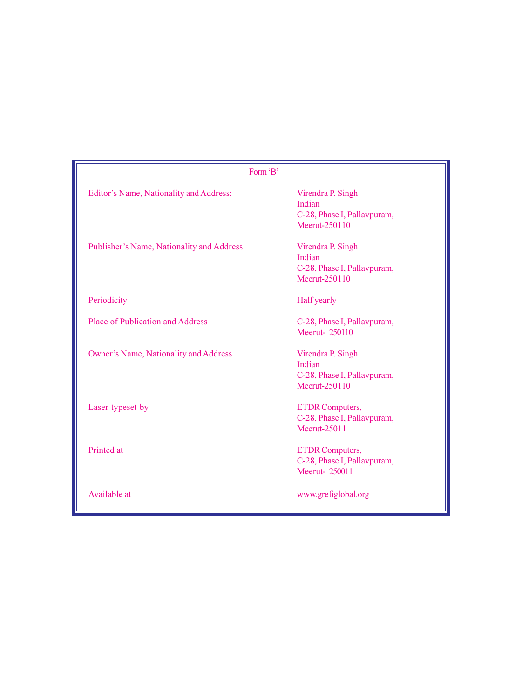| Form 'B'                                  |                                                                             |
|-------------------------------------------|-----------------------------------------------------------------------------|
| Editor's Name, Nationality and Address:   | Virendra P. Singh<br>Indian<br>C-28, Phase I, Pallavpuram,<br>Meerut-250110 |
| Publisher's Name, Nationality and Address | Virendra P. Singh<br>Indian<br>C-28, Phase I, Pallavpuram,<br>Meerut-250110 |
| Periodicity                               | <b>Half</b> yearly                                                          |
| <b>Place of Publication and Address</b>   | C-28, Phase I, Pallavpuram,<br>Meerut-250110                                |
| Owner's Name, Nationality and Address     | Virendra P. Singh<br>Indian<br>C-28, Phase I, Pallavpuram,<br>Meerut-250110 |
| Laser typeset by                          | <b>ETDR</b> Computers,<br>C-28, Phase I, Pallavpuram,<br>Meerut-25011       |
| Printed at                                | <b>ETDR</b> Computers,<br>C-28, Phase I, Pallavpuram,<br>Meerut-250011      |
| Available at                              | www.grefiglobal.org                                                         |